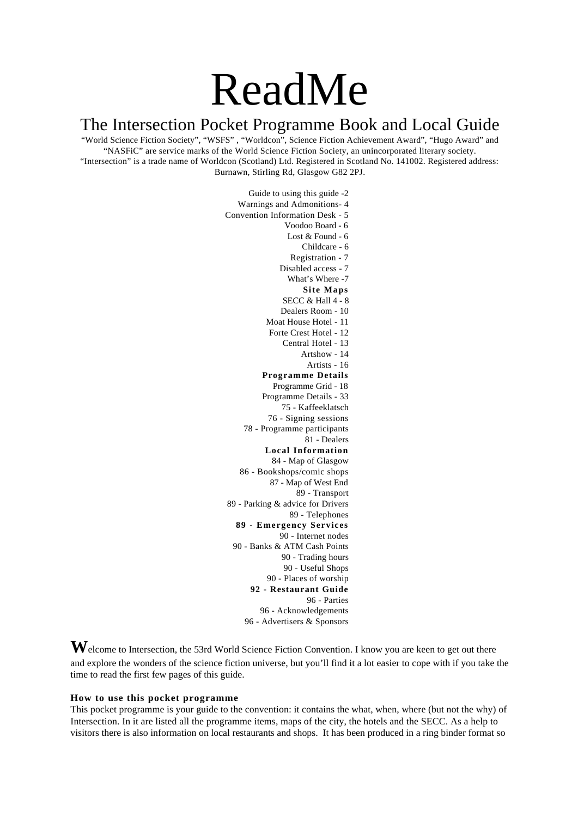# ReadMe

# The Intersection Pocket Programme Book and Local Guide

"World Science Fiction Society", "WSFS" , "Worldcon", Science Fiction Achievement Award", "Hugo Award" and "NASFiC" are service marks of the World Science Fiction Society, an unincorporated literary society. "Intersection" is a trade name of Worldcon (Scotland) Ltd. Registered in Scotland No. 141002. Registered address: Burnawn, Stirling Rd, Glasgow G82 2PJ.

> Guide to using this guide -2 Warnings and Admonitions- 4 Convention Information Desk - 5 Voodoo Board - 6 Lost & Found - 6 Childcare - 6 Registration - 7 Disabled access - 7 What's Where -7 **Site Maps** SECC & Hall 4 - 8 Dealers Room - 10 Moat House Hotel - 11 Forte Crest Hotel - 12 Central Hotel - 13 Artshow - 14 Artists - 16 **Programme Details** Programme Grid - 18 Programme Details - 33 75 - Kaffeeklatsch 76 - Signing sessions 78 - Programme participants 81 - Dealers **Local Information** 84 - Map of Glasgow 86 - Bookshops/comic shops 87 - Map of West End 89 - Transport 89 - Parking & advice for Drivers 89 - Telephones **89 - Emergency Services** 90 - Internet nodes 90 - Banks & ATM Cash Points 90 - Trading hours 90 - Useful Shops 90 - Places of worship **92 - Restaurant Guide** 96 - Parties 96 - Acknowledgements 96 - Advertisers & Sponsors

Welcome to Intersection, the 53rd World Science Fiction Convention. I know you are keen to get out there and explore the wonders of the science fiction universe, but you'll find it a lot easier to cope with if you take the time to read the first few pages of this guide.

### **How to use this pocket programme**

This pocket programme is your guide to the convention: it contains the what, when, where (but not the why) of Intersection. In it are listed all the programme items, maps of the city, the hotels and the SECC. As a help to visitors there is also information on local restaurants and shops. It has been produced in a ring binder format so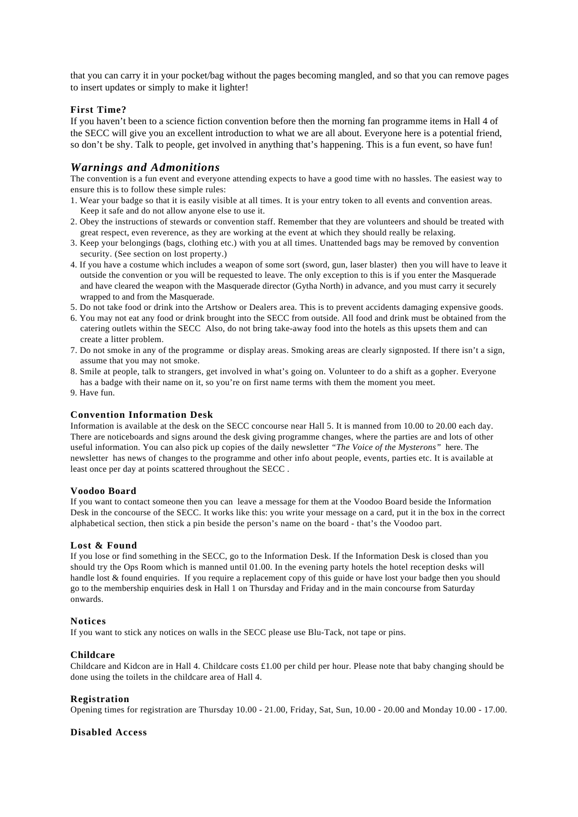that you can carry it in your pocket/bag without the pages becoming mangled, and so that you can remove pages to insert updates or simply to make it lighter!

# **First Time?**

If you haven't been to a science fiction convention before then the morning fan programme items in Hall 4 of the SECC will give you an excellent introduction to what we are all about. Everyone here is a potential friend, so don't be shy. Talk to people, get involved in anything that's happening. This is a fun event, so have fun!

# *Warnings and Admonitions*

The convention is a fun event and everyone attending expects to have a good time with no hassles. The easiest way to ensure this is to follow these simple rules:

- 1. Wear your badge so that it is easily visible at all times. It is your entry token to all events and convention areas. Keep it safe and do not allow anyone else to use it.
- 2. Obey the instructions of stewards or convention staff. Remember that they are volunteers and should be treated with great respect, even reverence, as they are working at the event at which they should really be relaxing.
- 3. Keep your belongings (bags, clothing etc.) with you at all times. Unattended bags may be removed by convention security. (See section on lost property.)
- 4. If you have a costume which includes a weapon of some sort (sword, gun, laser blaster) then you will have to leave it outside the convention or you will be requested to leave. The only exception to this is if you enter the Masquerade and have cleared the weapon with the Masquerade director (Gytha North) in advance, and you must carry it securely wrapped to and from the Masquerade.
- 5. Do not take food or drink into the Artshow or Dealers area. This is to prevent accidents damaging expensive goods.
- 6. You may not eat any food or drink brought into the SECC from outside. All food and drink must be obtained from the catering outlets within the SECC Also, do not bring take-away food into the hotels as this upsets them and can create a litter problem.
- 7. Do not smoke in any of the programme or display areas. Smoking areas are clearly signposted. If there isn't a sign, assume that you may not smoke.
- 8. Smile at people, talk to strangers, get involved in what's going on. Volunteer to do a shift as a gopher. Everyone has a badge with their name on it, so you're on first name terms with them the moment you meet.
- 9. Have fun.

# **Convention Information Desk**

Information is available at the desk on the SECC concourse near Hall 5. It is manned from 10.00 to 20.00 each day. There are noticeboards and signs around the desk giving programme changes, where the parties are and lots of other useful information. You can also pick up copies of the daily newsletter *"The Voice of the Mysterons"* here. The newsletter has news of changes to the programme and other info about people, events, parties etc. It is available at least once per day at points scattered throughout the SECC .

#### **Voodoo Board**

If you want to contact someone then you can leave a message for them at the Voodoo Board beside the Information Desk in the concourse of the SECC. It works like this: you write your message on a card, put it in the box in the correct alphabetical section, then stick a pin beside the person's name on the board - that's the Voodoo part.

#### **Lost & Found**

If you lose or find something in the SECC, go to the Information Desk. If the Information Desk is closed than you should try the Ops Room which is manned until 01.00. In the evening party hotels the hotel reception desks will handle lost & found enquiries. If you require a replacement copy of this guide or have lost your badge then you should go to the membership enquiries desk in Hall 1 on Thursday and Friday and in the main concourse from Saturday onwards.

### **Notices**

If you want to stick any notices on walls in the SECC please use Blu-Tack, not tape or pins.

### **Childcare**

Childcare and Kidcon are in Hall 4. Childcare costs £1.00 per child per hour. Please note that baby changing should be done using the toilets in the childcare area of Hall 4.

#### **Registration**

Opening times for registration are Thursday 10.00 - 21.00, Friday, Sat, Sun, 10.00 - 20.00 and Monday 10.00 - 17.00.

### **Disabled Access**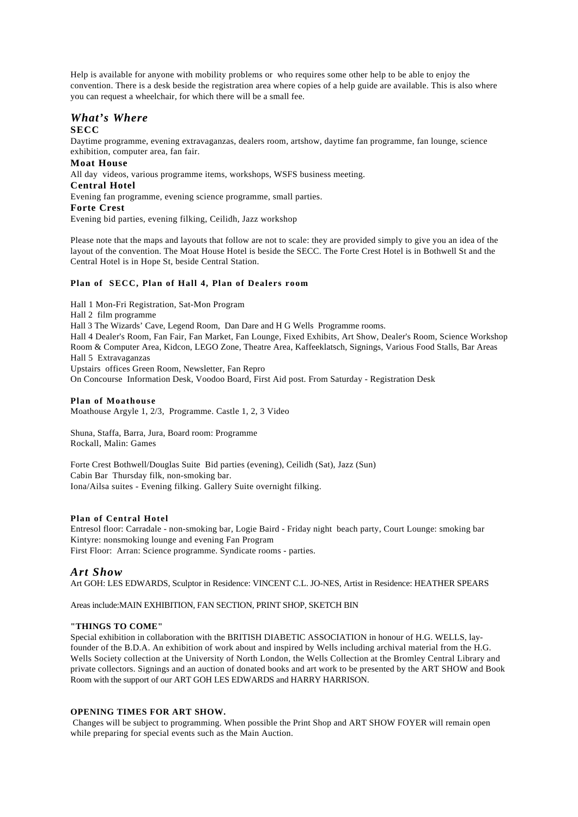Help is available for anyone with mobility problems or who requires some other help to be able to enjoy the convention. There is a desk beside the registration area where copies of a help guide are available. This is also where you can request a wheelchair, for which there will be a small fee.

# *What's Where*

# **SECC**

Daytime programme, evening extravaganzas, dealers room, artshow, daytime fan programme, fan lounge, science exhibition, computer area, fan fair.

**Moat House**

All day videos, various programme items, workshops, WSFS business meeting.

# **Central Hotel**

Evening fan programme, evening science programme, small parties.

# **Forte Crest**

Evening bid parties, evening filking, Ceilidh, Jazz workshop

Please note that the maps and layouts that follow are not to scale: they are provided simply to give you an idea of the layout of the convention. The Moat House Hotel is beside the SECC. The Forte Crest Hotel is in Bothwell St and the Central Hotel is in Hope St, beside Central Station.

# **Plan of SECC, Plan of Hall 4, Plan of Dealers room**

Hall 1 Mon-Fri Registration, Sat-Mon Program Hall 2 film programme Hall 3 The Wizards' Cave, Legend Room, Dan Dare and H G Wells Programme rooms. Hall 4 Dealer's Room, Fan Fair, Fan Market, Fan Lounge, Fixed Exhibits, Art Show, Dealer's Room, Science Workshop Room & Computer Area, Kidcon, LEGO Zone, Theatre Area, Kaffeeklatsch, Signings, Various Food Stalls, Bar Areas Hall 5 Extravaganzas Upstairs offices Green Room, Newsletter, Fan Repro On Concourse Information Desk, Voodoo Board, First Aid post. From Saturday - Registration Desk

# **Plan of Moathouse**

Moathouse Argyle 1, 2/3, Programme. Castle 1, 2, 3 Video

Shuna, Staffa, Barra, Jura, Board room: Programme Rockall, Malin: Games

Forte Crest Bothwell/Douglas Suite Bid parties (evening), Ceilidh (Sat), Jazz (Sun) Cabin Bar Thursday filk, non-smoking bar. Iona/Ailsa suites - Evening filking. Gallery Suite overnight filking.

### **Plan of Central Hotel**

Entresol floor: Carradale - non-smoking bar, Logie Baird - Friday night beach party, Court Lounge: smoking bar Kintyre: nonsmoking lounge and evening Fan Program First Floor: Arran: Science programme. Syndicate rooms - parties.

# *Art Show*

Art GOH: LES EDWARDS, Sculptor in Residence: VINCENT C.L. JO-NES, Artist in Residence: HEATHER SPEARS

Areas include:MAIN EXHIBITION, FAN SECTION, PRINT SHOP, SKETCH BIN

### **"THINGS TO COME"**

Special exhibition in collaboration with the BRITISH DIABETIC ASSOCIATION in honour of H.G. WELLS, layfounder of the B.D.A. An exhibition of work about and inspired by Wells including archival material from the H.G. Wells Society collection at the University of North London, the Wells Collection at the Bromley Central Library and private collectors. Signings and an auction of donated books and art work to be presented by the ART SHOW and Book Room with the support of our ART GOH LES EDWARDS and HARRY HARRISON.

# **OPENING TIMES FOR ART SHOW.**

 Changes will be subject to programming. When possible the Print Shop and ART SHOW FOYER will remain open while preparing for special events such as the Main Auction.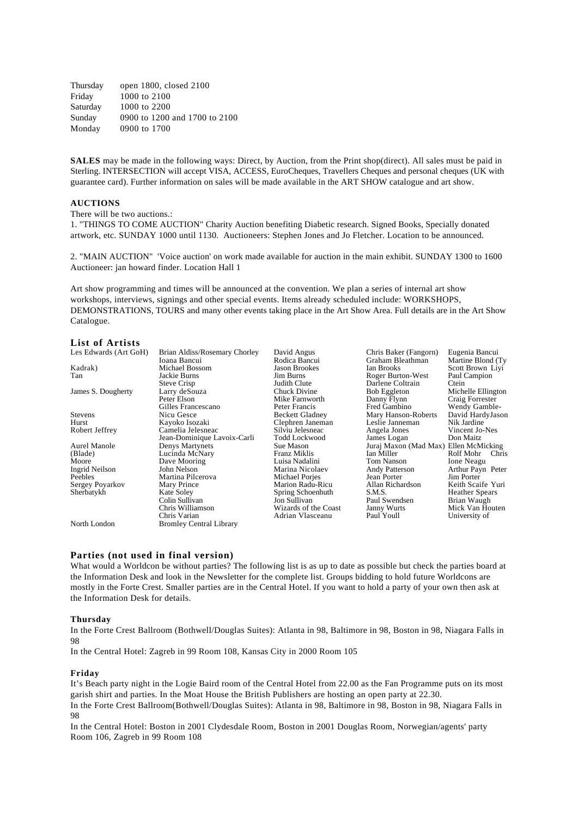Thursday open 1800, closed 2100 Friday 1000 to 2100 Saturday 1000 to 2200 Sunday 0900 to 1200 and 1700 to 2100 Monday 0900 to 1700

**SALES** may be made in the following ways: Direct, by Auction, from the Print shop(direct). All sales must be paid in Sterling. INTERSECTION will accept VISA, ACCESS, EuroCheques, Travellers Cheques and personal cheques (UK with guarantee card). Further information on sales will be made available in the ART SHOW catalogue and art show.

# **AUCTIONS**

There will be two auctions.:

1. "THINGS TO COME AUCTION" Charity Auction benefiting Diabetic research. Signed Books, Specially donated artwork, etc. SUNDAY 1000 until 1130. Auctioneers: Stephen Jones and Jo Fletcher. Location to be announced.

2. "MAIN AUCTION" 'Voice auction' on work made available for auction in the main exhibit. SUNDAY 1300 to 1600 Auctioneer: jan howard finder. Location Hall 1

Art show programming and times will be announced at the convention. We plan a series of internal art show workshops, interviews, signings and other special events. Items already scheduled include: WORKSHOPS, DEMONSTRATIONS, TOURS and many other events taking place in the Art Show Area. Full details are in the Art Show Catalogue.

# **List of Artists**

| Les Edwards (Art GoH) | Brian Aldiss/Rosemary Chorley  | David Angus            | Chris Baker (Fangorn)                 | Eugenia Bancui        |
|-----------------------|--------------------------------|------------------------|---------------------------------------|-----------------------|
|                       | Ioana Bancui                   | Rodica Bancui          | Graham Bleathman                      | Martine Blond (Ty)    |
| Kadrak)               | Michael Bossom                 | Jason Brookes          | Ian Brooks                            | Scott Brown Liyi      |
| Tan                   | Jackie Burns                   | Jim Burns              | Roger Burton-West                     | Paul Campion          |
|                       | Steve Crisp                    | Judith Clute           | Darlene Coltrain                      | Ctein                 |
| James S. Dougherty    | Larry deSouza                  | Chuck Divine           | <b>Bob Eggleton</b>                   | Michelle Ellington    |
|                       | Peter Elson                    | Mike Farnworth         | Danny Flynn                           | Craig Forrester       |
|                       | Gilles Francescano             | Peter Francis          | Fred Gambino                          | Wendy Gamble-         |
| Stevens               | Nicu Gesce                     | <b>Beckett Gladney</b> | Mary Hanson-Roberts                   | David HardyJason      |
| Hurst                 | Kayoko Isozaki                 | Clephren Janeman       | Leslie Janneman                       | Nik Jardine           |
| Robert Jeffrey        | Camelia Jelesneac              | Silviu Jelesneac       | Angela Jones                          | Vincent Jo-Nes        |
|                       | Jean-Dominique Lavoix-Carli    | <b>Todd Lockwood</b>   | James Logan                           | Don Maitz             |
| Aurel Manole          | Denys Martynets                | Sue Mason              | Juraj Maxon (Mad Max) Ellen McMicking |                       |
| (Blade)               | Lucinda McNary                 | Franz Miklis           | Ian Miller                            | Rolf Mohr<br>Chris    |
| Moore                 | Dave Mooring                   | Luisa Nadalini         | Tom Nanson                            | Ione Neagu            |
| Ingrid Neilson        | John Nelson                    | Marina Nicolaev        | <b>Andy Patterson</b>                 | Arthur Payn Peter     |
| Peebles               | Martina Pilcerova              | Michael Porjes         | Jean Porter                           | Jim Porter            |
| Sergey Poyarkov       | Mary Prince                    | Marion Radu-Ricu       | Allan Richardson                      | Keith Scaife Yuri     |
| Sherbatykh            | Kate Soley                     | Spring Schoenhuth      | S.M.S.                                | <b>Heather Spears</b> |
|                       | Colin Sullivan                 | Jon Sullivan           | Paul Swendsen                         | Brian Waugh           |
|                       | Chris Williamson               | Wizards of the Coast   | <b>Janny Wurts</b>                    | Mick Van Houten       |
|                       | Chris Varian                   | Adrian Vlasceanu       | Paul Youll                            | University of         |
| North London          | <b>Bromley Central Library</b> |                        |                                       |                       |

#### **Parties (not used in final version)**

What would a Worldcon be without parties? The following list is as up to date as possible but check the parties board at the Information Desk and look in the Newsletter for the complete list. Groups bidding to hold future Worldcons are mostly in the Forte Crest. Smaller parties are in the Central Hotel. If you want to hold a party of your own then ask at the Information Desk for details.

#### **Thursday**

In the Forte Crest Ballroom (Bothwell/Douglas Suites): Atlanta in 98, Baltimore in 98, Boston in 98, Niagara Falls in 98

In the Central Hotel: Zagreb in 99 Room 108, Kansas City in 2000 Room 105

#### **Friday**

It's Beach party night in the Logie Baird room of the Central Hotel from 22.00 as the Fan Programme puts on its most garish shirt and parties. In the Moat House the British Publishers are hosting an open party at 22.30. In the Forte Crest Ballroom(Bothwell/Douglas Suites): Atlanta in 98, Baltimore in 98, Boston in 98, Niagara Falls in

98 In the Central Hotel: Boston in 2001 Clydesdale Room, Boston in 2001 Douglas Room, Norwegian/agents' party

Room 106, Zagreb in 99 Room 108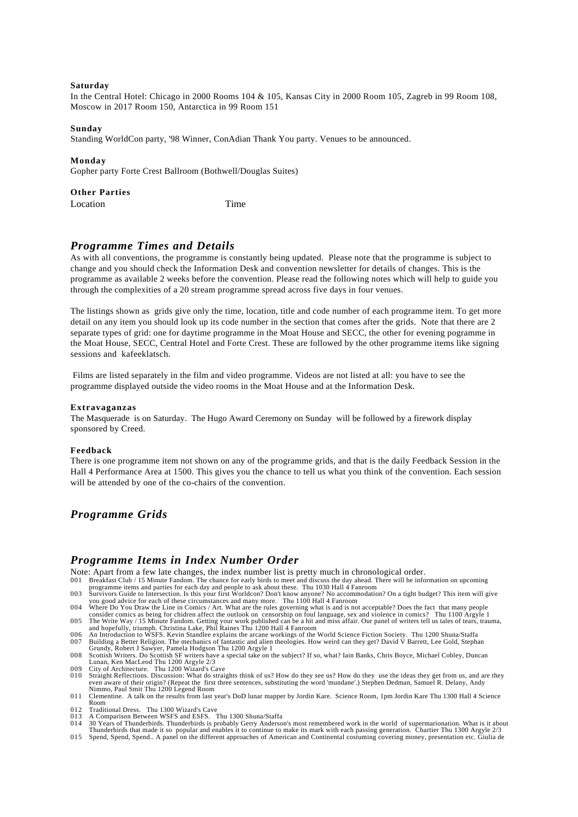#### **Saturday**

In the Central Hotel: Chicago in 2000 Rooms 104 & 105, Kansas City in 2000 Room 105, Zagreb in 99 Room 108, Moscow in 2017 Room 150, Antarctica in 99 Room 151

#### **Sunday**

Standing WorldCon party, '98 Winner, ConAdian Thank You party. Venues to be announced.

#### **Monday**

Gopher party Forte Crest Ballroom (Bothwell/Douglas Suites)

#### **Other Parties**

| Location | Time |
|----------|------|
|          |      |

# *Programme Times and Details*

As with all conventions, the programme is constantly being updated. Please note that the programme is subject to change and you should check the Information Desk and convention newsletter for details of changes. This is the programme as available 2 weeks before the convention. Please read the following notes which will help to guide you through the complexities of a 20 stream programme spread across five days in four venues.

The listings shown as grids give only the time, location, title and code number of each programme item. To get more detail on any item you should look up its code number in the section that comes after the grids. Note that there are 2 separate types of grid: one for daytime programme in the Moat House and SECC, the other for evening pogramme in the Moat House, SECC, Central Hotel and Forte Crest. These are followed by the other programme items like signing sessions and kafeeklatsch.

 Films are listed separately in the film and video programme. Videos are not listed at all: you have to see the programme displayed outside the video rooms in the Moat House and at the Information Desk.

#### **Extravaganzas**

The Masquerade is on Saturday. The Hugo Award Ceremony on Sunday will be followed by a firework display sponsored by Creed.

#### **Feedback**

There is one programme item not shown on any of the programme grids, and that is the daily Feedback Session in the Hall 4 Performance Area at 1500. This gives you the chance to tell us what you think of the convention. Each session will be attended by one of the co-chairs of the convention.

# *Programme Grids*

# *Programme Items in Index Number Order*

Note: Apart from a few late changes, the index number list is pretty much in chronological order.

- 001 Breakfast Club / 15 Minute Fandom. The chance for early birds to meet and discuss the day ahead. There will be information on upcoming programme items and parties for each day and people to ask about these. Thu 1030 Hall 4 Fanroom<br>Survivors Guide to Intersection. Is this your first Worldcon? Don't know anyone? No accommodation? On a tight budget? This ite
- 
- 3003 Survivors Guide to Intersection. Is this your first Worldcon? Don't know anyone? No accommodation? On a tight budget? This item will give<br>you good advice for each of these circumstances and many more. Thu 1100 Hall 4
- 
- 
- 
- even aware of their origin? (Repeat the first three sentences, substituting the word 'mundane'.) Stephen Dedman, Samuel R. Delany, Andy<br>Nimmo, Paul Smit Thu 1200 Legend Room<br>11 Olementine. A talk on the results from last y
- 
- 
- 
- Room<br>12 Traditional Dress. Thu 1300 Wizard's Cave<br>12 Traditional Dress. Thunderbirds is probably Gerry Anderson's most remembered work in the world of supermarionation. What is it about<br>13 A Comparison Between WSFS and ESF
-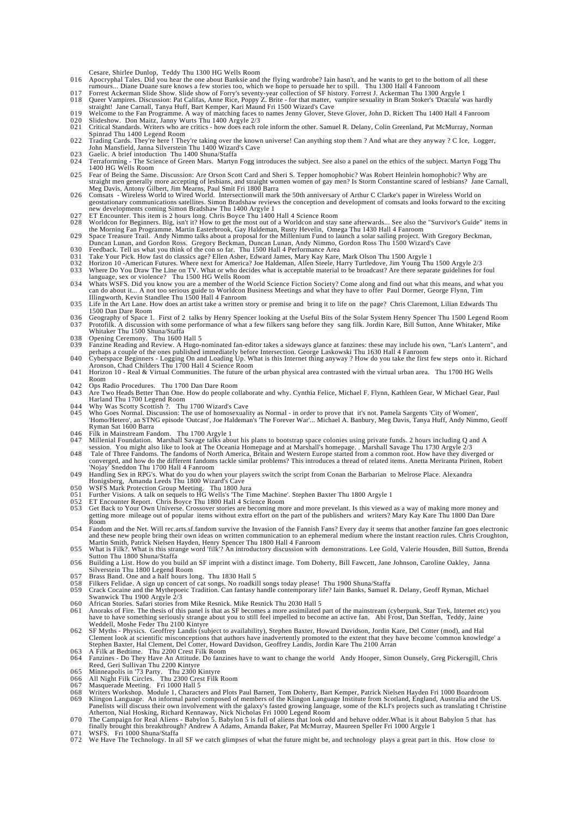- Cesare, Shirlee Dunlop, Teddy Thu 1300 HG Wells Room<br>
16 Of Apper paradobe? Iain hasn't, and he wants to get to the bottom of all these<br>
1016 Apper parameters. Did you hear the one about Banksie and the flying wardrobe? Ia
- 
- 019 Welcome to the Fan Programme. A way of matching faces to names Jenny Glover, Steve Glover, John D. Rickett Thu 1400 Hall 4 Fanroom 020 Slideshow. Don Maitz, Janny Wurts Thu 1400 Argyle 2/3
- 
- 021 Critical Standards. Writers who are critics how does each role inform the other. Samuel R. Delany, Colin Greenland, Pat McMurray, Norman<br>Spinrad Thu 1400 Legend Room<br>22 Trading Cards. They're tare ! They're taking ov
- 
- 023 Gaelic. A brief intoduction Thu 1400 Shuna/Staffa 024 Terraforming The Science of Green Mars. Martyn Fogg introduces the subject. See also a panel on the ethics of the subject. Martyn Fogg Thu 1400 HG Wells Room
- 025 Fear of Being the Same. Discussion: Are Orson Scott Card and Sheri S. Tepper homophobic? Was Robert Heinlein homophobic? Why are<br>straight more accepting of lesbians? Jane Carnall,<br>Meg Davis, Antony Gilbert, Jim Mearns,
- 026 Comsats Wireless World to Wired World. Intersectionwill mark the 50th anniversary of Arthur C Clarke's paper in Wireless World on<br>geostationary communications satellites. Simon Bradshaw reviews the conception and dev
- 
- new developments coming Simon Bradshaw Thu 1400 Argyle 1<br>027 ET Encounter. This item is 2 hours long. Chris Boyce Thu 1400 Hall 4 Science Room<br>028 Worldcon for Beginners. Big, isn't it? How to get the most out of a W
- 
- 
- 029 Space Treasure Trail. Andy Nimmo talks about a proposal for the Millenium Fund to launch a solar sailing project. With Gregory Beckman,<br>Duncan Lunan, and Gordon Ross. Gregory Beckman, Duncan Lunan, Andy Nimmo, Gordon R
- language, sex or violence? Thu 1500 HG Wells Room<br>034 Whats WSFS. Did you know you are a member of the World Science Fiction Society? Come along and find out what this means, and what you<br>can do about it… A not too serious
- 035 Life in the Art Lane. How does an artist take a written story or premise and bring it to life on the page? Chris Claremont, Lilian Edwards Thu 1500 Dan Dare Room
- 036 Geography of Space 1. First of 2 talks by Henry Spencer looking at the Useful Bits of the Solar System Henry Spencer Thu 1500 Legend Room<br>037 Protofilk. A discussion with some performance of what a few filkers sang bef Whitaker Thu 1500 Shuna/Staffa
- 
- 038 Opening Ceremony. Thu 1600 Hall 5<br>
039 Fanzine Reading and Review. A Hugo-nominated fan-editor takes a sideways glance at fanzines: these may include his own, "Lan's Lantern", and<br>
perhaps a couple of the ones publishe
- 041 Horizon 10 Real & Virtual Communities. The future of the urban physical area contrasted with the virtual urban area. Thu 1700 HG Wells
- Room
- 042 Ops Radio Procedures. Thu 1700 Dan Dare Room<br>043 Are Two Heads Better Than One. How do people collaborate and why. Cynthia Felice, Michael F. Flynn, Kathleen Gear, W Michael Gear, Paul Harland Thu 1700 Legend Room 044 Why Was Scotty Scottish ?. Thu 1700 Wizard's Cave
- 045 Who Goes Normal. Discussion: The use of homosexuality as Normal in order to prove that it's not. Pamela Sargents 'City of Women',<br>"Homo/Hetero', an STNG episode 'Outcast', Joe Haldeman's 'The Forever War'... Michael
- Ryman Sat 1600 Barra 046 Filk in Mainstream Fandom. Thu 1700 Argyle 1
- 
- 047 Millenial Foundation. Marshall Savage talks about his plans to bootstrap space colonies using private funds. 2 hours including Q and A<br>session. You might also like to look at The Oceania Homepage and at Marshall's home
- 'Nojay' Sneddon Thu 1700 Hall 4 Fanroom 049 Handling Sex in RPG's. What do you do when your players switch the script from Conan the Barbarian to Melrose Place. Alexandra
- 
- 
- 
- Honigsberg, Amanda Leeds Thu 1800 Wizard's Cave<br>1960 WiFS Mark Protection Group Meeting. Thu 1800 Jura<br>1951 Further Visions. A talk on sequels to HG Wells's The Time Machine'. Stephen Baxter Thu 1800 Argyle 1<br>1952 ET Encou Room
- 054 Fandom and the Net. Will rec.arts.sf.fandom survive the Invasion of the Fannish Fans? Every day it seems that another fanzine fan goes electronic<br>and these new people bring their own ideas on written communication to a
- 
- 056 Building a List. How do you build an SF imprint with a distinct image. Tom Doherty, Bill Fawcett, Jane Johnson, Caroline Oakley, Janna Silverstein Thu 1800 Legend Room
- 057 Brass Band. One and a half hours long. Thu 1830 Hall 5
- 058 Filkers Felidae. A sign up concert of cat songs. No roadkill songs today please! Thu 1900 Shuna/Staffa<br>059 Crack Cocaine and the Mythepoeic Tradition. Can fantasy handle contemporary life? Iain Banks, Samuel R. De
- 
- 060 African Stories. Safari stories from Mike Resnick. Mike Resnick Thu 2030 Hall 5<br>061 Anoraks of Fire. The thesis of this panel is that as SF becomes a more assimilated part of the mainstream (cyberpunk, Star Trek, Inter
- 062 SF Myths Physics. Geoffrey Landis (subject to availability), Stephen Baxter, Howard Davidson, Jordin Kare, Del Cotter (mod), and Hal<br>Clement look at scientific misconceptions that authors have inadvertently promoted
- 
- 
- 
- 064 Fanzines Do They Have An Attitude. Do fanzines have to want to change the world Andy Hooper, Simon Ounsely, Greg Pickersgill, Chris<br>
Reed, Geri Sullivan Thu 2200 Kintyre<br>
1065 Minneapolis in '73 Party. Thu 2300 Kinty
- finally brought this breakthrough? Andrew A Adams, Amanda Baker, Pat McMurray, Maureen Speller Fri 1000 Argyle 1 071 WSFS. Fri 1000 Shuna/Staffa
- 
- 072 We Have The Technology. In all SF we catch glimpses of what the future might be, and technology plays a great part in this. How close to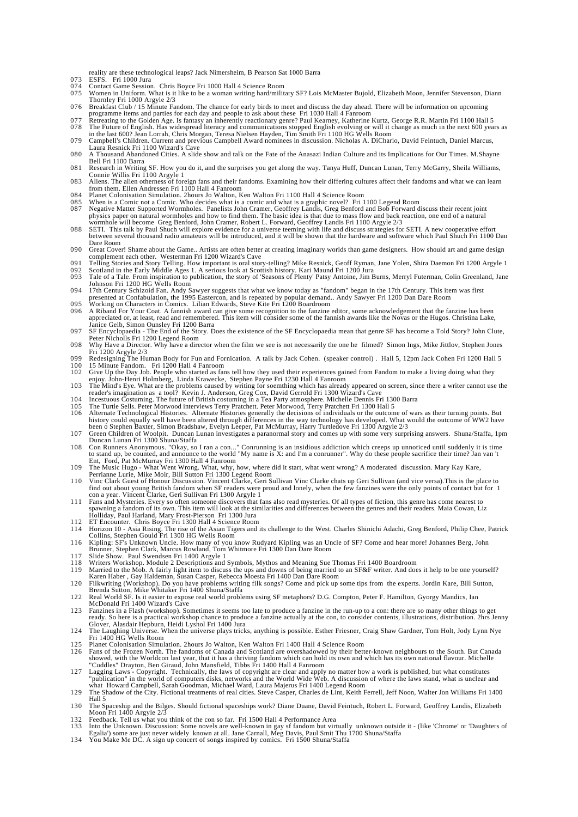- reality are these technological leaps? Jack Nimersheim, B Pearson Sat 1000 Barra 073 ESFS. Fri 1000 Jura
- 
- 074 Contact Game Session. Chris Boyce Fri 1000 Hall 4 Science Room 075 Women in Uniform. What is it like to be a woman writing hard/milit 075 Women in Uniform. What is it like to be a woman writing hard/military SF? Lois McMaster Bujold, Elizabeth Moon, Jennifer Stevenson, Diann Thornley Fri 1000 Argyle 2/3 076 Breakfast Club / 15 Minute Fandom. The chance for early birds to meet and discuss the day ahead. There will be information on upcoming
- 
- programme items and parties for each day and people to ask about these Fri 1030 Hall 4 Fanroom<br>077 Retreating to the Golden Age. Is fantasy an inherently reactionary genre? Paul Kearney, Katherine Kurtz, George R.R. Martin
- 079 Campbell's Children. Current and previous Campbell Award nominees in discussion. Nicholas A. DiChario, David Feintuch, Daniel Marcus, Laura Resnick Fri 1100 Wizard's Cave
- 080 A Thousand Abandoned Cities. A slide show and talk on the Fate of the Anasazi Indian Culture and its Implications for Our Times. M.Shayne Bell Fri 1100 Barra 081 Research in Writing SF. How you do it, and the surprises you get along the way. Tanya Huff, Duncan Lunan, Terry McGarry, Sheila Williams,
- Connie Willis Fri 1100 Argyle 1<br>083 Aliens. The alien otherness of foreign fans and their fandoms. Examining how their differing cultures affect their fandoms and what we can learn<br>from them. Ellen Andressen Fri 1100 Hal
- 
- 
- 084 Planet Colonisation Simulation. 2hours Jo Walton, Ken Walton Fri 1100 Hall 4 Science Room<br>085 Wene is a Comic not a Comic. Who decides what is a comic and what is a graphic novel? Fri 1100 Legend Room<br>087 Negative Matt
- between several thousand radio amateurs will be introduced, and it will be shown that the hardware and software which Paul Shuch Fri 1100 Dan Dare Room
- 090 Great Cover! Shame about the Game.. Artists are often better at creating imaginary worlds than game designers. How should art and game design<br>complement each other. Westerman Fri 1200 Wizard's Cave<br>091 Telling Stories
- 
- 093 Tale of a Tale. From inspiration to publication, the story of 'Seasons of Plenty' Patsy Antoine, Jim Burns, Merryl Futerman, Colin Greenland, Jane Johnson Fri 1200 HG Wells Room
- 094 17th Century Schizoid Fan. Andy Sawyer suggests that what we know today as "fandom" began in the 17th Century. This item was first<br>presented at Confabulation, the 1995 Eastercon, and is repeated by popular demand. Andy
- appreciated or, at least, read and remembered. This item will consider some of the fannish awards like the Novas or the Hugos. Christina Lake, Janice Gelb, Simon Ounsley Fri 1200 Barra
- 097 SF Encyclopaedia The End of the Story. Does the existence of the SF Encyclopaedia mean that genre SF has become a Told Story? John Clute, Peter Nicholls Fri 1200 Legend Room
- 098 Why Have a Director. Why have a director when the film we see is not necessarily the one he filmed? Simon Ings, Mike Jittlov, Stephen Jones Fri 1200 Argyle 2/3
- 099 Redesigning The Human Body for Fun and Fornication. A talk by Jack Cohen. (speaker control). Hall 5, 12pm Jack Cohen Fri 1200 Hall 5<br>100 15 Minute Fandom. Fri 1200 Hall 4 Fanroom<br>102 Give Up the Day Job. People who sta
- enjoy. John-Henri Holmberg, Linda Krawecke, Stephen Payne Fri 1230 Hall 4 Fanroom<br>103 The Mind's Eye. What are the problems caused by writing for soemthing which has already appeared on screen, since there a writer cannot
- 

104 Incestuous Costuming. The future of British costuming in a Tea Party atmosphere. Michelle Dennis Fri 1300 Barra<br>105 The Turtle Sells. Peter Morwood interviews Terry Pratchett. Peter Morwood, Terry Pratchett Fri 1300 Ha

- 106 Alternate Technological Histories. Alternate Histories generally the decisions of individuals or the outcome of wars as their turning points. But<br>history could equally well have been altered through differences in the
- 
- Duncan Lunan Fri 1300 Shuna/Staffa<br>108 Con Runners Anonymous. "Okay, so I ran a con..." Conrunning is an insidious addiction which creeps up unnoticed until suddenly it is time<br>108 Con Runners Anonymous. "Okay, so I ran a
- 
- 110 Vinc Clark Guest of Honour Discussion. Vincent Clarke, Geri Sullivan Vinc Clarke chats up Geri Sullivan (and vice versa).This is the place to<br>find out about young British fandom when SF readers were proud and lonely, w
- 
- 112 ET Encounter. Chris Boyce Fri 1300 Hall 4 Science Room<br>114 Horizon 10 Asia Rising. The rise of the Asian Tigers and its challenge to the West. Charles Shinichi Adachi, Greg Benford, Philip Chee, Patrick<br>Collins, Step
- 116 Kipling: SF's Unknown Uncle. How many of you know Rudyard Kipling was an Uncle of SF? Come and hear more! Johannes Berg, John<br>Brunner, Stephen Clark, Marcus Rowland, Tom Whitmore Fri 1300 Dan Dare Room<br>117 Slide Sh
- 
- 
- 118 Writers Workshop. Module 2 Descriptions and Symbols, Mythos and Meaning Sue Thomas Fri 1400 Boardroom<br>119 Married to the Mob. A fairly light item to discuss the ups and downs of being married to an SF&F writer. And doe
- 120 Filkwriting (Workshop). Do you have problems writing filk songs? Come and pick up some tips from the experts. Jordin Kare, Bill Sutton,<br>Brenda Sutton, Mike Whitaker Fri 1400 Shuna/Staffa<br>122 Real World SF. Is it easier
- McDonald Fri 1400 Wizard's Cave
- 123 Fanzines in a Flash (workshop). Sometimes it seems too late to produce a fanzine in the run-up to a con: there are so many other things to get<br>ready. So here is a practical workshop chance to produce a fanzine actually
- 
- 125 Planet Colonisation Simulation. 2hours Jo Walton, Ken Walton Fri 1400 Hall 4 Science Room<br>126 Fans of the Frozen North. The fandoms of Canada and Scotland are overshadowed by their better-known neighbours to the So
- showed, with the Worldcon last year, that it has a thriving fandom which can hold its own and which has its own national flavour. Michelle "Cuddles" Drayton, Ben Giraud, John Mansfield, Tibbs Fri 1400 Hall 4 Fanroom
- 127 Lagging Laws Copyright. Technically, the laws of copyright are clear and apply no matter how a work is published, but what constitutes<br>"publication" in the world of computers disks, networks and the World Wide Web. A what Howard Campbell, Sarah Goodman, Michael Ward, Laura Majerus Fri 1400 Legend Room<br>129 The Shadow of the City. Fictional treatments of real cities. Steve Casper, Charles de Lint, Keith Ferrell, Jeff Noon, Walter Jon Wil
- Hall 5 130 The Spaceship and the Bilges. Should fictional spaceships work? Diane Duane, David Feintuch, Robert L. Forward, Geoffrey Landis, Elizabeth
- Moon Fri 1400 Argyle 2/3 132 Feedback. Tell us what you think of the con so far. Fri 1500 Hall 4 Performance Area
- 
- 133 Into the Unknown. Discussion: Some novels are well-known in gay sf fandom but virtually unknown outside it (like 'Chrome' or 'Daughters of<br>Bgalia') some are just never widely known at all. Jane Carnall, Meg Davis, Pa
-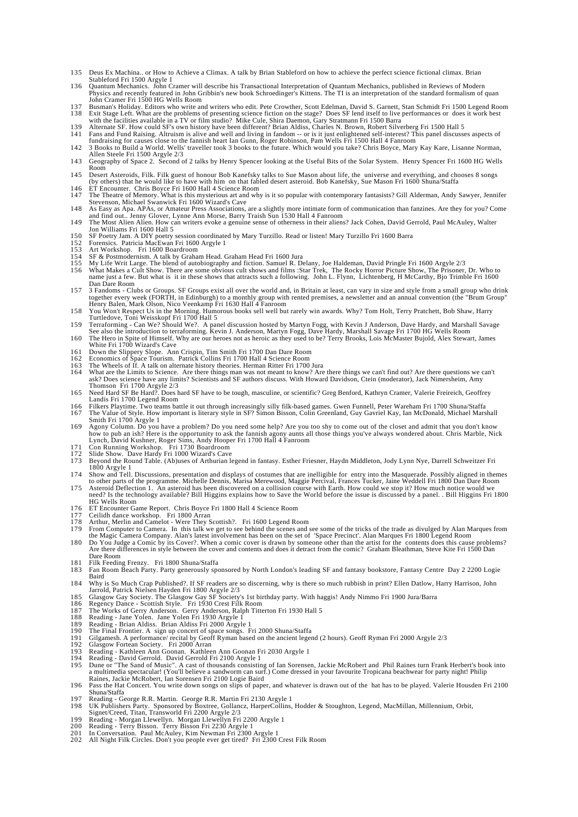- 135 Deus Ex Machina.. or How to Achieve a Climax. A talk by Brian Stableford on how to achieve the perfect science fictional climax. Brian Stableford Fri 1500 Argyle 1
- 136 Quantum Mechanics. John Cramer will describe his Transactional Interpretation of Quantum Mechanics, published in Reviews of Modern<br>Physics and recently featured in John Gribbin's new book Schroedinger's Kittens. The TI John Cramer Fri 1500 HG Wells Room
- For Busman's Holiday. Editors who write and writers who edit. Pete Crowther, Scott Edelman, David S. Garnett, Stan Schmidt Fri 1500 Legend Room<br>138 Exit Stage Left. What are the problems of presenting science fiction on th
- 
- 138 Exit Stage Left. What are the problems of presenting science fiction on the stage? Does SF lend itself to live performances or does it work best<br>with the facilities available in a TV or film studio? Mike Cule, Shira Da
- Allen Steele Fri 1500 Argyle 2/3 143 Geography of Space 2. Second of 2 talks by Henry Spencer looking at the Useful Bits of the Solar System. Henry Spencer Fri 1600 HG Wells
- Room
- 145 Desert Asteroids, Filk. Filk guest of honour Bob Kanefsky talks to Sue Mason about life, the universe and everything, and chooses 8 songs<br>(by others) that he would like to have with him on that fabled desert asteroid.
- 147 The Theatre of Memory. What is this mysterious art and why is it so popular with contemporary fantasists? Gill Alderman, Andy Sawyer, Jennifer Stevenson, Michael Swanwick Fri 1600 Wizard's Cave
- 148 As Easy as Apa. APAs, or Amateur Press Associations, are a slightly more intimate form of communication than fanzines. Are they for you? Come and find out.. Jenny Glover, Lynne Ann Morse, Barry Traish Sun 1530 Hall 4 F
- 149 The Most Alien Alien. How can writers evoke a genuine sense of otherness in their aliens? Jack Cohen, David Gerrold, Paul McAuley, Walter Jon Williams Fri 1600 Hall 5
- 150 SF Poetry Jam. A DIY poetry session coordinated by Mary Turzillo. Read or listen! Mary Turzillo Fri 1600 Barra 152 Forensics. Patricia MacEwan Fri 1600 Argyle 1
- 153 Art Workshop. Fri 1600 Boardroom
- 
- 
- 154 SF & Postmodernism. A talk by Graham Head. Graham Head Fri 1600 Jura<br>155 My Life Writ Large. The blend of autobiography and fiction. Samuel R. Delany, Joe Haldeman, David Pringle Fri 1600 Argyle 2/3<br>156 What Makes a Cu name just a few. But what is it in these shows that attracts such a following. John L. Flynn, Lichtenberg, H McCarthy, Bjo Trimble Fri 1600 Dan Dare Room
- 157 3 Fandoms Clubs or Groups. SF Groups exist all over the world and, in Britain at least, can vary in size and style from a small group who drink<br>together every week (FORTH, in Edinburgh) to a monthly group with rented
- 
- 
- Turtledove, Toni Weisskopf Fri 1700 Hall 5<br>159 Terraforming Can We' Should We?. A panel discussion hosted by Martyn Fogg, with Kevin J Anderson, Dave Hardy, and Marshall Savage<br>2018 See also the introduction to terraform
- 
- 
- 162 Economics of Space Tourism. Patrick Collins Fri 1700 Hall 4 Science Room 163 The Wheels of If. A talk on alternate history theories. Herman Ritter Fri 1700 Jura
- 164 What are the Limits to Science. Are there things man was not meant to know? Are there things we can't find out? Are there questions we can't ask? Does science have any limits? Scientists and SF authors discuss. With Ho
- Thomson Fri 1700 Argyle 2/3 165 Need Hard SF Be Hard?. Does hard SF have to be tough, masculine, or scientific? Greg Benford, Kathryn Cramer, Valerie Freireich, Geoffrey
- Landis Fri 1700 Legend Room<br>166 Filkers Playtime. Two teams battle it out through increasingly silly filk-based games. Gwen Funnell, Peter Wareham Fri 1700 Shuna/Staffa<br>167 The Value of Style. How important is literary sty
- 169 Agony Column. Do you have a problem? Do you need some help? Are you too shy to come out of the closet and admit that you don't know<br>how to pub an ish? Here is the opportunity to ask the fannish agony aunts all those th Lynch, David Kushner, Roger Sims, Andy Hooper Fri 1700 Hall 4 Fanroom<br>171 Con Running Workshop. Fri 1730 Boardroom<br>172 Slide Show. Dave Hardy Fri 1000 Wizard's Cave<br>173 Beyond the Round Table. (Ab)uses of Arthurian l
- 
- 
- 
- 1800 Argyle 1<br>174 Show and Tell. Discussions, presentation and displays of costumes that are inelligible for entry into the Masquerade. Possibly aligned in themes<br>to other parts of the programme. Michelle Dennis, Marisa Me 175 Asteroid Deflection 1. An asteroid has been discovered on a collision course with Earth. How could we stop it? How much notice would we Actroid Deflection 1. An asteroid has been discovered on a collision course with E
- need? Is the technology available? Bill Higgins explains how to Save the World before the issue is discussed by a panel. . Bill Higgins Fri 1800 HG Wells Room
- 176 ET Encounter Game Report. Chris Boyce Fri 1800 Hall 4 Science Room 177 Ceilidh dance workshop. Fri 1800 Arran
- 
- 
- 178 Arthur, Merlin and Camelot Were They Scottish?. Fri 1600 Legend Room<br>179 From Computer to Camera. In this talk we get to see behind the scenes and see some of the tricks of the trade as divulged by Alan Marques from<br>
- Dare Room
- 
- 181 Filk Feeding Frenzy. Fri 1800 Shuna/Staffa 183 Fan Room Beach Party. Party generously sponsored by North London's leading SF and fantasy bookstore, Fantasy Centre Day 2 2200 Logie Baird
- 184 Why is So Much Crap Published?. If SF readers are so discerning, why is there so much rubbish in print? Ellen Datlow, Harry Harrison, John Jarrold, Patrick Nielsen Hayden Fri 1800 Argyle 2/3<br>185 Glasgow Gay Society. The Glasgow Gay SF Society's 1st birthday party. With haggis! Andy Nimmo Fri 1900 Jura/Barra<br>186 Regency Dance - Scottish Style. Fri 1930 Crest F
- 
- 
- 
- 
- 
- 
- 
- 
- 
- 192 Glasgow Fortean Society. Fri 2000 Arran<br>193 Reading Kahleen Ann Goonan. Kahleen Ann Goonan Fri 2030 Argyle 1<br>194 Reading David Gerrold. David Gerrold Fri 2100 Argyle 1<br>195 Dune or "The Sand of Music". A cast of tho
- 196 Pass the Hat Concert. You write down songs on slips of paper, and whatever is drawn out of the hat has to be played. Valerie Housden Fri 2100 Shuna/Staffa
- 
- 197 Reading George R.R. Martin. George R.R. Martin Fri 2130 Argyle 1<br>198 UK Publishers Party. Sponsored by Boxtree, Gollancz, HarperCollins, Hodder & Stoughton, Legend, MacMillan, Millennium, Orbit,<br>8ignet/Creed, Titan,
- 
- 
- 
- 200 Reading Terry Bisson. Terry Bisson Fri 2230 Argyle 1<br>201 In Conversation. Paul McAuley, Kim Newman Fri 2300 Argyle 1<br>202 All Night Filk Circles. Don't you people ever get tired? Fri 2300 Crest Filk Room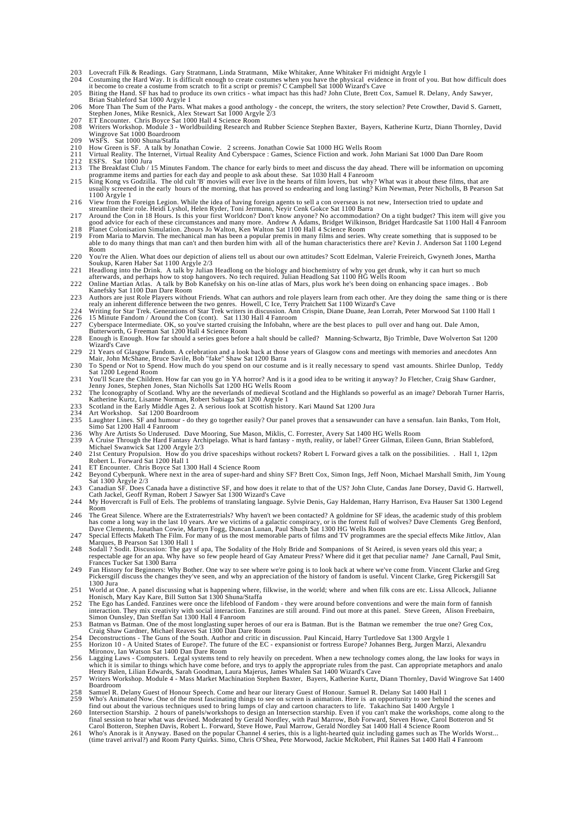- 
- 203 Lovecraft Filk & Readings. Gary Stratmann, Linda Stratmann, Mike Whitaker, Anne Whitaker Fri midnight Argyle 1<br>204 Costuming the Hard Way. It is difficult enough to create costumes when you have the physical evi
- 205 Biting the Hand. SF has had to produce its own critics what impact has this had? John Clute, Brett Cox, Samuel R. Delany, Andy Sawyer,<br>Brian Stableford Sat 1000 Argyle 1<br>206 More Than The Sum of the Parts. What makes
- Stephen Jones, Mike Resnick, Alex Stewart Sat 1000 Argyle 2/3 207 ET Encounter. Chris Boyce Sat 1000 Hall 4 Science Room
- 208 Writers Workshop. Module 3 Worldbuilding Research and Rubber Science Stephen Baxter, Bayers, Katherine Kurtz, Diann Thornley, David Wingrove Sat 1000 Boardroom
- 
- 209 WSFS. Sat 1000 Shuna/Staffa 210 How Green is SF. A talk by Jonathan Cowie. 2 screens. Jonathan Cowie Sat 1000 HG Wells Room
- 211 Virtual Reality. The Internet, Virtual Reality And Cyberspace : Games, Science Fiction and work. John Mariani Sat 1000 Dan Dare Room 212 ESFS. Sat 1000 Jura
- 213 The Breakfast Club / 15 Minutes Fandom. The chance for early birds to meet and discuss the day ahead. There will be information on upcoming<br>215 King Kong is and parties for each day and people to ask about these. Sat 1
- 1100 Argyle 1
- 
- 216 View from the Foreign Legion. While the idea of having foreign agents to sell a con overseas is not new, Intersection tried to update and<br>streamline their role. Heidi Lyshol, Helen Ryder, Toni Jerrmann, Neyir Cenk Goke
- 219 From Maria to Marvin. The mechanical man has been a popular premis in many films and series. Why create something that is supposed to be able to do many things that man can't and then burden him with all of the human c Room
- 220 You're the Alien. What does our depiction of aliens tell us about our own attitudes? Scott Edelman, Valerie Freireich, Gwyneth Jones, Martha Soukup, Karen Haber Sat 1100 Argyle 2/3 221 Headlong into the Drink. A talk by Julian Headlong on the biology and biochemistry of why you get drunk, why it can hurt so much
- 
- afterwards, and perhaps how to stop hangovers. No tech required. Julian Headlong Sat 1100 HG Wells Room<br>222 Online Martian Atlas. A talk by Bob Kanefsky on his on-line atlas of Mars, plus work he's been doing on enhanc Kanefsky Sat 1100 Dan Dare Room
- 223 Authors are just Role Players without Friends. What can authors and role players learn from each other. Are they doing the same thing or is there<br>realy an inherent difference between the two genres. Howell, C Ice, Terr
- 
- 
- 226 15 Minute Fandom / Around the Con (cont). Sat 1130 Hall 4 Fanroom<br>227 Cyberspace Intermediate. OK, so you've started cruising the Infobahn, where are the best places to pull over and hang out. Dale Amon,<br>Butterwort 228 Enough is Enough. How far should a series goes before a halt should be called? Manning-Schwartz, Bjo Trimble, Dave Wolverton Sat 1200
- Wizard's Cave 229 21 Years of Glasgow Fandom. A celebration and a look back at those years of Glasgow cons and meetings with memories and anecdotes Ann
- Mair, John McShane, Bruce Savile, Bob "fake" Shaw Sat 1200 Barra 230 To Spend or Not to Spend. How much do you spend on our costume and is it really necessary to spend vast amounts. Shirlee Dunlop, Teddy
- Sat 1200 Legend Room
- 231 You'll Scare the Children. How far can you go in YA horror? And is it a good idea to be writing it anyway? Jo Fletcher, Craig Shaw Gardner,<br>Jenny Jones, Stephen Jones, Stan Nicholls Sat 1200 HG Wells Room<br>232 The I
- 
- Katherine Kurtz, Lisanne Norman, Robert Subiaga Sat 1200 Argyle 1 233 Scotland in the Early Middle Ages 2. A serious look at Scottish history. Kari Maund Sat 1200 Jura
- 
- 234 Art Workshop. Sat 1200 Boardroom 235 Laughter Lines. SF and humour do they go together easily? Our panel proves that a sensawunder can have a sensafun. Iain Banks, Tom Holt, Simo Sat 1200 Hall 4 Fanroom 236 Why Are Artists So Underused. Dave Mooring, Sue Mason, Miklis, C. Forrester, Avery Sat 1400 HG Wells Room
- 
- 239 A Cruise Through the Hard Fantasy Archipelago. What is hard fantasy myth, reality, or label? Greer Gilman, Eileen Gunn, Brian Stableford, Michael Swanwick Sat 1200 Argyle 2/3 240 21st Century Propulsion. How do you drive spaceships without rockets? Robert L Forward gives a talk on the possibilities. . Hall 1, 12pm Robert L. Forward Sat 1200 Hall 1
- 
- 
- 241 ET Encounter. Chris Boyce Sat 1300 Hall 4 Science Room 242 Beyond Cyberpunk. Where next in the area of super-hard and shiny SF? Brett Cox, Simon Ings, Jeff Noon, Michael Marshall Smith, Jim Young Sat 1300 Argyle 2/3 243 Canadian SF. Does Canada have a distinctive SF, and how does it relate to that of the US? John Clute, Candas Jane Dorsey, David G. Hartwell,
- 
- Cath Jackel, Geoff Ryman, Robert J Sawyer Sat 1300 Wizard's Cave 244 My Hovercraft is Full of Eels. The problems of translating language. Sylvie Denis, Gay Haldeman, Harry Harrison, Eva Hauser Sat 1300 Legend
- Room 246 The Great Silence. Where are the Extraterrestrials? Why haven't we been contacted? A goldmine for SF ideas, the academic study of this problem has come a long way in the last 10 years. Are we victims of a galactic conspiracy, or is the forrest full of wolves? Dave Clements Greg Benford,<br>Dave Clements, Jonathan Cowie, Martyn Fogg, Duncan Lunan, Paul Shuch Sat 1300
- 247 Special Effects Maketh The Film. For many of us the most memorable parts of films and TV programmes are the special effects Mike Jittlov, Alan
- Marques, B Pearson Sat 1300 Hall 1<br>248 Sodall ? Sodit. Discussion: The gay sf apa, The Sodality of the Holy Bride and Sompanions of St Aeired, is seven years old this year; a<br>1988 respectable age for an apa. Why have so fe
- Frances Tucker Sat 1300 Barra<br>249 Fan History for Beginners: Why Bother. One way to see where we're going is to look back at where we've come from. Vincent Clarke and Greg<br>Pickersgill discuss the changes they've seen, and 1300 Jura
- 251 World at One. A panel discussing what is happening where, filkwise, in the world; where and when filk cons are etc. Lissa Allcock, Julianne Honisch, Mary Kay Kare, Bill Sutton Sat 1300 Shuna/Staffa
- 252 The Ego has Landed. Fanzines were once the lifeblood of Fandom they were around before conventions and were the main form of fannish interaction. They mix creativity with social interaction. Fanzines are still around
- Simon Ounsley, Dan Steffan Sat 1300 Hall 4 Fanroom<br>253 Batman vs Batman. One of the most longlasting super heroes of our era is Batman. But is the Batman we remember the true one? Greg Cox,<br>Craig Shaw Gardner, Michael Reav
- 
- 255 Horizon 10 A United States of Europe?. The future of the EC expansionist or fortress Europe? Johannes Berg, Jurgen Marzi, Alexandru Mironov, Ian Watson Sat 1400 Dan Dare Room
- 256 Lagging Laws Computers. Legal systems tend to rely heavily on precedent. When a new technology comes along, the law looks for ways in which it is similar to things which have come before, and trys to apply the appropriate rules from the past. Can appropriate metaphors and analo<br>Henry Balen, Lilian Edwards, Sarah Goodman, Laura Majerus, James Whalen Sat 1
- 
- 
- 
- Boardroom<br>258 Samuel R. Delany Guest of Honour Speech. Come and hear our literary Guest of Honour. Samuel R. Delany Sat 1400 Hall 1<br>259 Samuel R. Delany Guest of Honour Speech. Come and hear our literary Guest of Honour. S
-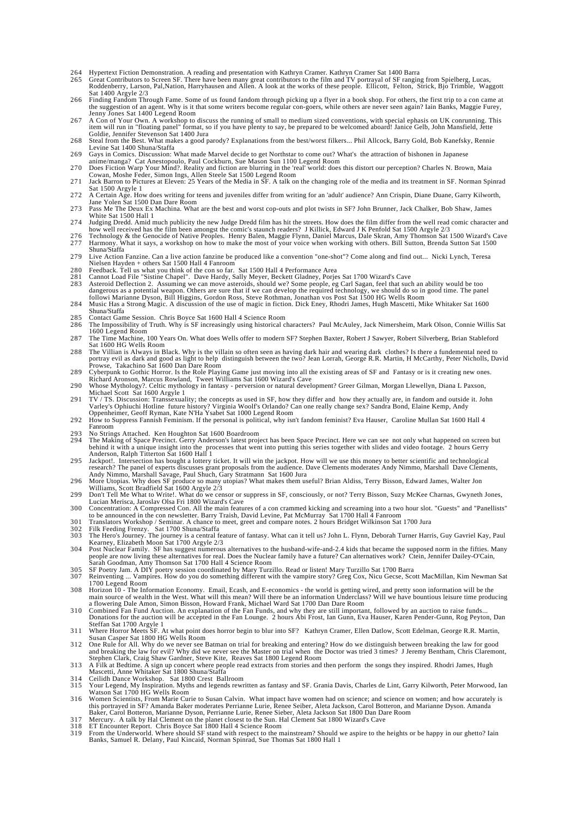- 
- 264 Hypertext Fiction Demonstration. A reading and presentation with Kathryn Cramer. Kathryn Cramer Sat 1400 Barra<br>265 Great Contributors to Screen SF. There have been many great contributors to the film and TV portrayal o
- Sat 1400 Argyle 2/3<br>266 Finding Fanne Some of us found fandom through picking up a flyer in a book shop. For others, the first trip to a con came at<br>the suggestion of an agent. Why is it that some writers become regular co
- Jenny Jones Sat 1400 Legend Room<br>267 A Con of Your Own. A workshop to discuss the running of small to medium sized conventions, with special ephasis on UK conrunning. This<br>item will run in "floating panel" format, so if yo
- 268 Steal from the Best. What makes a good parody? Explanations from the best/worst filkers... Phil Allcock, Barry Gold, Bob Kanefsky, Rennie Levine Sat 1400 Shuna/Staffa
- 269 Gays in Comics. Discussion: What made Marvel decide to get Northstar to come out? What's the attraction of bishonen in Japanese anime/manga? Cat Anestopoulo, Paul Cockburn, Sue Mason Sun 1100 Legend Room
- 270 Does Fiction Warp Your Mind?. Reality and fiction are blurring in the 'real' world: does this distort our perception? Charles N. Brown, Maia
- Cowan, Moshe Feder, Simon Ings, Allen Steele Sat 1500 Legend Room<br>271 Jack Barron to Pictures at Eleven: 25 Years of the Media in SF. A talk on the changing role of the media and its treatment in SF. Norman Spinrad<br>Sat 150
- 272 A Certain Age. How does writing for teens and juveniles differ from writing for an 'adult' audience? Ann Crispin, Diane Duane, Garry Kilworth, Jane Yolen Sat 1500 Dan Dare Room
- 273 Pass Me The Deux Ex Machina. What are the best and worst cop-outs and plot twists in SF? John Brunner, Jack Chalker, Bob Shaw, James White Sat 1500 Hall 1
- 274 Judging Dredd. Amid much publicity the new Judge Dredd film has hit the streets. How does the film differ from the well read comic character and<br>how well received has the film been amongst the comic's staunch readers?
- 276 Technology & the Genocide of Native Peoples. Henry Balen, Maggie Flynn, Daniel Marcus, Dale Skran, Amy Thomson Sat 1500 Wizard's Cave<br>277 Harmony. What it says, a workshop on how to make the most of your voice whe Shuna/Staffa
- 279 Live Action Fanzine. Can a live action fanzine be produced like a convention "one-shot"? Come along and find out... Nicki Lynch, Teresa Nielsen Hayden + others Sat 1500 Hall 4 Fanroom 280 Feedback. Tell us what you think of the con so far. Sat 1500 Hall 4 Performance Area
- 
- 281 Cannot Load File "Sistine Chapel". Dave Hardy, Sally Meyer, Beckett Gladney, Porjes Sat 1700 Wizard's Cave<br>283 Asteroid Deflection 2. Assuming we can move asteroids, should we? Some people, eg Carl Sagan, feel that suc
- Shuna/Staffa
- 285 Contact Game Session. Chris Boyce Sat 1600 Hall 4 Science Room 286 The Impossibility of Truth. Why is SF increasingly using historical characters? Paul McAuley, Jack Nimersheim, Mark Olson, Connie Willis Sat 1600 Legend Room 287 The Time Machine, 100 Years On. What does Wells offer to modern SF? Stephen Baxter, Robert J Sawyer, Robert Silverberg, Brian Stableford
- Sat 1600 HG Wells Room 288 The Villian is Always in Black. Why is the villain so often seen as having dark hair and wearing dark clothes? Is there a fundemental need to
- portray evil as dark and good as light to help distinguish between the two? Jean Lorrah, George R.R. Martin, H McCarthy, Peter Nicholls, David Prowse, Takachino Sat 1600 Dan Dare Room
- 289 Cyberpunk to Gothic Horror. Is the Role Playing Game just moving into all the existing areas of SF and Fantasy or is it creating new ones. Richard Aronson, Marcus Rowland, Tweet Williams Sat 1600 Wizard's Cave
- 290 Whose Mythology?. Celtic mythology in fantasy perversion or natural development? Greer Gilman, Morgan Llewellyn, Diana L Paxson, Michael Scott Sat 1600 Argyle 1
- 291 TV / TS. Discussion: Transsexuality; the concepts as used in SF, how they differ and how they actually are, in fandom and outside it. John Varley's Ophiuchi Hotline future history? Virginia Worlf's Orlando? Can one rea
- 292 How to Suppress Fannish Feminism. If the personal is political, why isn't fandom feminist? Eva Hauser, Caroline Mullan Sat 1600 Hall 4 Fanroom
- 293 No Strings Attached. Ken Houghton Sat 1600 Boardroom<br>294 The Making of Space Precinct. Gerry Anderson's latest proje
- 294 The Making of Space Precinct. Gerry Anderson's latest project has been Space Precinct. Here we can see not only what happened on screen but<br>behind it with a unique insight into the processes that went into putting this
- 295 Jackpot!. Intersection has bought a lottery ticket. It will win the jackpot. How will we use this money to better scientific and technological<br>research? The panel of experts discusses grant proposals from the audience.
- 296 More Utopias. Why does SF produce so many utopias? What makes them useful? Brian Aldiss, Terry Bisson, Edward James, Walter Jon Williams, Scott Bradfield Sat 1600 Argyle 2/3
- 299 Don't Tell Me What to Write!. What do we censor or suppress in SF, consciously, or not? Terry Bisson, Suzy McKee Charnas, Gwyneth Jones, Lucian Merisca, Jaroslav Olsa Fri 1800 Wizard's Cave
- 300 Concentration: A Compressed Con. All the main features of a con crammed kicking and screaming into a two hour slot. "Guests" and "Panellists" to be announced in the con newsletter. Barry Traish, David Levine, Pat McMur
- 301 Translators Workshop / Seminar. A chance to meet, greet and compare notes. 2 hours Bridget Wilkinson Sat 1700 Jura
- 302 Filk Feeding Frenzy. Sat 1700 Shuna/Staffa<br>303 The Hero's Journey. The journey is a central feature of fantasy. What can it tell us? John L. Flynn, Deborah Turner Harris, Guy Gavriel Kay, Paul<br>- Kearney, Elizabet
- 304 Post Nuclear Family. SF has suggest numerous alternatives to the husband-wife-and-2.4 kids that became the supposed norm in the fifties. Many people are now living these alternatives for real. Does the Nuclear family h Sarah Goodman, Amy Thomson Sat 1700 Hall 4 Science Room 305 SF Poetry Jam. A DIY poetry session coordinated by Mary Turzillo. Read or listen! Mary Turzillo Sat 1700 Barra
- 
- 307 Reinventing ... Vampires. How do you do something different with the vampire story? Greg Cox, Nicu Gecse, Scott MacMillan, Kim Newman Sat 1700 Legend Room<br>308 Horizon 10 - The Information Economy. Email, Ecash, and E-economics - the world is getting wired, and pretty soon information will be the<br>main source of wealth in the West. What will this mean? Will th
- 
- a flowering Dale Amon, Simon Bisson, Howard Frank, Michael Ward Sat 1700 Dan Dare Room<br>310 Combined Fan Fund Auction. An explanation of the Fan Funds, and why they are still important, followed by an auction to raise funds
- 
- 312 One Rule for All. Why do we never see Batman on trial for breaking and entering? How do we distinguish between breaking the law for good and breaking the law for good paral and breaking the law for good and breaking th
- 313 A Filk at Bedtime. A sign up concert where people read extracts from stories and then perform the songs they inspired. Rhodri James, Hugh<br>Mascetti, Anne Whitaker Sat 1800 Shuna/Staffa<br>314 Ceilidh Dance Workshop. Sat 18
- 
- 315 Your Legend, My Inspiration. Myths and legends rewritten as fantasy and SF. Grania Davis, Charles de Lint, Garry Kilworth, Peter Morwood, Ian Watson Sat 1700 HG Wells Room
- 316 Women Scientists, From Marie Curie to Susan Calvin. What impact have women had on science; and science on women; and how accurately is<br>this portrayed in SF? Amanda Baker moderates Perrianne Lurie, Renee Seiber, Aleta J
- 
- 318 ET Encounter Report. Chris Boyce Sat 1800 Hall 4 Science Room 319 From the Underworld. Where should SF stand with respect to the mainstream? Should we aspire to the heights or be happy in our ghetto? Iain Banks, Samuel R. Delany, Paul Kincaid, Norman Spinrad, Sue Thomas Sat 1800 Hall 1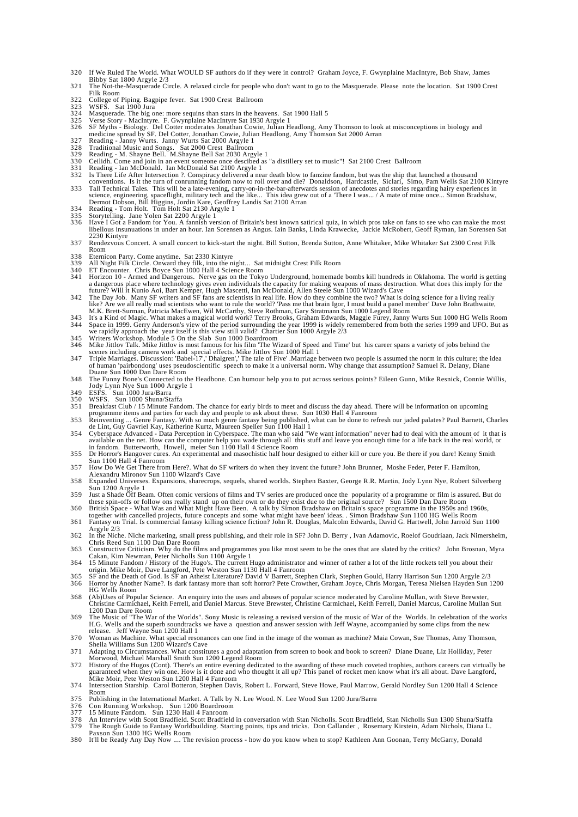- 320 If We Ruled The World. What WOULD SF authors do if they were in control? Graham Joyce, F. Gwynplaine MacIntyre, Bob Shaw, James Bibby Sat 1800 Argyle 2/3
- 321 The Not-the-Masquerade Circle. A relaxed circle for people who don't want to go to the Masquerade. Please note the location. Sat 1900 Crest Filk Room
- 322 College of Piping. Bagpipe fever. Sat 1900 Crest Ballroom 323 WSFS. Sat 1900 Jura
- 
- 
- 324 Masquerade. The big one: more sequins than stars in the heavens. Sat 1900 Hall 5<br>325 Verse Story MacIntyre. F. Gwynplaine MacIntyre Sat 1930 Argyle 1<br>326 SF Myths Biology. Del Cotter moderates Jonathan Cowie, Julia
- 
- 
- 329 Reading M. Shayne Bell. M.Shayne Bell Sat 2030 Argyle 1 330 Ceilidh. Come and join in an event someone once descibed as "a distillery set to music"! Sat 2100 Crest Ballroom
- 
- 
- 331 Reading Ian McDonald. Ian McDonald Sat 2100 Argyle 1 332 Is There Life After Intersection ?. Conspiracy delivered a near death blow to fanzine fandom, but was the ship that launched a thousand
- conventions. Is it the turn of conrunning fandom now to roll over and die? Donaldson, Hardcastle, Siclari, Simo, Pam Wells Sat 2100 Kintyre<br>333 Tall Technical Tales. This will be a late-evening, carry-on-in-the-bar-afterwa
- 
- science, engineering, spaceflight, military tech and the like... This idea grew out of a "There I was... / A mate of mine once... Simon Bradshaw,<br>Dermot Dobson, Bill Higgins, Jordin Kare, Geoffrey Landis Sat 2100 Arran<br>334
- 2230 Kintyre 337 Rendezvous Concert. A small concert to kick-start the night. Bill Sutton, Brenda Sutton, Anne Whitaker, Mike Whitaker Sat 2300 Crest Filk
- Room
- 338 Eternicon Party. Come anytime. Sat 2330 Kintyre
- 339 All Night Filk Circle. Onward they filk, into the night... Sat midnight Crest Filk Room 340 ET Encounter. Chris Boyce Sun 1000 Hall 4 Science Room
- 341 Horizon 10 Armed and Dangerous. Nerve gas on the Tokyo Underground, homemade bombs kill hundreds in Oklahoma. The world is getting<br>a dangerous place where technology gives even individuals the capacity for making wea
- like? Are we all really mad scientists who want to rule the world? 'Pass me that brain Igor, I must build a panel member' Dave John Brathwaite,<br>M.K. Brett-Surman, Patricia MacEwen, Wil McCarthy, Steve Rothman, Gary Stratma
- 343 It's a Kind of Magic. What makes a magical world work? Terry Brooks, Graham Edwards, Maggie Furey, Janny Wurts Sun 1000 HG Wells Room<br>344 Space in 1999. Gerry Anderson's view of the period surrounding the year 1999 i
- 
- we rapidly approach the year itself is this view still valid? Chartier Sun 1000 Argyle 2/3<br>345 Writers Workshop. Module 5 On the Slab Sun 1000 Boardroom<br>346 Mike Jitlov Talk. Mike Jitlov is most famous for his film "The Wi
- 347 Triple Marriages. Discussion: 'Babel-17',' Dhalgren',' The tale of Five' Marriage between two people is assumed the norm in this culture; the idea<br>of human 'pairbondong' uses pseudoscientific speech to make it a univer
- 348 The Funny Bone's Connected to the Headbone. Can humour help you to put across serious points? Eileen Gunn, Mike Resnick, Connie Willis, Jody Lynn Nye Sun 1000 Argyle 1<br>349 ESFS. Sun 1000 Jura/Barra<br>350 WSFS. Sun 1000 Shuna/Staffa<br>351 Breakfast Club / 15 Minute Fandom. The chance for early birds to meet and discuss the day ahead. There will be information o
- 
- 
- programme items and parties for each day and people to ask about these. Sun 1030 Hall 4 Fanroom<br>353 Reinventing ... Genre Fantasy. With so much genre fantasy being published, what can be done to refresh our jaded palates?
- 
- available on the net. How can the computer help you wade through all this stuff and leave you enough time for a life back in the real world, or<br>in fandom. Butterworth, Howell, meier Sun 1100 Hall 4 Science Room<br>355 Dr Horr
- 357 How Do We Get There from Here?. What do SF writers do when they invent the future? John Brunner, Moshe Feder, Peter F. Hamilton, Alexandru Mironov Sun 1100 Wizard's Cave
- 
- 358 Expanded Universes. Expansions, sharecrops, sequels, shared worlds. Stephen Baxter, George R.R. Martin, Jody Lynn Nye, Robert Silverberg<br>Sun 1200 Argyle 1<br>359 Just a Shade Off Beam. Often comic versions of films and TV
- 
- 361 Fantasy on Trial. Is commercial fantasy killing science fiction? John R. Douglas, Malcolm Edwards, David G. Hartwell, John Jarrold Sun 1100 Argyle 2/3
- 362 In the Niche. Niche marketing, small press publishing, and their role in SF? John D. Berry , Ivan Adamovic, Roelof Goudriaan, Jack Nimersheim, Chris Reed Sun 1100 Dan Dare Room
- 363 Constructive Criticism. Why do the films and programmes you like most seem to be the ones that are slated by the critics? John Brosnan, Myra Cakan, Kim Newman, Peter Nicholls Sun 1100 Argyle 1
- 
- 364 15 Minute Fandom / History of the Hugo's. The current Hugo administrator and winner of rather a lot of the little rockets tell you about their<br>365 SF and the Death of God. Is SF an Atheist Literature? David V Barrett,
- 368 (Ab)Uses of Popular Science. An enquiry into the uses and abuses of popular science moderated by Caroline Mullan, with Steve Brewster, Christine Carmichael, Keith Ferrell, and Daniel Marcus. Steve Brewster, Christine Carmichael, Keith Ferrell, Daniel Marcus, Caroline Mullan Sun 1200 Dan Dare Room
- 369 The Music of "The War of the Worlds". Sony Music is releasing a revised version of the music of War of the Worlds. In celebration of the works H.G. Wells and the superb soundtracks we have a question and answer session
- Sheila Williams Sun 1200 Wizard's Cave 371 Adapting to Circumstances. What constitutes a good adaptation from screen to book and book to screen? Diane Duane, Liz Holliday, Peter
- 
- Morwood, Michael Marshall Smith Sun 1200 Legend Room<br>372 History of the Hugos (Cont). There's an entire evening dedicated to the awarding of these much coveted trophies, authors careers can virtually be<br>guaranteed when the
- 374 Intersection Starship. Carol Botteron, Stephen Davis, Robert L. Forward, Steve Howe, Paul Marrow, Gerald Nordley Sun 1200 Hall 4 Science Room
- 375 Publishing in the International Market. A Talk by N. Lee Wood. N. Lee Wood Sun 1200 Jura/Barra
- 
- 
- 376 Con Running Workshop. Sun 1200 Boardroom<br>377 15 Minute Fandom. Sun 1230 Hall 4 Fanroom<br>378 An Interview with Scott Bradfield. Scott Bradfield in conversation with Stan Nicholls. Scott Bradfield, Stan Nicholls Sun 1300
- 379 The Rough Guide to Fantasy Worldbuilding. Starting points, tips and tricks. Don Callander , Rosemary Kirstein, Adam Nichols, Diana L. Paxson Sun 1300 HG Wells Room
- 380 It'll be Ready Any Day Now .... The revision process how do you know when to stop? Kathleen Ann Goonan, Terry McGarry, Donald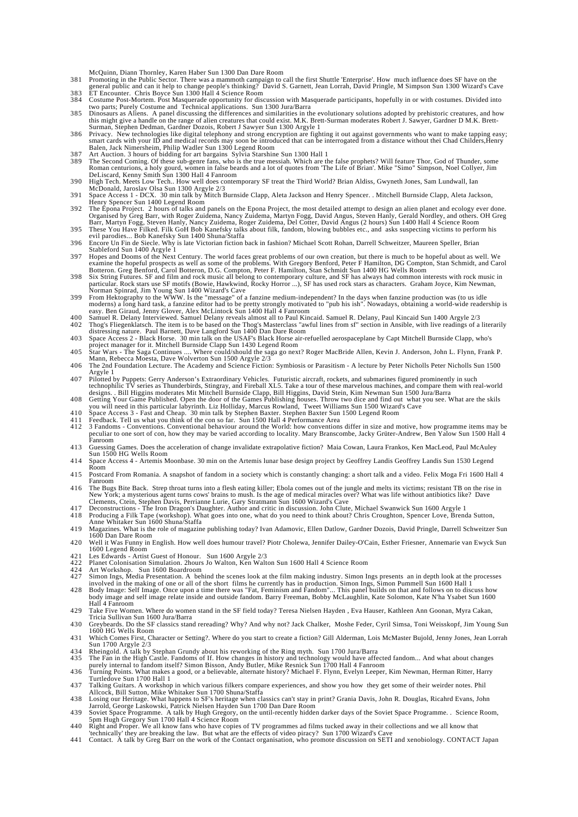- McQuinn, Diann Thornley, Karen Haber Sun 1300 Dan Dare Room<br>1811 Promoting in the Public Sector. There was a mammoth campaign to call the first Shuttle 'Enterprise'. How<br>1900 general public and can it help to change people
- 383 ET Encounter. Chris Boyce Sun 1300 Hall 4 Science Room
- 384 Costume Post-Mortem. Post Masquerade opportunity for discussion with Masquerade participants, hopefully in or with costumes. Divided into two parts; Purely Costume and Technical applications. Sun 1300 Jura/Barra
- 385 Dinosaurs as Aliens. A panel discussing the differences and similarities in the evolutionary solutions adopted by prehistoric creatures, and how<br>this might give a handle on the range of alien creatures that could exist Surman, Stephen Dedman, Gardner Dozois, Robert J Sawyer Sun 1300 Argyle 1
- 386 Privacy. New technologies like digital telephony and strong encryption are fighting it out against governments who want to make tapping easy;<br>smart cards with your ID and medical records may soon be intervoduced that c
- 
- 387 Art Auction. 3 hours of bidding for art bargains Sylvia Starshine Sun 1300 Hall 1<br>389 The Second Coming. Of these sub-genre fans, who is the true messiah. Which are the false prophets? Will feature Thor, God of Thunder
- 390 High Tech. Meets Low Tech.. How well does contemporary SF treat the Third World? Brian Aldiss, Gwyneth Jones, Sam Lundwall, Ian McDonald, Jaroslav Olsa Sun 1300 Argyle 2/3
- 
- 391 Space Access 1 DCX. 30 min talk by Mitch Burnside Clapp, Aleta Jackson and Henry Spencer. . Mitchell Burnside Clapp, Aleta Jackson,<br>Henry Spencer Sun 1400 Legend Room<br>The Epona Project. 2 hours of talks and panels on
- evil parodies... Bob Kanefsky Sun 1400 Shuna/Staffa 396 Encore Un Fin de Siecle. Why is late Victorian fiction back in fashion? Michael Scott Rohan, Darrell Schweitzer, Maureen Speller, Brian
- Stableford Sun 1400 Argyle 1
- 397 Hopes and Dooms of the Next Century. The world faces great problems of our own creation, but there is much to be hopeful about as well. We<br>examine the hopeful prospects as well as some of the problems. With Gregory Ben
- 398 Six String Futures. SF and film and rock music all belong to contemporary culture, and SF has always had common interests with rock music in<br>particular. Rock stars use SF motifs (Bowie, Hawkwind, Rocky Horror ...), SF
- Norman Spinrad, Jim Young Sun 1400 Wizard's Cave<br>399 From Hektography to the WWW. Is the "message" of a fanzine medium-independent? In the days when fanzine production was (to us idle<br>moderns) a long hard task, a fanzine e
- 400 Samuel R. Delany Interviewed. Samuel Delany reveals almost all to Paul Kincaid. Samuel R. Delany, Paul Kincaid Sun 1400 Argyle 2/3<br>402 Thog's Fliegenklatsch. The item is to be based on the Thog's Masterclass "awful lin
- 
- project manager for it. Mitchell Burnside Clapp Sun 1430 Legend Room 405 Star Wars The Saga Continues .... Where could/should the saga go next? Roger MacBride Allen, Kevin J. Anderson, John L. Flynn, Frank P.
- Mann, Rebecca Moesta, Dave Wolverton Sun 1500 Argyle 2/3 406 The 2nd Foundation Lecture. The Academy and Science Fiction: Symbiosis or Parasitism A lecture by Peter Nicholls Peter Nicholls Sun 1500 Argyle 1
- 407 Pilotted by Puppets: Gerry Anderson's Extraordinary Vehicles. Futuristic aircraft, rockets, and submarines figured prominently in such technophilic TV series as Thunderbirds, Stingray, and Fireball XL5. Take a tour of
- 
- 
- 408 Getting Your Game Published. Open the door of the Games Publishing houses. Throw two dice and find out what you see. What are the skils<br>you will need in this particular labyrinh. Liz Holliday, Marcus Rowland, Tweet Wil Fanroom
- 413 Guessing Games. Does the acceleration of change invalidate extrapolative fiction? Maia Cowan, Laura Frankos, Ken MacLeod, Paul McAuley Sun 1500 HG Wells Room
- 414 Space Access 4 Artemis Moonbase. 30 min on the Artemis lunar base design project by Geoffrey Landis Geoffrey Landis Sun 1530 Legend Room
- 415 Postcard From Romania. A snapshot of fandom in a society which is constantly changing: a short talk and a video. Felix Moga Fri 1600 Hall 4 Fanroom
- 416 The Bugs Bite Back. Strep throat turns into a flesh eating killer; Ebola comes out of the jungle and melts its victims; resistant TB on the rise in<br>New York; a mysterious agent turns cows' brains to mush. Is the age of
- 417 Deconstructions The Iron Dragon's Daughter. Author and critic in discussion. John Clute, Michael Swanwick Sun 1600 Argyle 1<br>418 Producing a Filk Tape (workshop). What goes into one, what do you need to think about? C
- Anne Whitaker Sun 1600 Shuna/Staffa 419 Magazines. What is the role of magazine publishing today? Ivan Adamovic, Ellen Datlow, Gardner Dozois, David Pringle, Darrell Schweitzer Sun 1600 Dan Dare Room 420 Well it Was Funny in English. How well does humour travel? Piotr Cholewa, Jennifer Dailey-O'Cain, Esther Friesner, Annemarie van Ewyck Sun
- 1600 Legend Room 421 Les Edwards Artist Guest of Honour. Sun 1600 Argyle 2/3
- 
- 422 Planet Colonisation Simulation. 2hours Jo Walton, Ken Walton Sun 1600 Hall 4 Science Room<br>424 Art Workshop. Sun 1600 Boardroom<br>427 Simon Ings, Media Presentation. A-behind the scenes look at the film making ind
- 
- involved in the making of one or all of the short films he currently has in production. Simon Ings, Simon Pummell Sun 1600 Hall 1<br>1988 Body Image: Self Image. Once upon a time there was "Fat, Feminism and Fandom"... This p
- Hall 4 Fanroom 429 Take Five Women. Where do women stand in the SF field today? Teresa Nielsen Hayden , Eva Hauser, Kathleen Ann Goonan, Myra Cakan,
- Tricia Sullivan Sun 1600 Jura/Barra 430 Greybeards. Do the SF classics stand rereading? Why? And why not? Jack Chalker, Moshe Feder, Cyril Simsa, Toni Weisskopf, Jim Young Sun 1600 HG Wells Room
- 431 Which Comes First, Character or Setting?. Where do you start to create a fiction? Gill Alderman, Lois McMaster Bujold, Jenny Jones, Jean Lorrah Sun 1700 Argyle 2/3 434 Rheingold. A talk by Stephan Grundy about his reworking of the Ring myth. Sun 1700 Jura/Barra
- 
- 
- 435 The Fan in the High Castle. Fandoms of If. How changes in history and technology would have affected fandom... And what about changes<br>purely internal to fandom itself? Simon Bisson, Andy Butler, Mike Resnick Sun 1700 H
- 
- 437 Talking Guitars. A workshop in which various filkers compare experiences, and show you how they get some of their weirder notes. Phil<br>AllCock, Bill Sutton, Mike Whitaker Sun 1700 Shuna/Staffa<br>Losing our Heritage. What
- 
- 
-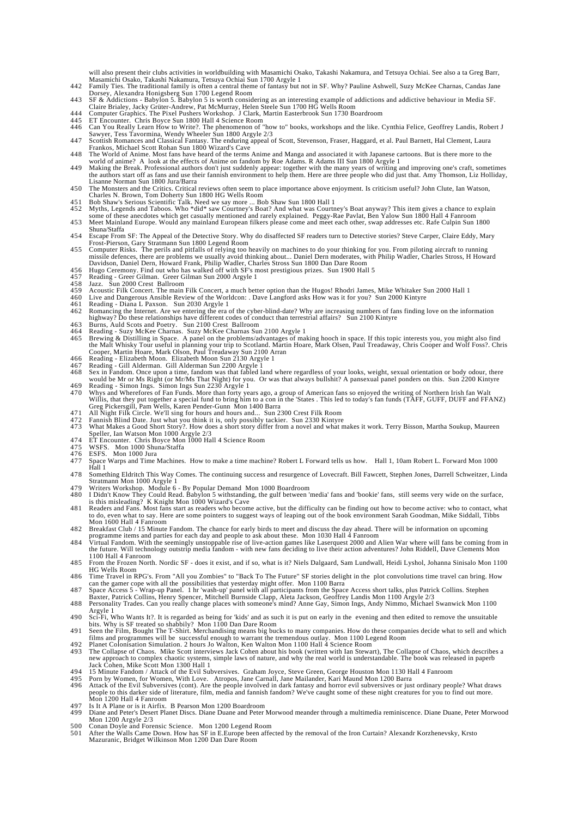will also present their clubs activities in worldbuilding with Masamichi Osako, Takashi Nakamura, and Tetsuya Ochiai. See also a ta Greg Barr, Masamichi Osako, Takashi Nakamura, Tetsuya Ochiai Sun 1700 Argyle 1

- 442 Family Ties. The traditional family is often a central theme of fantasy but not in SF. Why? Pauline Ashwell, Suzy McKee Charnas, Candas Jane Dorsey, Alexandra Honigsberg Sun 1700 Legend Room<br>143 SF & Addictions - Babylon 5. Babylon 5 is worth considering as an interesting example of addictions and addictive behaviour in Media SF.<br>Claire Brialey, Jacky Grüter-
- 
- 
- 
- 444 Computer Graphics. The Pixel Pushers Workshop. J Clark, Martin Easterbrook Sun 1730 Boardroom<br>445 ET Encounter. Chris Boyce Sun 1800 Hall 4 Science Room<br>446 Can You Really Learn How to Write?. The phenomenon of "how to
- 
- 448 The World of Anime. Most fans have heard of the terms Anime and Manga and associated it with Japanese cartoons. But is there more to the world of anime? A look at the effects of Anime on fandom by Roe Adams. R Adams II
- 449 Making the Break. Professional authors don't just suddenly appear: together with the many years of writing and improving one's craft, sometimes the authors start off as fans and use their fannish environment to help th Lisanne Norman Sun 1800 Jura/Barra 450 The Monsters and the Critics. Critical reviews often seem to place importance above enjoyment. Is criticism useful? John Clute, Ian Watson,
- 
- Charles N. Brown, Tom Doherty Sun 1800 HG Wells Room<br>451 Bob Shaw's Serious Scientific Talk. Need we say more ... Bob Shaw Sun 1800 Hall 1<br>452 Myths, Legends and Taboos. Who \*did\* saw Courthey's Boot? And what was Courthey
- Shuna/Staffa
- 
- 454 Escape From SF: The Appeal of the Detective Story. Why do disaffected SF readers turn to Detective stories? Steve Carper, Claire Eddy, Mary<br>Frost-Pierson, Gary Stratmann Sun 1800 Legend Room<br>Computer Risks. The perils
- 
- 457 Reading Greer Gilman. Greer Gilman Sun 2000 Argyle 1 458 Jazz. Sun 2000 Crest Ballroom
- 459 Acoustic Filk Concert. The main Filk Concert, a much better option than the Hugos! Rhodri James, Mike Whitaker Sun 2000 Hall 1<br>460 Live and Dangerous Ansible Review of the Worldcon: . Dave Langford asks How was it for
- 
- 
- highway? Do these relationships have different codes of conduct than terrestrial affairs? Sun 2100 Kintyre
- 
- 463 Burns, Auld Scots and Poetry. Sun 2100 Crest Ballroom<br>463 Burns, Auld Scots and Poetry. Sun 2100 Crest Ballroom<br>465 Brewing & Distilling in Space. A panel on the problems/advantages of making hooch in space. If this to
- 
- 
- 
- 
- 
- Greg Pickersgill, Pam Wells, Karen Pender-Gunn Mon 1400 Barra<br>171 All Night Filk Circle. We'll sing for hours and hours and... Sun 2300 Crest Filk Room<br>172 Fannish Blind Date. Just what you think it is, only possibly tacki
- 474 ET Encounter. Chris Boyce Mon 1000 Hall 4 Science Room 475 WSFS. Mon 1000 Shuna/Staffa 476 ESFS. Mon 1000 Jura
- 
- 
- 477 Space Warps and Time Machines. How to make a time machine? Robert L Forward tells us how. Hall 1, 10am Robert L. Forward Mon 1000 Hall 1
- 478 Something Eldritch This Way Comes. The continuing success and resurgence of Lovecraft. Bill Fawcett, Stephen Jones, Darrell Schweitzer, Linda
- 
- Stratmann Mon 1000 Argyle 1<br>479 Writers Workshop. Module 6 By Popular Demand Mon 1000 Boardroom<br>480 I Didn't Know They Could Read. Babylon 5 withstanding, the gulf between 'media' fans and 'bookie' fans, still seems
- 481 Readers and Fans. Most fans start as readers who become active, but the difficulty can be finding out how to become active: who to contact, what<br>to do, even what to say. Here are some pointers to suggest ways of leapin Mon 1600 Hall 4 Fanroom
- 482 Breakfast Club / 15 Minute Fandom. The chance for early birds to meet and discuss the day ahead. There will be information on upcoming<br>programme items and parties for each day and people to ask about these. Mon 1030 Ha
- 1100 Hall 4 Fanroom
- 485 From the Frozen North. Nordic SF does it exist, and if so, what is it? Niels Dalgaard, Sam Lundwall, Heidi Lyshol, Johanna Sinisalo Mon 1100 HG Wells Room
- 486 Time Travel in RPG's. From "All you Zombies" to "Back To The Future" SF stories delight in the plot convolutions time travel can bring. How
- can the gamer cope with all the possibilities that yesterday might offer. Mon 1100 Barra<br>187 Space Access 5 Wrap-up Panel. 1 hr 'wash-up' panel with all participants from the Space Access short talks, plus Patrick Collin
- 488 Personality Trades. Can you really change places with someone's mind? Anne Gay, Simon Ings, Andy Nimmo, Michael Swanwick Mon 1100 Argyle 1
- 
- 490 Sci-Fi, Who Wants It?. It is regarded as being for 'kids' and as such it is put on early in the evening and then edited to remove the unsuitable<br>bits. Why is SF treated so shabbily? Mon 1100 Dan Dare Room<br>491 Seen the
- new approach to complex chaotic systems, simple laws of nature, and why the real world is understandable. The book was released in paperb Jack Cohen, Mike Scott Mon 1300 Hall 1
- 494 15 Minute Fandom / Attack of the Evil Subversives. Graham Joyce, Steve Green, George Houston Mon 1130 Hall 4 Fanroom<br>495 Porn by Women, for Women, With Love. Atropos, Jane Carnall, Jane Mailander, Kari Maund M
- 
- 496 Attack of the Evil Subversives (cont). Are the people involved in dark fantasy and horror evil subversives or just ordinary people? What draws people to this darker side of literature, film, media and fannish fandom? W Mon 1200 Hall 4 Fanroom
- 497 Is It A Plane or is it Airfix. B Pearson Mon 1200 Boardroom 499 Diane and Peter S Desert Planet Discs. Diane Duane and Peter
- 499 Diane and Peter's Desert Planet Discs. Diane Duane and Peter Morwood meander through a multimedia reminiscence. Diane Duane, Peter Morwood Mon 1200 Argyle 2/3
- 
- 500 Conan Doyle and Forensic Science. Mon 1200 Legend Room 501 After the Walls Came Down. How has SF in E.Europe been affected by the removal of the Iron Curtain? Alexandr Korzhenevsky, Krsto Mazuranic, Bridget Wilkinson Mon 1200 Dan Dare Room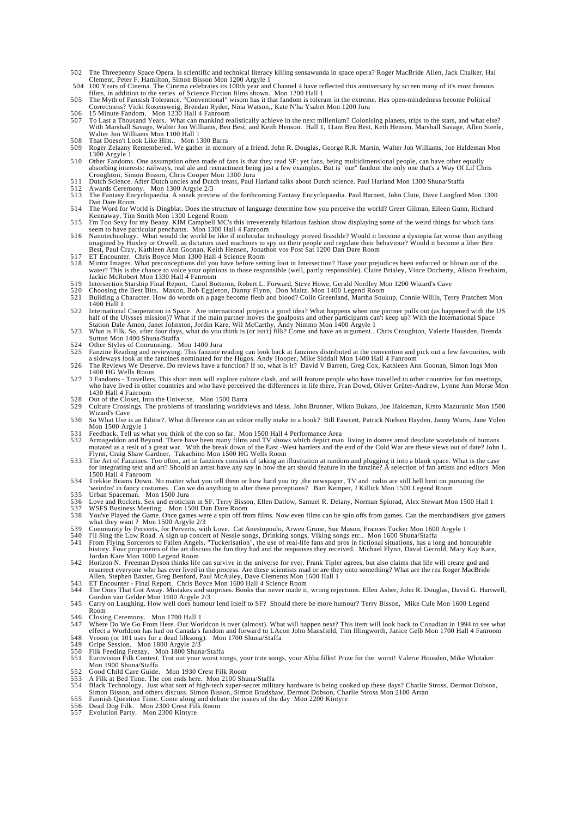- 502 The Threepenny Space Opera. Is scientific and technical literacy killing sensawunda in space opera? Roger MacBride Allen, Jack Chalker, Hal Clement, Peter F. Hamilton, Simon Bisson Mon 1200 Argyle 1
- 504 100 Years of Cinema. The Cinema celebrates its 100th year and Channel 4 have reflected this anniversary by screen many of it's most famous films, in addition to the series of Science Fiction films shown. Mon 1200 Hall 1
- 505 The Myth of Fannish Tolerance. "Conventional" wisom has it that fandom is tolerant in the extreme. Has open-mindedness become Political Correctness? Vicki Rosensweig, Brendan Ryder, Nina Watson,, Kate N'ha Ysabet Mon 1
- 15 Minute Fandom. Mon 1230 Hall 4 Fanroom<br>
507 To Last a Thousand Years. What can mankind realistically achieve in the next millenium? Colonising planets, trips to the stars, and what else?<br>
To Last a Thousand Years. What
- 1300 Argyle 1
- 510 Other Fandoms. One assumption often made of fans is that they read SF: yet fans, being multidimensional people, can have other equally<br>absorbing interests: railways, real ale and reenactment being just a few examples.
- 
- 513 The Fantasy Encyclopaedia. A sneak preview of the forthcoming Fantasy Encyclopaedia. Paul Barnett, John Clute, Dave Langford Mon 1300 Dan Dare Room
- 514 The Word for World is Dingblat. Does the structure of language determine how you perceive the world? Greer Gilman, Eileen Gunn, Richard
- Kennaway, Tim Smith Mon 1300 Legend Room<br>515 I'm Too Sexy for my Beany. KIM Campbell MC's this irreverently hilarious fashion show displaying some of the weird things for which fans<br>seem to have particular penchants. Mon
- 516 Nanotechnology. What would the world be like if molecular technology proved feasible? Would it become a dystopia far worse than anything<br>imagined by Huxley or Orwell, as dictators used machines to spy on their people a
- Jackie McRobert Mon 1330 Hall 4 Fanroom<br>519 Intersection Starship Final Report. Carol Botteron, Robert L. Forward, Steve Howe, Gerald Nordley Mon 1200 Wizard's Cave<br>520 Choosing the Best Bits. Maxon, Bob Eggleton, Da
- 
- 
- 1400 Hall 1
- 522 International Cooperation in Space. Are international projects a good idea? What happens when one partner pulls out (as happened with the US half of the Ulysses mission)? What if the main partner moves the goalposts and other participants can't keep up? With the International Space<br>Station Dale Amon, Janet Johnston, Jordin Kare, Wil McCarthy, Andy Nimmo Mon 140
- Sutton Mon 1400 Shuna/Staffa
- 
- 524 Other Styles of Conrunning. Mon 1400 Jura 525 Fanzine Reading and reviewing. This fanzine reading can look back at fanzines distributed at the convention and pick out a few favourites, with
- a sideways look at the fanzines nominated for the Hugos. Andy Hooper, Mike Siddall Mon 1400 Hall 4 Fanroom<br>526 The Reviews We Deserve. Do reviews have a function? If so, what is it? David V Barrett, Greg Cox, Kathleen Ann 1400 HG Wells Room
- 527 3 Fandoms Travellers. This short item will explore culture clash, and will feature people who have travelled to other countries for fan meetings, who have lived in other countries and who have perceived the differenc 1430 Hall 4 Fanroom
- 
- 528 Out of the Closet, Into the Universe. Mon 1500 Barra 529 Culture Crossings. The problems of translating worldviews and ideas. John Brunner, Wikto Bukato, Joe Haldeman, Krsto Mazuranic Mon 1500 Wizard's Cave 530 So What Use is an Editor?. What difference can an editor really make to a book? Bill Fawcett, Patrick Nielsen Hayden, Janny Wurts, Jane Yolen
- Mon 1500 Argyle 1 531 Feedback. Tell us what you think of the con so far. Mon 1500 Hall 4 Performance Area
- 
- 532 Armageddon and Beyond. There have been many films and TV shows which depict man living in domes amid desolate wastelands of humans<br>mutated as a reslt of a great war. With the break down of the East -West barriers and t
- Flynn, Craig Shaw Gardner, Takachino Mon 1500 HG Wells Room<br>533 The Art of Fanzines. Too often, art in fanzines consists of taking an illustration at random and plugging it into a blank space. What is the case<br>for integrat
- 534 Trekkie Beams Down. No matter what you tell them or how hard you try ,the newspaper, TV and radio are still hell bent on pursuing the 'weirdos' in fancy costumes. Can we do anything to alter these perceptions? Bart Kem 535 Urban Spaceman. Mon 1500 Jura
- 
- 536 Love and Rockets. Sex and eroticism in SF. Terry Bisson, Ellen Datlow, Samuel R. Delany, Norman Spinrad, Alex Stewart Mon 1500 Hall 1<br>537 WSES Business Meeting Mon 1500 Dan Dare Room
- 537 WSFS Business Meeting. Mon 1500 Dan Dare Room 538 You've Played the Game. Once games were a spin off from films. Now even films can be spin offs from games. Can the merchandisers give gamers
- 
- what they want ? Mon 1500 Argyle 2/3<br>
S39 Community by Perverts, for Perverts, with Love. Cat Anestopoulo, Arwen Grune, Sue Mason, Frances Tucker Mon 1600 Argyle 1<br>
S40 I'll Sing the Low Road. A sign up concert of Nessie s
- 142 Horizon N. Freeman Dyson thinks life can survive in the universe for ever. Frank Tipler agrees, but also claims that life will create god and<br>
resurrect everyone who has ever lived in the process. Are these escientists
- 
- 
- 545 Carry on Laughing. How well does humour lend itself to SF? Should there be more humour? Terry Bisson, Mike Cule Mon 1600 Legend Room
- 546 Closing Ceremony. Mon 1700 Hall 1<br>547 Where Do We Go From Here. Our Wor
- 547 Where Do We Go From Here. Our Worldcon is over (almost). What will happen next? This item will look back to Conadian in 1994 to see what<br>effect a Worldcon has had on Canada's fandom and forward to LAcon John Mansfiel
- 
- 
- 549 Gripe Session. Mon 1800 Argyle 2/3<br>550 Filk Feeding Frenzy. Mon 1800 Shuna/Staffa<br>551 Eurovision Filk Contest. Trot out your worst songs, your trite songs, your Abba filks! Prize for the worst! Valerie Housd Mon 1900 Shuna/Staffa
- 552 Good Child Care Guide. Mon 1930 Crest Filk Room 553 A Filk at Bed Time. The con ends here. Mon 2100 Shuna/Staffa
- 554 Black Technology. Just what sort of high-tech super-secret military hardware is being cooked up these days? Charlie Stross, Dermot Dobson, Simon Bisson, and others discuss. Simon Bisson, Simon Bradshaw, Dermot Dobson,
- 555 Fannish Question Time. Come along and debate the issues of the day Mon 2200 Kintyre 556 Dead Dog Filk. Mon 2300 Crest Filk Room 557 Evolution Party. Mon 2300 Kintyre
- 
-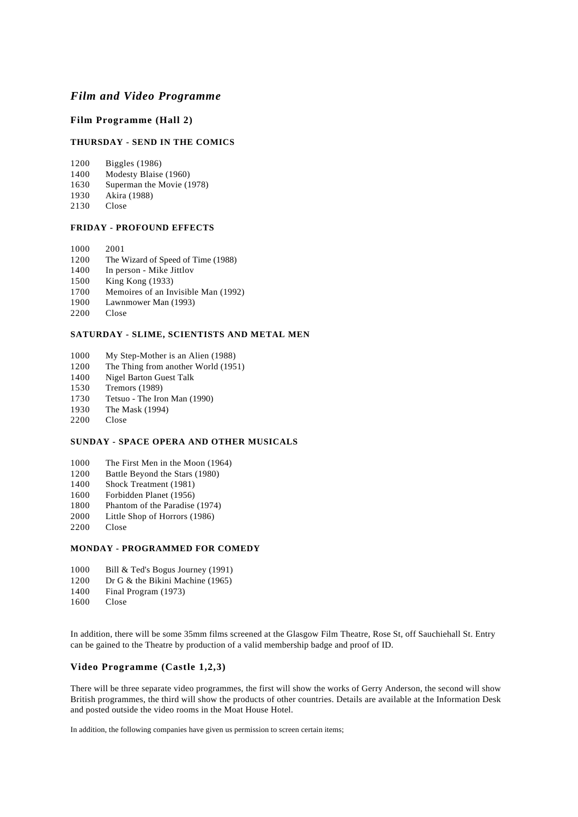# *Film and Video Programme*

# **Film Programme (Hall 2)**

# **THURSDAY - SEND IN THE COMICS**

| 1200 | Biggles $(1986)$          |
|------|---------------------------|
| 1400 | Modesty Blaise (1960)     |
| 1630 | Superman the Movie (1978) |
| 1930 | Akira (1988)              |
|      |                           |

2130 Close

# **FRIDAY - PROFOUND EFFECTS**

1000 2001

- 1200 The Wizard of Speed of Time (1988)
- 1400 In person Mike Jittlov<br>1500 King Kong (1933)
- **King Kong (1933)**
- 1700 Memoires of an Invisible Man (1992)
- 1900 Lawnmower Man (1993)
- 2200 Close

# **SATURDAY - SLIME, SCIENTISTS AND METAL MEN**

- 1000 My Step-Mother is an Alien (1988)
- 1200 The Thing from another World (1951)<br>1400 Nigel Barton Guest Talk
- Nigel Barton Guest Talk
- 1530 Tremors (1989)
- 1730 Tetsuo The Iron Man (1990)
- 1930 The Mask (1994)
- 2200 Close

# **SUNDAY - SPACE OPERA AND OTHER MUSICALS**

- 1000 The First Men in the Moon (1964)
- 1200 Battle Beyond the Stars (1980)
- 1400 Shock Treatment (1981)
- 1600 Forbidden Planet (1956)
- 1800 Phantom of the Paradise (1974)
- 2000 Little Shop of Horrors (1986)
- 2200 Close

# **MONDAY - PROGRAMMED FOR COMEDY**

- 1000 Bill & Ted's Bogus Journey (1991)
- 1200 Dr G & the Bikini Machine (1965)
- 1400 Final Program (1973)
- 1600 Close

In addition, there will be some 35mm films screened at the Glasgow Film Theatre, Rose St, off Sauchiehall St. Entry can be gained to the Theatre by production of a valid membership badge and proof of ID.

#### **Video Programme (Castle 1,2,3)**

There will be three separate video programmes, the first will show the works of Gerry Anderson, the second will show British programmes, the third will show the products of other countries. Details are available at the Information Desk and posted outside the video rooms in the Moat House Hotel.

In addition, the following companies have given us permission to screen certain items;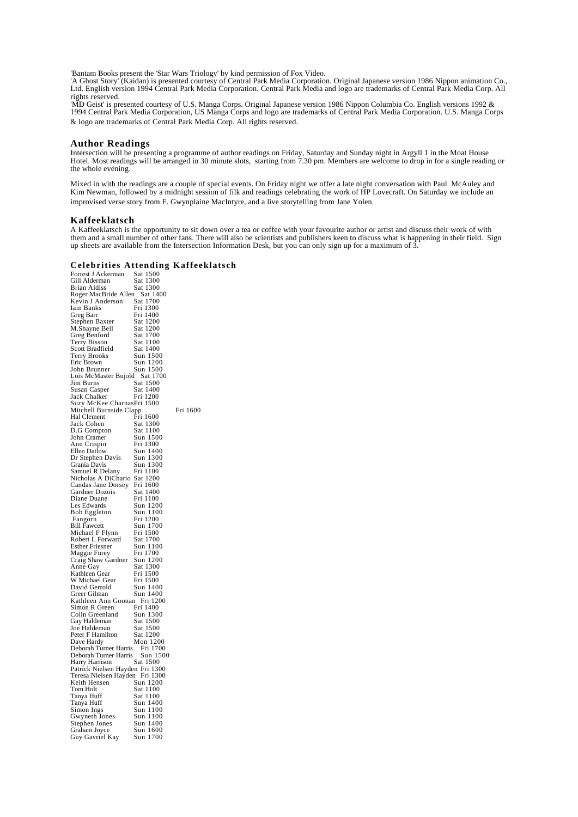'Bantam Books present the 'Star Wars Triology' by kind permission of Fox Video.

'A Ghost Story' (Kaidan) is presented courtesy of Central Park Media Corporation. Original Japanese version 1986 Nippon animation Co., Ltd. English version 1994 Central Park Media Corporation. Central Park Media and logo are trademarks of Central Park Media Corp. All rights reserved.

'MD Geist' is presented courtesy of U.S. Manga Corps. Original Japanese version 1986 Nippon Columbia Co. English versions 1992 & 1994 Central Park Media Corporation, US Manga Corps and logo are trademarks of Central Park Media Corporation. U.S. Manga Corps & logo are trademarks of Central Park Media Corp. All rights reserved.

#### **Author Readings**

Intersection will be presenting a programme of author readings on Friday, Saturday and Sunday night in Argyll 1 in the Moat House Hotel. Most readings will be arranged in 30 minute slots, starting from 7.30 pm. Members are welcome to drop in for a single reading or the whole evening.

Mixed in with the readings are a couple of special events. On Friday night we offer a late night conversation with Paul McAuley and Kim Newman, followed by a midnight session of filk and readings celebrating the work of HP Lovecraft. On Saturday we include an improvised verse story from F. Gwynplaine MacIntyre, and a live storytelling from Jane Yolen.

#### **Kaffeeklatsch**

A Kaffeeklatsch is the opportunity to sit down over a tea or coffee with your favourite author or artist and discuss their work of with them and a small number of other fans. There will also be scientists and publishers keen to discuss what is happening in their field. Sign up sheets are available from the Intersection Information Desk, but you can only sign up for a maximum of 3.

#### **Celebrities Attending Kaffeeklatsch**

| Forrest J Ackerman                  | Sat 1500                    |          |
|-------------------------------------|-----------------------------|----------|
| Gill Alderman                       | Sat 1300                    |          |
| Brian Aldiss                        | Sat 1300                    |          |
| Roger MacBride Allen                | Sat 1400                    |          |
| Kevin J Anderson                    | Sat 1700<br>Fri 1300        |          |
| Iain Banks                          |                             |          |
| Greg Barr                           | Fri 1400                    |          |
| Stephen Baxter                      | Sat 1200                    |          |
| M.Shayne Bell                       | Sat 1200                    |          |
| Greg Benford                        | <b>Sat 1700</b>             |          |
| Terry Bisson                        | Sat 1100                    |          |
|                                     | Sat 1400                    |          |
| Scott Bradfield<br>Terry Brooks     | Sun 1500                    |          |
| Eric Brown                          | Sun 1200                    |          |
| John Brunner                        | Sun 1500                    |          |
| Lois McMaster Bujold                | Sat 1700                    |          |
| Jim Burns                           | Sat 1500                    |          |
| Susan Casper                        | Sat 1400<br>Fri 1200        |          |
| Jack Chalker                        |                             |          |
| Suzy McKee CharnasFri 1500          |                             |          |
| Mitchell Burnside Clapp             |                             | Fri 1600 |
| Hal Clement                         | Fri 1600                    |          |
| Jack Cohen                          | Sat 1300                    |          |
| D.G Compton                         | Sat 1100                    |          |
| John Cramer                         | Sun 1500                    |          |
| Ann Crispin                         | Fri 1300                    |          |
| Ellen Datlow                        | Sun 1400                    |          |
| Dr Stephen Davis                    | Sun 1300                    |          |
| Grania Davis                        | Sun 1300                    |          |
| Samuel R Delany                     | Fri 1100                    |          |
| Nicholas A DiChario Sat 1200        |                             |          |
| Candas Jane Dorsey Fri 1600         |                             |          |
| Gardner Dozois                      | Sat 1400                    |          |
| Diane Duane                         | Fri 1100                    |          |
| Les Edwards                         | Sun 1200                    |          |
| Bob Eggleton                        | Sun 1100                    |          |
| Fangorn                             | Fri 1200                    |          |
| <b>Bill Fawcett</b>                 | Sun 1700                    |          |
| Michael F Flynn                     | Fri 1500                    |          |
| Robert L Forward                    | Sat 1700                    |          |
| <b>Esther Friesner</b>              | Sun 1100                    |          |
| Maggie Furey                        | Fri 1700                    |          |
| Craig Shaw Gardner Sun 1200         |                             |          |
| Anne Gay                            | Sat 1300                    |          |
| Kathleen Gear                       | Fri 1500<br>Fri 1500        |          |
| W Michael Gear                      |                             |          |
| David Gerrold                       | Sun 1400                    |          |
| Greer Gilman<br>Kathleen Ann Goonan | Sun 1400                    |          |
|                                     | Fri 1200<br>Fri 1400        |          |
| Simon R Green                       |                             |          |
| Colin Greenland                     | Sun 1300                    |          |
| Gay Haldeman<br>Joe Haldeman        | Sat 1500                    |          |
| Peter F Hamilton                    | Sat 1500<br><b>Sat 1200</b> |          |
| Dave Hardy                          | Mon 1200                    |          |
| Deborah Turner Harris               | Fri 1700                    |          |
| Deborah Turner Harris               | Sun 1500                    |          |
| Harry Harrison                      | Sat 1500                    |          |
| Patrick Nielsen Hayden Fri 1300     |                             |          |
| Teresa Nielsen Hayden Fri 1300      |                             |          |
| Keith Hensen                        | Sun 1200                    |          |
| <b>Tom Holt</b>                     | Sat 1100                    |          |
|                                     | Sat 1100                    |          |
| Tanya Huff<br>Tanya Huff            | Sun 1400                    |          |
| Simon Ings                          | Sun 1100                    |          |
| Gwyneth Jones                       | Sun 1100                    |          |
| Stephen Jones                       | Sun 1400                    |          |
| Graham Joyce                        | Sun 1600                    |          |
| Guy Gavriel Kay                     | 1700<br>Sun                 |          |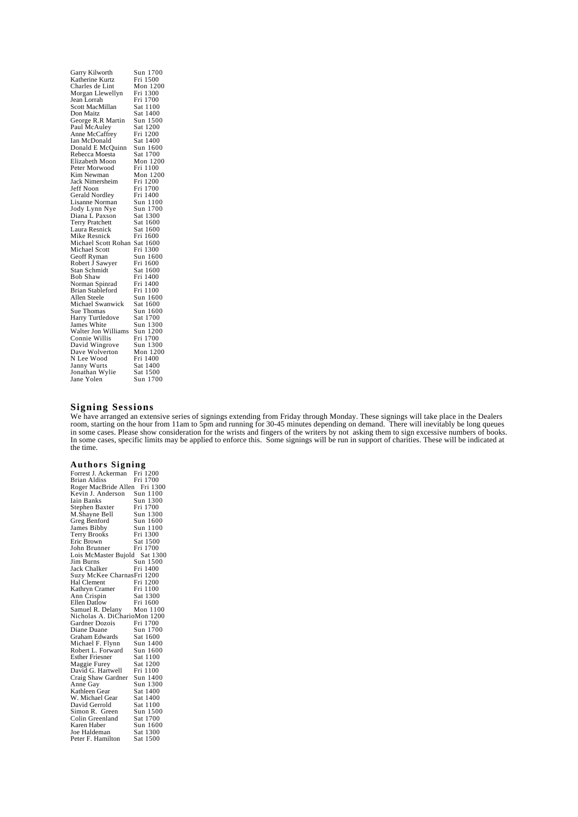| Garry Kilworth                  | Sun 1700               |
|---------------------------------|------------------------|
| Katherine Kurtz                 | Fri 1500               |
| Charles de Lint                 | Mon 1200               |
| Morgan Llewellyn                | Fri 1300               |
| Jean Lorrah                     | Fri 1700               |
| Scott MacMillan                 | Sat 1100               |
| Don Maitz                       | Sat 1400               |
| George R.R Martin               | Sun 1500               |
| Paul McAuley                    | Sat 1200               |
| Anne McCaffrey                  | Fri 1200               |
| Ian McDonald                    | Sat 1400               |
| Donald E McQuinn                | Sun 1600               |
| Rebecca Moesta                  | Sat 1700               |
| Elizabeth Moon                  | Mon 1200               |
| Peter Morwood                   | Fri 1100               |
| Kim Newman                      | Mon 1200               |
| Jack Nimersheim                 | Fri 1200               |
| <b>Jeff Noon</b>                | Fri 1700               |
| Gerald Nordley                  | Fri 1400               |
| <b>Lisanne Norman</b>           | Sun 1100               |
|                                 | Sun 1700               |
| Jody Lynn Nye<br>Diana L Paxson |                        |
|                                 | Sat 1300<br>Sat 1600   |
| Terry Pratchett                 |                        |
| Laura Resnick                   | Sat 1600               |
| Mike Resnick                    | Fri 1600               |
| Michael Scott Rohan             | Sat 1600               |
| Michael Scott                   | Fri 1300               |
| Geoff Ryman                     | Sun 1600               |
| Robert J Sawyer                 | Fri 1600               |
| Stan Schmidt                    | Sat 1600               |
| <b>Bob Shaw</b>                 | Fri 1400               |
| Norman Spinrad                  | Fri 1400               |
| <b>Brian Stableford</b>         | Fri 1100               |
| Allen Steele                    | Sun 1600               |
| Michael Swanwick                | Sat 1600               |
| Sue Thomas                      | Sun 1600               |
| Harry Turtledove                | <b>Sat 1700</b>        |
| James White                     | Sun $\frac{1300}{200}$ |
| Walter Jon Williams             | 1200<br>Sun            |
| Connie Willis                   | Fri 1700               |
| David Wingrove                  | Sun 1300               |
| Dave Wolverton                  | Mon 1200               |
| N Lee Wood                      | Fri 1400               |
| Janny Wurts                     | Sat 1400               |
| Jonathan Wylie                  | Sat 1500               |
| Jane Yolen                      | Sun 1700               |

#### **Signing Sessions**

We have arranged an extensive series of signings extending from Friday through Monday. These signings will take place in the Dealers room, starting on the hour from 11am to 5pm and running for 30-45 minutes depending on demand. There will inevitably be long queues in some cases. Please show consideration for the wrists and fingers of the writers by not asking them to sign excessive numbers of books. In some cases, specific limits may be applied to enforce this. Some signings will be run in support of charities. These will be indicated at the time.

#### **Authors Signing**

| Forrest J. Ackerman           | Fri 1200        |
|-------------------------------|-----------------|
| <b>Brian Aldiss</b>           | Fri 1700        |
| Roger MacBride Allen Fri 1300 |                 |
| Kevin J. Anderson Sun 1100    |                 |
| <b>Iain Banks</b>             | Sun 1300        |
| Stephen Baxter                | Fri 1700        |
| M.Shayne Bell                 | Sun 1300        |
| Greg Benford                  | Sun 1600        |
| James Bibby                   | Sun 1100        |
| <b>Terry Brooks</b>           | Fri 1300        |
| Eric Brown                    | Sat 1500        |
| John Brunner                  | Fri 1700        |
| Lois McMaster Bujold Sat 1300 |                 |
| Jim Burns                     | Sun 1500        |
| Jack Chalker                  | Fri 1400        |
| Suzy McKee CharnasFri 1200    |                 |
| Hal Clement                   | Fri 1200        |
| Kathryn Cramer                | Fri 1100        |
| Ann Crispin                   | Sat 1300        |
| <b>Ellen Datlow</b>           | Fri 1600        |
| Samuel R. Delany              | Mon 1100        |
| Nicholas A. DiCharioMon 1200  |                 |
| Gardner Dozois                | Fri 1700        |
| Diane Duane                   | Sun 1700        |
| <b>Graham Edwards</b>         | Sat 1600        |
| Michael F. Flynn              | Sun 1400        |
| Robert L. Forward             | Sun 1600        |
| <b>Esther Friesner</b>        | Sat 1100        |
| Maggie Furey                  | <b>Sat 1200</b> |
| David G. Hartwell             | Fri 1100        |
| Craig Shaw Gardner            | Sun 1400        |
| Anne Gay                      | Sun 1300        |
| Kathleen Gear                 | Sat 1400        |
| W. Michael Gear               | Sat 1400        |
| David Gerrold                 | Sat 1100        |
| Simon R. Green                | Sun 1500        |
| Colin Greenland               | Sat 1700        |
| Karen Haber                   | Sun 1600        |
| Joe Haldeman                  | Sat 1300        |
| Peter F. Hamilton             | Sat 1500        |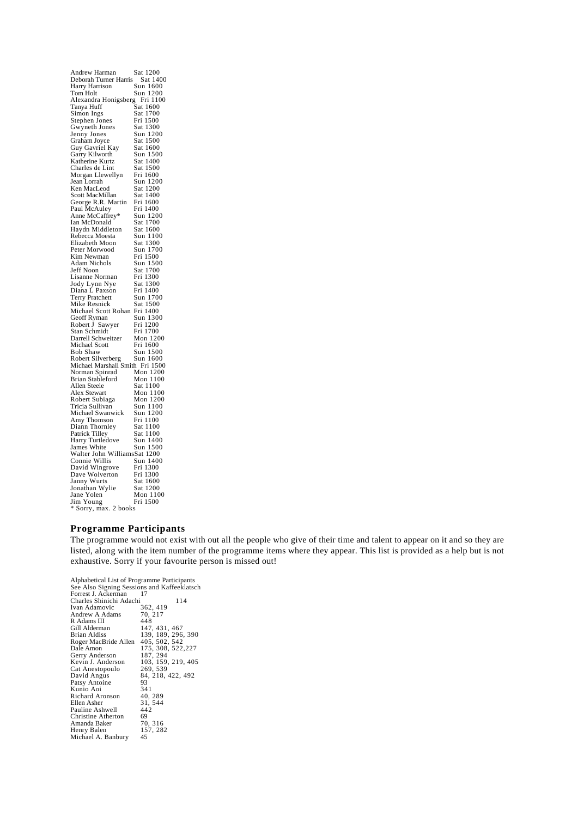| Andrew Harman                                          | Sat 1200                 |
|--------------------------------------------------------|--------------------------|
| Deborah Turner Harris                                  | Sat 1400                 |
| Harry Harrison                                         | Sun 1600<br>Sun 1200     |
| Tom Holt                                               |                          |
| Alexandra Honigsberg                                   | Fri 1100                 |
| Tanya Huff                                             | Sat 1600                 |
| Simon Ings                                             | Sat 1700                 |
| Stephen Jones                                          | Fri 1500                 |
| Gwyneth Jones                                          | Sat 1300                 |
| Jenny Jones                                            | Sun 1200                 |
|                                                        | Sat 1500                 |
| Graham Joyce                                           |                          |
| Guy Gavriel Kay                                        | Sat 1600                 |
| Garry Kilworth<br>Katherine Kurtz                      | Sun 1500<br>Sat 1400     |
|                                                        |                          |
| Charles de Lint                                        | Sat 1500                 |
| Morgan Llewellyn                                       | Fri 1600                 |
| Jean Lorrah                                            | Sun 1200                 |
| Ken MacLeod                                            | <b>Sat 1200</b>          |
| Scott MacMillan                                        | Sat 1400                 |
| George R.R. Martin                                     | Fri 1600                 |
| Paul McAuley                                           | Fri 1400                 |
| Anne McCaffrey*                                        | Sun 1200                 |
| Ian McDonald                                           | Sat 1700                 |
| Haydn Middleton                                        | Sat 1600                 |
| Rebecca Moesta                                         | Sun 1100                 |
| Elizabeth Moon                                         | Sat 1300                 |
| Peter Morwood                                          |                          |
|                                                        | Sun 1700                 |
| Kim Newman                                             | Fri 1500                 |
| Adam Nichols                                           | 1500<br>Sun              |
| Jeff Noon                                              | Sat 1700                 |
| Lisanne Norman                                         | Fri 1300                 |
| Jody Lynn Nye<br>Diana L Paxson                        | Sat 1300                 |
|                                                        | Fri 1400                 |
| Terry Pratchett                                        | Sun 1700                 |
| Mike Resnick                                           | Sat 1500                 |
| Michael Scott Rohan                                    | Fri 1400                 |
| Geoff Ryman                                            | Sun 1300                 |
| Robert J Sawyer                                        | Fri 1200                 |
| Stan Schmidt<br>Darrell Schweitzer                     | Fri 1700                 |
|                                                        | Mon 1200                 |
| Michael Scott                                          | Fri 1600                 |
| Bob Shaw                                               |                          |
| Robert Silverberg                                      | Sun 1500<br>Sun 1600     |
| Michael Marshall Smith Fri 1500                        |                          |
| Norman Spinrad                                         | Mon 1200                 |
| Brian Stableford                                       | Mon $1100$               |
| Allen Steele                                           | Sat 1100                 |
| Alex Stewart                                           | Mon 1100                 |
| Robert Subiaga                                         |                          |
| Tricia Sullivan                                        | Mon $1200$<br>Sun $1100$ |
|                                                        |                          |
| Michael Swanwick                                       | Sun 1200                 |
| Amy Thomson                                            | Fri 1100                 |
| Diann Thornley                                         | Sat 1100                 |
| Patrick Tilley                                         | Sat 1100                 |
| Harry Turtledove                                       | Sun<br>1400              |
| James White                                            | Sun 1500                 |
| Walter John Williams Sat 1200<br>Connie Willis Sun 140 |                          |
|                                                        | Sun 1400                 |
| David Wingrove                                         | Fri 1300                 |
|                                                        | Fri 1300                 |
| Dave Wolverton<br>Janny Wurts                          | Sat 1600                 |
|                                                        | Sat 1200                 |
| Jonathan Wylie<br>Jane Yolen                           | Mon 1100                 |
| Jim Young                                              | Fri 1500                 |
| * Sorry, max. 2 books                                  |                          |

# **Programme Participants**

The programme would not exist with out all the people who give of their time and talent to appear on it and so they are listed, along with the item number of the programme items where they appear. This list is provided as a help but is not exhaustive. Sorry if your favourite person is missed out!

Alphabetical List of Programme Participants See Also Signing Sessions and Kaffeeklatsch Forrest J. Ackerman 17 Charles Shinichi Adachi 114 Ivan Adamovic 362, 419

| Ivan Adamovic        | 362, 419           |
|----------------------|--------------------|
| Andrew A Adams       | 70, 217            |
| R Adams III          | 448                |
| Gill Alderman        | 147, 431, 467      |
| Brian Aldiss         | 139, 189, 296, 390 |
| Roger MacBride Allen | 405, 502, 542      |
| Dale Amon            | 175, 308, 522, 227 |
| Gerry Anderson       | 187.294            |
| Kevin J. Anderson    | 103, 159, 219, 405 |
| Cat Anestopoulo      | 269, 539           |
| David Angus          | 84, 218, 422, 492  |
| Patsy Antoine        | 93                 |
| Kunio Aoi            | 341                |
| Richard Aronson      | 40, 289            |
| Ellen Asher          | 31, 544            |
| Pauline Ashwell      | 442                |
| Christine Atherton   | 69                 |
| Amanda Baker         | 70, 316            |
| Henry Balen          | 157, 282           |
| Michael A. Banbury   | 45                 |
|                      |                    |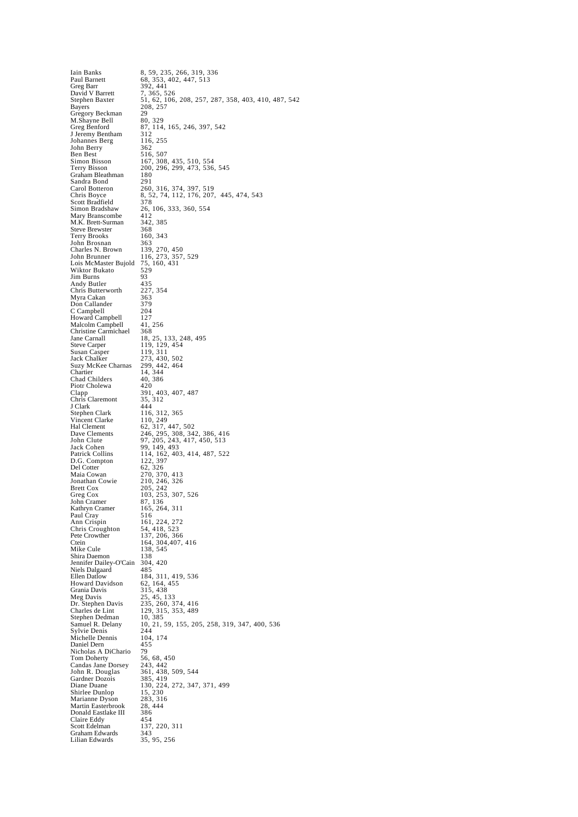Iain Banks 8, 59, 235, 266, 319, 336 Paul Barnett 68, 353, 402, 447, 513 Greg Barr 392, 441 David V Barrett<br>Stephen Baxter Stephen Baxter 51, 62, 106, 208, 257, 287, 358, 403, 410, 487, 542 Bayers 208, 257 Gregory Beckman 29 M.Shayne Bell 80, 329  $87, 114, 165, 246, 397, 542$ <br>312 J Jeremy Bentham<br>
Johannes Berg<br>
John Berry<br>
362 Johannes Berg 116, 255 John Berry 362 Ben Best<br>Simon Bisson Simon Bisson 167, 308, 435, 510, 554 Terry Bisson 200, 296, 299, 473, 536, 545 Terry Bisson 200,<br>Graham Bleathman 180<br>Sandra Bond 291 Sandra Bond<br>Carol Botteron Carol Botteron 260, 316, 374, 397, 519 Chris Boyce 8, 52, 74, 112, 176, 207, 445, 474, 543 Chris Boyce<br>Scott Bradfield<br>Simon Bradshaw  $26, 106, 333, 360, 554$ <br>412<br>342, 385 Mary Branscombe M.K. Brett-Surman 342, 385 Steve Brewster 368 Terry Brooks 160, 343 John Brosnan 363 Franks N. Brown 1363<br>
Charles N. Brown 139, 270, 450<br>
John Brunner 116, 273, 357, 529<br>
Lois McMaster Bujold 15, 160, 431<br>
Wiktor Bukato 529 John Brunner 116, 273, 357, 529 Lois McMaster Bujold 75, 160, 431 Esis memaster Eagera<br>Wiktor Bukato 52<br>Jim Burns 93 Jim Burns 93 Andy Butler 435 Chris Butterworth 227, 354 Chris Butterworth<br>Myra Cakan 363<br>Don Callander 379 Don Callander 379<br>C Campbell 204 C Campbell<br>
Howard Campbell 204<br>
Howard Campbell 21<br>
Malcolm Campbell 41, 256 Howard Campbell 127 Malcolm Campbell 41, 256 Christine Carmichael<br>Jane Carnall Jane Carnall 18, 25, 133, 248, 495 Steve Carper 119, 129, 454 Steve Carper 119, 129, 454<br>
Susan Casper 119, 311<br>
Jack Chalker 273, 430, 502<br>
Jack Charler 273, 442, 464<br>
Chartier 14, 344<br>
Chad Childers 40, 386 Jack Chalker 273, 430, 502 Suzy McKee Charnas 299, 442, 464 Chartier 14, 344 Chad Childers 40, 386 Piotr Cholewa 420  $\frac{391}{35}$ , 403, 407, 487<br>35, 312<br>444 Chris Claremont 35, 312 J Clark 444 Stephen Clark 116, 312, 365 Stephen Clark<br>Vincent Clarke<br>Hal Clement<br>Dave Clements Hal Clement 62, 317, 447, 502 Dave Clements 246, 295, 308, 342, 386, 416 John Clute 97, 205, 243, 417, 450, 513 Jack Cohen 99, 149, 493 Patrick Collins 114, 162, 403, 414, 487, 522 D.G. Compton<br>Del Cotter Del Cotter 62, 326 Maia Cowan 270, 370, 413 Jonathan Cowie 210, 246, 326 Brett Cox 205, 242 Francescher 210, 246, 326<br>
Brett Cox 205, 242<br>
Greg Cox 103, 253, 307, 526 John Cramer  $87, 136$ <br>165, 264, 311<br>516 Kathryn Cramer<br>Paul Cray Ann Crispin 161, 224, 272 Chris Croughton 54, 418, 523 Pete Crowther 137, 206, 366 Ctein 164, 304,407, 416 Mike Cule 138, 545<br>Shira Daemon 138 Shira Daemon Jennifer Dailey-O'Cain 304, 420 Niels Dalgaard 485 Ellen Datlow 184, 311, 419, 536 Howard Davidson<br>Grania Davis Grania Davis 315, 438 Meg Davis 25, 45, 133 Dr. Stephen Davis 235, 260, 374, 416 Charles de Lint 129, 315, 353, 489 Stephen Dedman<br>Samuel R. Delany Samuel R. Delany 10, 21, 59, 155, 205, 258, 319, 347, 400, 536 Sylvie Denis 244 Michelle Dennis 104, 174 Daniel Dern 455 Nicholas A DiChario 79 Tom Doherty 56, 68, 450 Candas Jane Dorsey 243, 442  $\begin{array}{c} 79 \\ 56, 68, 450 \\ 243, 442 \\ 361, 438, 509, 544 \\ 385, 419 \\ 272, 247 \end{array}$ John R. Douglas<br>Gardner Dozois 363, 412<br>
130, 224, 272, 347, 371, 499<br>
15, 230<br>
28, 444<br>
28, 444 Diane Duane<br>Shirlee Dunlop Marianne Dyson 283, 316 Martin Easterbrook 28, 444 Donald Eastlake III 386<br>Claire Eddy 454 Claire Eddy<br>Scott Edelman  $\frac{137}{343}$ , 220, 311 Graham Edwards<br>Lilian Edwards  $35, 95, 256$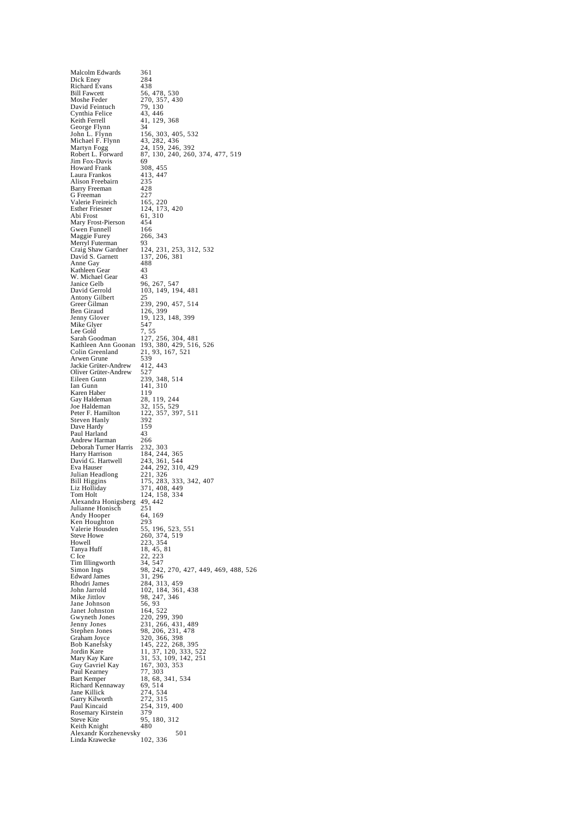Malcolm Edwards 361<br>Dick Eney 284 Dick Eney 284 Richard Evans 438 Bill Fawcett 56, 478, 530 Moshe Feder 270, 357, 430 David Feintuch<br>
David Feintuch 79, 130<br>
Cynthia Felice 43, 446<br>
Keith Ferrell 41, 129, 368 Cynthia Felice 43, 446 Keith Ferrell 41, 129, 368 George Flynn 34 John L. Flynn 156, 303, 405, 532 George Frym<br>John L. Flynn<br>Michael F. Flynn<br>Martyn Fogg Martyn Fogg 24, 159, 246, 392 Robert L. Forward 87, 130, 240, 260, 374, 477, 519 Robert L. Forward<br>Jim Fox-Davis<br>Howard Frank Howard Frank 308, 455 Laura Frankos 413,<br>Alison Freebairn 235 Alison Freebairn 235<br>Barry Freeman 428 Barry Freeman 428<br>G Freeman 227 G Freeman 227 Valerie Freireich 165, 220 Esther Friesner 124, 173, 420 Abi Frost 61, 310 Mary Frost-Pierson 454 Gwen Funnell 166 Maggie Furey 266, 343 Merryl Futerman 93 Craig Shaw Gardner 124, 231, 253, 312, 532 David S. Garnett 137, 206, 381 Anne Gay 488 Kathleen Gear 43 W. Michael Gear 43 Janice Gelb 96, 267, 547 W. Michael Geal<br>
Janice Gelb 96, 267, 547<br>
David Gerrold 103, 149, 194, 481 Antony Gilbert<br>Greer Gilman 25<br>239, 290, 457, 514<br>126, 399 Ben Giraud Jenny Glover 19, 123, 148, 399 Jenny Glover<br>Mike Glyer Lee Gold<br>Sarah Goodman Sarah Goodman 127, 256, 304, 481 Kathleen Ann Goonan 193, 380, 429, 516, 526 Kathleen Ann Goonan 193, 380,<br>Colin Greenland 21, 93, 14<br>Arwen Grune 259<br>Jackie Grüter-Andrew 412, 443<br>Oliver Grüter-Andrew 527 Arwen Grune 539 Jackie Grüter-Andrew 412, 443 Oliver Grüter-Andrew<br>Eileen Gunn Eileen Gunn 239, 348, 514 Ian Gunn 141, 310 Karen Haber Gay Haldeman<br>Joe Haldeman Joe Haldeman 32, 155, 529 Peter F. Hamilton 122, 357, 397, 511 Steven Hanly 392<br>Dave Hardy 159 Dave Hardy 159 Paul Harland 43 Andrew Harman 266 Deborah Turner Harris 232, 303 Harry Harrison 184, 244, 365 David G. Hartwell 243, 361, 544 426<br>
232, 303<br>
184, 244, 365<br>
243, 361, 544<br>
244, 292, 310, 429<br>
221, 326<br>
232, 333, 342 Eva Hauser<br>Julian Headlong<br>Bill Higgins<br>Liz Holliday Bill Higgins 175, 283, 333, 342, 407 Liz Holliday 371, 408, 449 Tom Holt 124, 158, 334<br>Alexandra Honigsberg 49, 442<br>Julianne Honisch 251 Alexandra Honigsberg 49, 442 Julianne Honisch 251 Andy Hooper 64, 169 Ken Houghton<br>Valerie Housden Valerie Housden 55, 196, 523, 551 Steve Howe 260, 374, 519 Howell 223, 354 Tanya Huff 18, 45, 81<br>C Ice 22, 223 C Ice 22, 223 Tim Illingworth 34, 547 Simon Ings<br>
Tim Illingworth 34, 547<br>
Simon Ings 98, 242, 270, 427, 449, 469, 488, 526<br>
Edward James 31, 296 Edward James<br>Rhodri James Rhodri James 284, 313, 459 John Jarrold 102, 184, 361, 438 Mike Jittlov 98, 247, 346 Jane Johnson 56, 93 Janet Johnston 164, 522 Gwyneth Jones<br>
220, 299, 390<br>
Jenny Jones<br>
231, 266, 431, 489<br>
Stephen Jones<br>
98, 206, 231, 478<br>
Graham Joyce<br>
320, 366, 398<br>
Bob Kanefsky<br>
145, 222, 268, 395<br>
Mary Kay Kare<br>
21, 37, 120, 333, 522<br>
Mary Kay Kare<br>
21, 53, 1 Mary Kay Kare<br>Guy Gavriel Kay Paul Kearney<br>Bart Kemper 31, 33, 109, 142<br>167, 303, 353<br>77, 303<br>18, 68, 341, 534 Richard Kennaway Jane Killick Garry Kilworth<br>Paul Kincaid 18, 08, 341, 3.<br>69, 514<br>274, 534<br>272, 315<br>254, 319, 400<br>379 Rosemary Kirstein 379<br>Steve Kite 95, 180, 312 Steve Kite 95, 180, 312 Keith Knight 480 Alexandr Korzhenevsky 501 Linda Krawecke 102, 336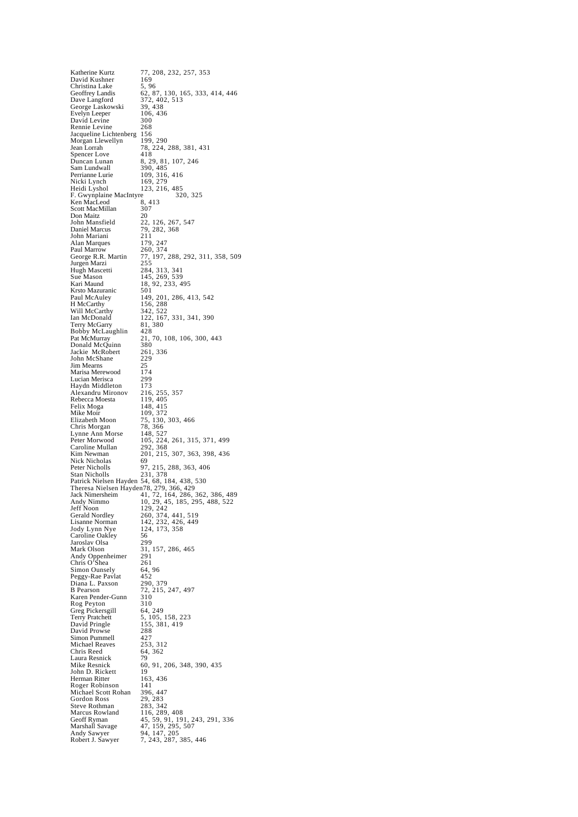77, 208, 232, 257, 353<br>169 Katherine Kurtz<br>David Kushner Christina Lake<br>Geoffrey Landis  $5,96$ <br>  $62,87,130,165,333,414,446$ <br>  $372,402,513$ <br>  $39,438$ Dave Langford 372, 402, 513 George Laskowski 39, 438 Evelyn Leeper 106, 436<br>
David Levine 300<br>
Rennie Lichtenberg 156<br>
Morgan Llewellyn 199, 290<br>
Jean Lorrah 78, 224, 288, 381, 431<br>
Spencer Love 418<br>
Duncan Lunan 8, 29, 81, 107, 246 Sam Lundwall 390, 485 Perrianne Lurie 109, 316, 416 Nicki Lynch<br>Heidi Lyshol Heidi Lyshol 123, 216, 485 F. Gwynplaine MacIntyre 320, 325 Ken MacLeod 8, 413 Scott MacMillan 307 Don Maitz 20<br>John Mansfield 22 John Mansfield 22, 126, 267, 547 Daniel Marcus 79, 282, 368 John Mariani 211 Alan Marques 179, 247 Paul Marrow 260, 374 George R.R. Martin 77, 197, 288, 292, 311, 358, 509 Jurgen Marzi<br>Hugh Mascetti Hugh Mascetti<br>
Hugh Mascetti<br>
284, 313, 341<br>
Sue Mason 145, 269, 539<br>
Kari Maund 18, 92, 233, 4 Sue Mason 145, 269, 539 Kari Maund 18, 92, 233, 495 Krsto Mazuranic<br>Paul McAuley 901<br>
149, 201, 286, 413, 542<br>
156, 288<br>
342, 522 H McCarthy 156, 288 Will McCarthy 342, 522  $122, 167, 331, 341, 390$ <br>81, 380 **Terry McGarry** Bobby McLaughlin 428  $\frac{428}{21, 70, 108, 106, 300, 443}$ <br>380 Donald McQuinn 380 Jackie McRobert 261, 336 John McShane<br>
Jim Mearns 229<br>
Marisa Merewood 174 **Jim Mearns** Marisa Merewood 174<br>
Lucian Merisca 299 Lucian Merisca 299 Haydn Middleton 173 Alexandru Mironov 216, 255, 357 Rebecca Moesta 119, 405 Felix Moga 148, 415 Mike Moir<br>
Elizabeth Moon 75, 130, Elizabeth Moon 75, 130, 303, 466 Chris Morgan 78, 366 Lynne Ann Morse 148, 527 Peter Morwood 105, 224, 261, 315, 371, 499 Peter Morwood<br>Caroline Mullan<br>Kim Newman  $201, 215, 307, 363, 398, 436$ Nick Nicholas<br>Peter Nicholls Nick Nicholas<br>
Peter Nicholls 97, 215, 288, 363, 406<br>
Stan Nicholls 231, 378 Stan Nicholls<br>
Patrick Nielsen Hayden 54, 68, 184, 438, 530<br>
Patrick Nielsen Hayden 78, 279, 366, 429<br>
Jack Nimersheim 41, 72, 164, 286, 362, 386, 489<br>
Andy Nimmo 10, 29, 45, 185, 295, 488, 522<br>
Jeff Noon 129, 242<br>
Leff No Lisanne Norman<br>
142, 232, 426, 449<br>
Jody Lynn Nye 124, 173, 358<br>
Caroline Oakley 56 Caroline Oakley 56 Jaroslav Olsa 299 Mark Olson 31, 157, 286, 465 Andy Oppenheimer 291 Chris O'Shea 261 Simon Ounsely 64, 96 Peggy-Rae Pavlat 452 Diana L. Paxson 290, 379 Example 18 Avenue 1862<br>
Diana L. Paxson 290, 379<br>
B Pearson 22, 215, 247, 497<br>
Kacen Pender-Gunn 310 Karen Pender-Gunn Rog Peyton 310 Greg Pickersgill 64, 249 Terry Pratchett 5, 105, 158, 223 David Pringle 155, 381, 419 David Prowse 288 Simon Pummell 427 David Prowse<br>
Simon Pummell<br>
Michael Reaves<br>
253, 312<br>
Chris Reed<br>
64, 362 Chris Reed 64<br>Laura Respick 79 Laura Resnick<br>Mike Resnick  $\frac{60}{19}$ , 91, 206, 348, 390, 435 John D. Rickett 19<br>Herman Ritter 163, 436 Ferman Ritter 163, 436<br>
Roger Robinson 141<br>
Michael Scott Rohan 396, 447 Roger Robinson 141 Michael Scott Rohan 396, 447 mienaer bebit<br>Gordon Ross Steve Rothman<br>Marcus Rowland Marcus Rowland 116, 289, 408 Geoff Ryman 45, 59, 91, 191, 243, 291, 336 Marshall Savage 47, 159, 295, 507 Marshall Savage<br>Andy Sawyer<br>Robert J. Sawyer Robert J. Sawyer 7, 243, 287, 385, 446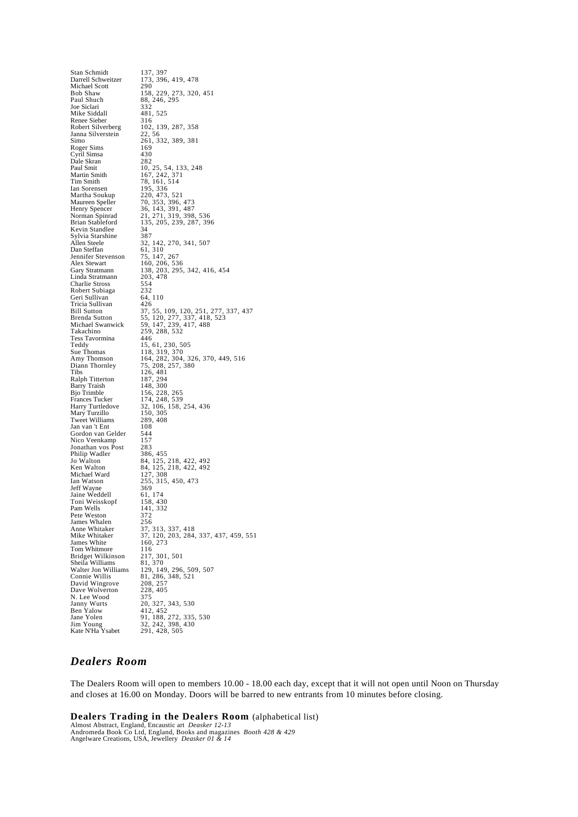Stan Schmidt<br>Darrell Schweitzer 137, 397<br>173, 396, 419, 478<br>290 Michael Scott<br>Bob Shaw Bob Shaw 158, 229, 273, 320, 451  $\frac{88}{332}$ , 246, 295 Paul Shuch<br>
Joe Siclari 332<br>
Mike Siddall 481, 525 Mike Siddall 481<br>Renee Sieber 316 Renee Sieber<br>Robert Silverberg  $102, 139, 287, 358$ Janna Silverstein 22, 56<br>261, 332, 389, 381<br>169 Simo<br>
Roger Sims<br>
Roger Sims<br>
169<br>
Cyril Simsa<br>
Dale Skran<br>
282 Cyril Simsa 430 Dale Skran 282 Paul Smit 10, 25, 54, 133, 248 Martin Smith 167, 242, 371 Tim Smith 78, 161, 514 Ian Sorensen<br>Martha Soukup Martha Soukup 220, 473, 521<br>Maureen Speller 70, 353, 396, 473<br>Henry Spencer 36, 143, 391, 487<br>Norman Spinrad 21, 271, 319, 398, 536 Brian Stableford 135, 205, 239, 287, 396<br>Kevin Standlee 34 Kevin Standlee Sylvia Starshine<br>Allen Steele Sylvia Starshine<br>
Allen Steele 32, 142, 270, 341, 507<br>
Dan Steffan 61, 310  $\begin{array}{c} 61, 310 \\ 75, 147, 267 \end{array}$ Jennifer Stevenson<br>Alex Stewart<br>Gary Stratmann Alex Stewart 160, 206, 536 Gary Stratmann 138, 203, 295, 342, 416, 454 Linda Stratmann 203, 478<br>Charlie Stross 554 Charlie Stross 554<br>Robert Subiaga 232 Robert Subiaga<br>
Geri Sullivan (64, 110) Geri Sullivan Tricia Sullivan<br>Bill Sutton Tricia Sullivan<br>
Bill Sutton 37, 55, 109, 120, 251, 277, 337, 437<br>
Bill Sutton 55, 120, 277, 337, 418, 523<br>
Michael Swanwick 59, 147, 239, 417, 488 Brenda Sutton 55, 120, 277, 337, 418, 523 Michael Swanwick 59, 147, 239, 417, 488 Takachino 259, 288, 532<br>Tess Tavormina 446 Tess Tavormina<br>Teddy<br>Sue Thomas Teddy 15, 61, 230, 505<br>
Sue Thomas 118, 319, 370<br>
Amy Thomson 164, 282, 304, 326, 370, 449, 516<br>
Diann Thornley 75, 208, 257, 380<br>
Tibs 126, 481 Ralph Titterton Barry Traish<br>Bjo Trimble Bjo Trimble 156, 228, 265 Frances Tucker<br>Harry Turtledove 174, 248, 539<br>
32, 106, 158, 254, 436<br>
50, 305<br>
289, 408 Mary Turzillo Tweet Williams 289 Jan van 't Ent 108 Gordon van Gelder 544 Nico Veenkamp 157 Jonathan vos Post 283 Philip Wadler 386, 455<br>
Jo Walton 84, 125, Jo Walton 84, 125, 218, 422, 492 Ken Walton 84, 125, 218, 422, 492 Ken Walton<br>Michael Ward 255, 315, 450, 473<br>369 Jeff Wayne 369 Jaine Weddell 61, 174 Toni Weisskopf 158, 430 Pam Wells 141, 332 Pete Weston 372 Jeff Wayne<br>
Jame Weddell<br>
Jame Wedsskopf<br>
Toni Weisskopf<br>
158, 430<br>
Pam Wells<br>
141, 332<br>
James Whalen<br>
256<br>
Anne Whitaker<br>
276<br>
256<br>
276<br>
276<br>
276<br>
276<br>
276<br>
276 Anne Whitaker 37, 313, 337, 418 Mike Whitaker 37, 120, 203, 284, 337, 437, 459, 551 James White<br>
Tom Whitmore<br>
160, 273<br>
Tom Whitmore<br>
116<br>
Bridget Wilkinson<br>
217, 301, 501 Tom Whitmore Bridget Wilkinson Sheila Williams 81, 370  $217, 301, 301$ <br>  $81, 370$ <br>  $129, 149, 296, 509, 507$ <br>  $81, 286, 348, 521$ <br>  $208, 257$ <br>  $228, 405$ <br>  $375$ <br>  $373, 343, 530$ Connie Willis 81, 286, 348, 521 David Wingrove Dave Wolverton 228, 405 N. Lee Wood 375  $\frac{20}{12}$ , 327, 343, 530<br>412, 452 Janny Wurts<br>Ben Yalow<br>Jane Yolen Jane Yolen 91, 188, 272, 335, 530 Jim Young 32, 242, 398, 430 Kate N'Ha Ysabet 291, 428, 505

# *Dealers Room*

The Dealers Room will open to members 10.00 - 18.00 each day, except that it will not open until Noon on Thursday and closes at 16.00 on Monday. Doors will be barred to new entrants from 10 minutes before closing.

**Dealers Trading in the Dealers Room** (alphabetical list)

Almost Abstract, England, Encaustic art *Deasker 12-13* Andromeda Book Co Ltd, England, Books and magazines *Booth 428 & 429* Angelware Creations, USA, Jewellery *Deasker 01 & 14*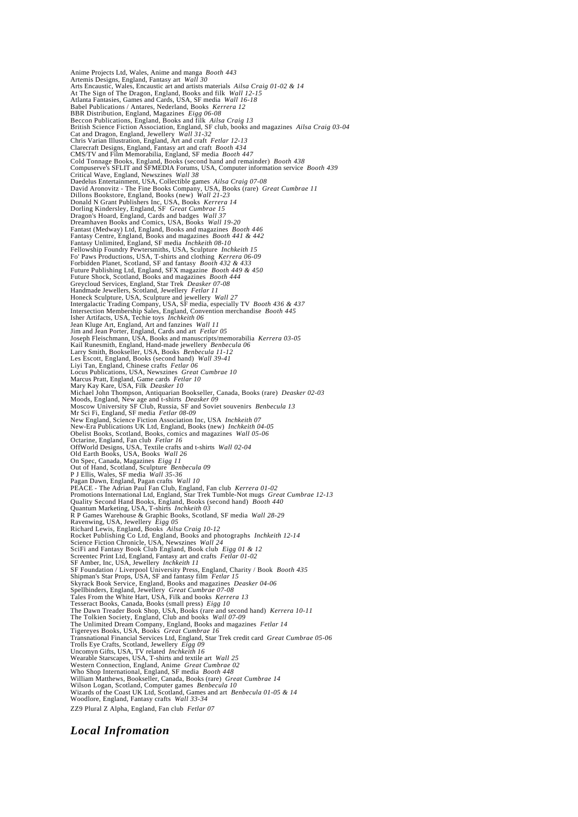Anime Projects Ltd, Wales, Anime and manga *Booth 443*<br>Artemis Designs, England, Fantasy art *Wall 30*<br>Arts Encaustic, Wales, Encaustic art and artists materials *Ailsa Craig 01-02 & 14*<br>Art The Sign of The Dragon, England BBR Distribution, England, Magazines Eigg 06-08<br>Becon Publications, England, Books and filk Ailsa Craig 13<br>British Science Fiction Association, England, SF club, books and magazines Ailsa Craig 03-04<br>Cat and Dragon, Englan CMS/TV and Film Memorabilia, England, SF media *Booth 447* Cold Tonnage Books, England, Books (second hand and remainder) *Booth 438* Compuserve's SFLIT and SFMEDIA Forums, USA, Computer information service *Booth* 439<br>Critical Wave, England, Newszines *Wall 38*<br>Daedelus Entertainment, USA, Collectible games *Ailsa Craig 07-08*<br>David Aronovitz - The Fine Fantasy Centre, England, Books and magazines *Booth 441 & 442* Fantasy Unlimited, England, SF media *Inchkeith 08-10* Fellowship Foundry Pewtersmiths, USA, Sculpture *Inchkeith 15*<br>Fo' Paws Productions, USA, T-shirts and clothing *Kerrera 06-09*<br>Forbidden Planet, Scotland, SF and fantasy *Booth 432 & 433*<br>Future Publishing Ltd, England, S Future Shock, Scotland, Books and magazines *Booth 444* Greycloud Services, England, Star Trek *Deasker 07-08* Handmade Jewellers, Scotland, Jewellery Fetlar 11<br>Honeck Sculpture, USA, Sculpture and jewellery Wall 27<br>Intergalactic Trading Company, USA, SF media, especially TV *Booth 436 & 437*<br>Intersection Membership Sales, England, Isher Artifacts, USA, Techie toys *Inchkeith 06* Jean Kluge Art, England, Art and fanzines *Wall 11* Jim and Jean Porter, England, Cards and art *Fetlar 05*<br>Joseph Fleischmann, USA, Books and manuscripts/memorabilia *Kerrera 03-05*<br>Kail Runesmith, England, Hand-made jewellery *Benbecula 06*<br>Larry Smith, Bookseller, USA, B Les Escott, England, Books (second hand) *Wall 39-41*<br>Liyi Tan, England, Chinese crafts *Felar 06*<br>Locus Publications, USA, Newszines *Great Cumbrae 10*<br>Marcus Pratt, England, Game cards *Fetlar 10*<br>Mary Kay Kare, USA, Fil Moods, England, New age and i-shirts *Deasker* 09<br>Moscow University SF Club, Russia, SF and Soviet souvenirs *Benbecula 13*<br>Mr Sci Fi, England, SF media *Fetlar 08-09*<br>New England, Science Fiction Association Inc, USA *Inc* Octarine, England, Fan club *Fetlar 16*<br>OffWorld Designs, USA, Textile crafts and t-shirts *Wall 02-04*<br>Old Earth Books, USA, Books *Wall 26*<br>On Spec, Canada, Magazines *Eigg 11*<br>Out of Hand, Scotland, Sculpture *Benbecula* Pagan Dawn, England, Pagan crafts *Wall 10*<br>PEACE - The Adrian Paul Fan Club, England, Fan club *Kerrera 01-02*<br>Promotions International Ltd, England, Star Trek Tumble-Not mugs *Great Cumbrae 12-13*<br>Quality Second Hand Boo Ravenwing, USA, Jewellery *Eigg 05*<br>Richard Lewis, England, Books *Ailsa Craig 10-12*<br>Rocket Publishing Co Ltd, England, Books and photographs *Inchkeith 12-14*<br>Science Fiction Chronicle, USA, Newszines *Wall 24*<br>SciFi and SF Amber, Inc, USA, Jewellery *Inchkeith 11*<br>SF Foundation / Liverpool University Press, England, Charity / Book *Booth 435*<br>Shipman's Star Props, USA, SF and fantasy film *Fetlar 15* Skyrack Book Service, England, Books and magazines *Deasker 04-06* Spellbinders, England, Jewellery *Great Cumbrae 07-08* Tales From the White Hart, USA, Filk and books *Kerrera 13* Tesseract Books, Canada, Books (small press) *Eigg 10*<br>The Dawn Treader Book Shop, USA, Books (rare and second hand) *Kerrera 10-11*<br>The Tolkien Society, England, Club and books Wall 07-09<br>The Unlimited Dream Company, Engl Trolls Eye Crafts, Scotland, Jewellery *Eigg 09*<br>Uncomyn Gifts, USA, TV related *Inchkeith 16*<br>Wearable Starscapes, USA, T-shirts and textile art *Wall 25*<br>Western Connection, England, Anime *Great Cumbrae 02*<br>Who Shop Int Wilson Logan, Scotland, Computer games *Benbecula 10* Wizards of the Coast UK Ltd, Scotland, Games and art *Benbecula 01-05 & 14* Woodlore, England, Fantasy crafts *Wall 33-34* ZZ9 Plural Z Alpha, England, Fan club *Fetlar 07*

# *Local Infromation*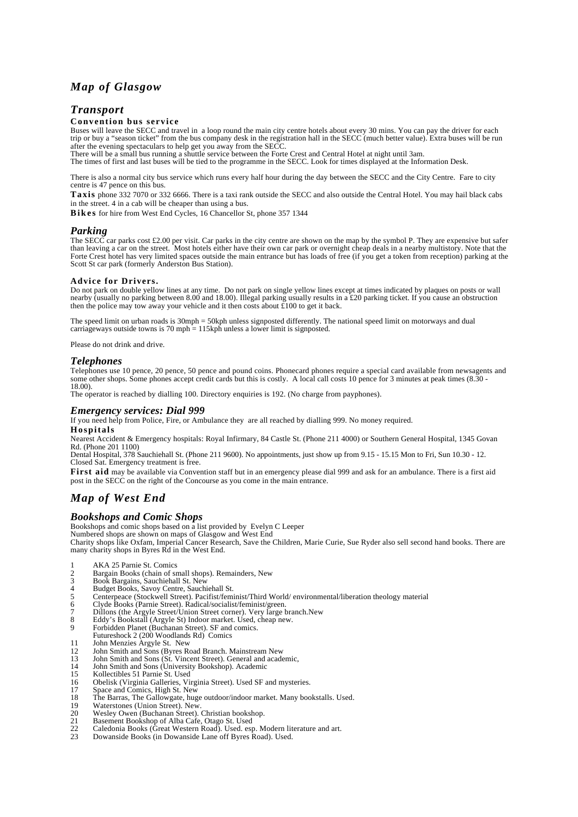# *Map of Glasgow*

# *Transport*

#### **Convention bus service**

Buses will leave the SECC and travel in a loop round the main city centre hotels about every 30 mins. You can pay the driver for each trip or buy a "season ticket" from the bus company desk in the registration hall in the SECC (much better value). Extra buses will be run after the evening spectaculars to help get you away from the SECC.

There will be a small bus running a shuttle service between the Forte Crest and Central Hotel at night until 3am.

The times of first and last buses will be tied to the programme in the SECC. Look for times displayed at the Information Desk.

There is also a normal city bus service which runs every half hour during the day between the SECC and the City Centre. Fare to city centre is 47 pence on this bus.

**Taxis** phone 332 7070 or 332 6666. There is a taxi rank outside the SECC and also outside the Central Hotel. You may hail black cabs in the street. 4 in a cab will be cheaper than using a bus.

**Bikes** for hire from West End Cycles, 16 Chancellor St, phone 357 1344

# *Parking*

The SECC car parks cost £2.00 per visit. Car parks in the city centre are shown on the map by the symbol P. They are expensive but safer than leaving a car on the street. Most hotels either have their own car park or overnight cheap deals in a nearby multistory. Note that the Forte Crest hotel has very limited spaces outside the main entrance but has loads of free (if you get a token from reception) parking at the Scott St car park (formerly Anderston Bus Station).

#### **Advice for Drivers.**

Do not park on double yellow lines at any time. Do not park on single yellow lines except at times indicated by plaques on posts or wall nearby (usually no parking between 8.00 and 18.00). Illegal parking usually results in a £20 parking ticket. If you cause an obstruction then the police may tow away your vehicle and it then costs about £100 to get it back.

The speed limit on urban roads is 30mph = 50kph unless signposted differently. The national speed limit on motorways and dual carriageways outside towns is 70 mph = 115kph unless a lower limit is signposted.

Please do not drink and drive.

#### *Telephones*

Telephones use 10 pence, 20 pence, 50 pence and pound coins. Phonecard phones require a special card available from newsagents and some other shops. Some phones accept credit cards but this is costly. A local call costs 10 pence for 3 minutes at peak times (8.30 - 18.00).

The operator is reached by dialling 100. Directory enquiries is 192. (No charge from payphones).

# *Emergency services: Dial 999*

If you need help from Police, Fire, or Ambulance they are all reached by dialling 999. No money required. **Hospitals**

Nearest Accident & Emergency hospitals: Royal Infirmary, 84 Castle St. (Phone 211 4000) or Southern General Hospital, 1345 Govan Rd. (Phone 201 1100)

Dental Hospital, 378 Sauchiehall St. (Phone 211 9600). No appointments, just show up from 9.15 - 15.15 Mon to Fri, Sun 10.30 - 12. Closed Sat. Emergency treatment is free.

**First aid** may be available via Convention staff but in an emergency please dial 999 and ask for an ambulance. There is a first aid post in the SECC on the right of the Concourse as you come in the main entrance.

# *Map of West End*

### *Bookshops and Comic Shops*

Bookshops and comic shops based on a list provided by Evelyn C Leeper Numbered shops are shown on maps of Glasgow and West End

Charity shops like Oxfam, Imperial Cancer Research, Save the Children, Marie Curie, Sue Ryder also sell second hand books. There are many charity shops in Byres Rd in the West End.

- 1 AKA 25 Parnie St. Comics<br>2 Bargain Books (chain of sr
- 2 Bargain Books (chain of small shops). Remainders, New
- 3 Book Bargains, Sauchiehall St. New
- 4 Budget Books, Savoy Centre, Sauchiehall St.
- 5 Centerpeace (Stockwell Street). Pacifist/feminist/Third World/ environmental/liberation theology material
- 6 Clyde Books (Parnie Street). Radical/socialist/feminist/green.
- 7 Dillons (the Argyle Street/Union Street corner). Very large branch.New
- 8 Eddy's Bookstall (Argyle St) Indoor market. Used, cheap new.
- 9 Forbidden Planet (Buchanan Street). SF and comics. Futureshock 2 (200 Woodlands Rd) Comics
- 
- 11 John Menzies Argyle St. New<br>12 John Smith and Sons (Byres Ro 12 John Smith and Sons (Byres Road Branch. Mainstream New
- 13 John Smith and Sons (St. Vincent Street). General and academic,
- 14 John Smith and Sons (University Bookshop). Academic<br>15 Kollectibles 51 Parnie St. Used
- 
- 15 Kollectibles 51 Parnie St. Used<br>16 Obelisk (Virginia Galleries, Virginia Galleries, Virginia Galleries, Paradicus, High St. Ne 16 Obelisk (Virginia Galleries, Virginia Street). Used SF and mysteries.
- 17 Space and Comics, High St. New
- 18 The Barras, The Gallowgate, huge outdoor/indoor market. Many bookstalls. Used.
- 19 Waterstones (Union Street). New.<br>20 Wesley Owen (Buchanan Street).
- 20 Wesley Owen (Buchanan Street). Christian bookshop.<br>21 Basement Bookshop of Alba Cafe, Otago St. Used
- 21 Basement Bookshop of Alba Cafe, Otago St. Used<br>22 Caledonia Books (Great Western Road). Used. esp<br>23 Dowanside Books (in Dowanside Lane off Byres I 22 Caledonia Books (Great Western Road). Used. esp. Modern literature and art.
- 23 Dowanside Books (in Dowanside Lane off Byres Road). Used.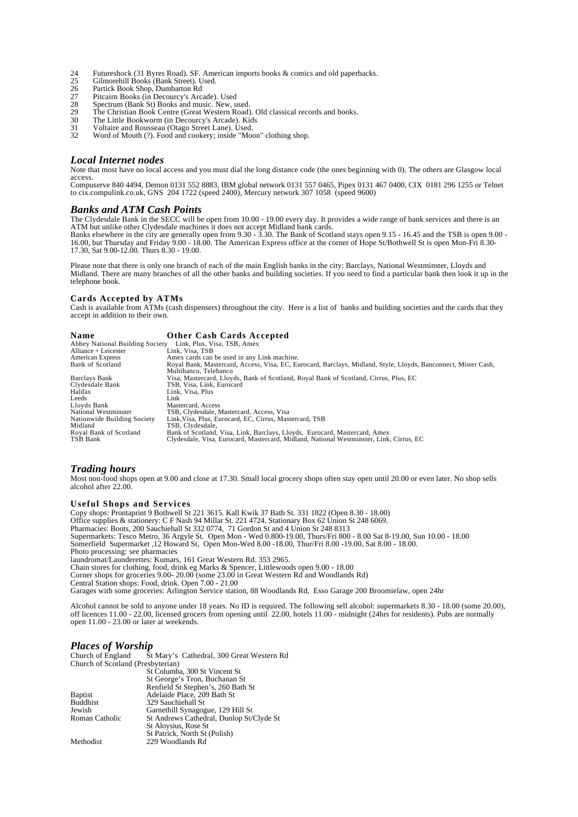- 24 Futureshock (31 Byres Road). SF. American imports books & comics and old paperbacks.<br>25 Gilmorehill Books (Bank Street). Used.<br>26 Partick Book Shop, Dumbarton Rd<br>27 Fitcairn Books (in Decourcy's Arcade). Used
- Gilmorehill Books (Bank Street). Used.
- Partick Book Shop, Dumbarton Rd
- 27 Pitcairn Books (in Decourcy's Arcade). Used<br>28 Spectrum (Bank St) Books and music. New, u.<br>29 The Christian Book Centre (Great Western Ro 28 Spectrum (Bank St) Books and music. New, used.
- 29 The Christian Book Centre (Great Western Road). Old classical records and books.
- 30 The Little Bookworm (in Decourcy's Arcade). Kids
- 31 Voltaire and Rousseau (Otago Street Lane). Used.<br>32 Word of Mouth (?) Food and cookery: inside "Mo
- Word of Mouth (?). Food and cookery; inside "Moon" clothing shop.

#### *Local Internet nodes*

Note that most have no local access and you must dial the long distance code (the ones beginning with 0). The others are Glasgow local access.

Compuserve 840 4494, Demon 0131 552 8883, IBM global network 0131 557 0465, Pipex 0131 467 0400, CIX 0181 296 1255 or Telnet to cix.compulink.co.uk, GNS 204 1722 (speed 2400), Mercury network 307 1058 (speed 9600)

#### *Banks and ATM Cash Points*

The Clydesdale Bank in the SECC will be open from 10.00 - 19.00 every day. It provides a wide range of bank services and there is an ATM but unlike other Clydesdale machines it does not accept Midland bank cards.

Banks elsewhere in the city are generally open from 9.30 - 3.30. The Bank of Scotland stays open 9.15 - 16.45 and the TSB is open 9.00 - 16.00, but Thursday and Friday 9.00 - 18.00. The American Express office at the corner of Hope St/Bothwell St is open Mon-Fri 8.30- 17.30, Sat 9.00-12.00. Thurs 8.30 - 19.00.

Please note that there is only one branch of each of the main English banks in the city: Barclays, National Westminster, Lloyds and Midland. There are many branches of all the other banks and building societies. If you need to find a particular bank then look it up in the telephone book.

#### **Cards Accepted by ATMs**

Cash is available from ATMs (cash dispensers) throughout the city. Here is a list of banks and building societies and the cards that they accept in addition to their own.

| Name                            | <b>Other Cash Cards Accepted</b>                                                                               |
|---------------------------------|----------------------------------------------------------------------------------------------------------------|
| Abbey National Building Society | Link. Plus. Visa. TSB. Amex                                                                                    |
| Alliance + Leicester            | Link, Visa, TSB                                                                                                |
| <b>American Express</b>         | Amex cards can be used in any Link machine.                                                                    |
| <b>Bank of Scotland</b>         | Royal Bank, Mastercard, Access, Visa, EC, Eurocard, Barclays, Midland, Style, Lloyds, Banconnect, Mister Cash, |
|                                 | Multibanco, Telebanco                                                                                          |
| <b>Barclays Bank</b>            | Visa, Mastercard, Lloyds, Bank of Scotland, Royal Bank of Scotland, Cirrus, Plus, EC                           |
| Clydesdale Bank                 | TSB, Visa, Link, Eurocard                                                                                      |
| Halifax                         | Link. Visa. Plus                                                                                               |
| Leeds                           | Link                                                                                                           |
| Lloyds Bank                     | Mastercard, Access                                                                                             |
| National Westminster            | TSB, Clydesdale, Mastercard, Access, Visa                                                                      |
| Nationwide Building Society     | Link, Visa, Plus, Eurocard, EC, Cirrus, Mastercard, TSB                                                        |
| Midland                         | TSB, Clydesdale,                                                                                               |
| Royal Bank of Scotland          | Bank of Scotland, Visa, Link, Barclays, Lloyds, Eurocard, Mastercard, Amex                                     |
| TSB Bank                        | Clydesdale, Visa, Eurocard, Mastercard, Midland, National Westminster, Link, Cirrus, EC                        |

### *Trading hours*

Most non-food shops open at 9.00 and close at 17.30. Small local grocery shops often stay open until 20.00 or even later. No shop sells alcohol after 22.00.

#### **Useful Shops and Services**

Copy shops: Prontaprint 9 Bothwell St 221 3615. Kall Kwik 37 Bath St. 331 1822 (Open 8.30 - 18.00) Office supplies & stationery: C F Nash 94 Millar St. 221 4724. Stationary Box 62 Union St 248 6069. Pharmacies: Boots, 200 Sauchiehall St 332 0774, 71 Gordon St and 4 Union St 248 8313 Supermarkets: Tesco Metro, 36 Argyle St. Open Mon - Wed 0.800-19.00, Thurs/Fri 800 - 8.00 Sat 8-19.00, Sun 10.00 - 18.00 Somerfield Supermarket ,12 Howard St, Open Mon-Wed 8.00 -18.00, Thur/Fri 8.00 -19.00, Sat 8.00 - 18.00. Photo processing: see pharmacies laundromat/Launderettes: Kumars, 161 Great Western Rd. 353 2965. Chain stores for clothing, food, drink eg Marks & Spencer, Littlewoods open 9.00 - 18.00 Corner shops for groceries 9.00- 20.00 (some 23.00 in Great Western Rd and Woodlands Rd) Central Station shops: Food, drink. Open 7.00 - 21.00 Garages with some groceries: Arlington Service station, 88 Woodlands Rd, Esso Garage 200 Broomielaw, open 24hr

Alcohol cannot be sold to anyone under 18 years. No ID is required. The following sell alcohol: supermarkets 8.30 - 18.00 (some 20.00), off licences 11.00 - 22.00, licensed grocers from opening until 22.00, hotels 11.00 - midnight (24hrs for residents). Pubs are normally open  $11.00 - 23.00$  or later at weekends.

# *Places of Worship*

St Mary's Cathedral, 300 Great Western Rd Church of Scotland (Presbyterian)

|                | St Columba, 300 St Vincent St            |
|----------------|------------------------------------------|
|                | St George's Tron, Buchanan St            |
|                | Renfield St Stephen's, 260 Bath St       |
| Baptist        | Adelaide Place, 209 Bath St              |
| Buddhist       | 329 Sauchiehall St                       |
| Jewish         | Garnethill Synagogue, 129 Hill St        |
| Roman Catholic | St Andrews Cathedral, Dunlop St/Clyde St |
|                | St Aloysius, Rose St                     |
|                | St Patrick, North St (Polish)            |
| Methodist      | 229 Woodlands Rd                         |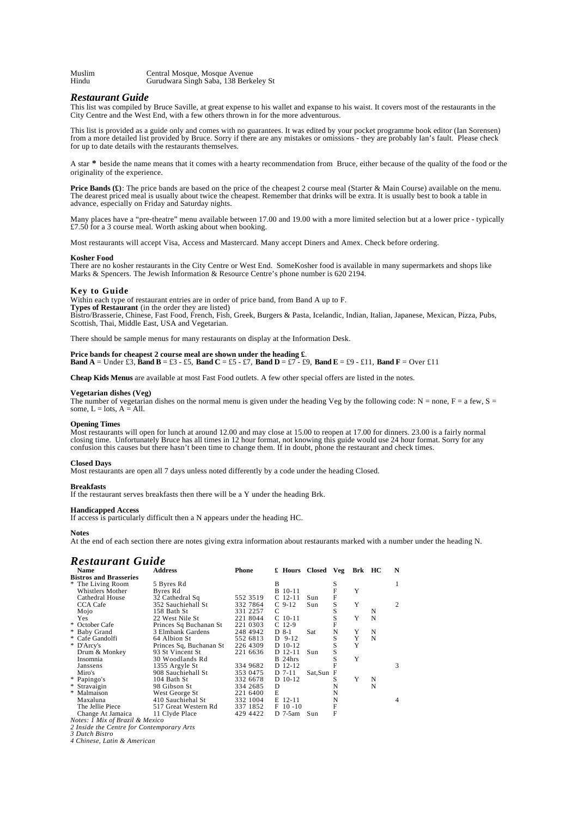| Muslim | Central Mosque, Mosque Avenue         |
|--------|---------------------------------------|
| Hindu  | Gurudwara Singh Saba, 138 Berkeley St |

#### *Restaurant Guide*

This list was compiled by Bruce Saville, at great expense to his wallet and expanse to his waist. It covers most of the restaurants in the City Centre and the West End, with a few others thrown in for the more adventurous.

This list is provided as a guide only and comes with no guarantees. It was edited by your pocket programme book editor (Ian Sorensen) from a more detailed list provided by Bruce. Sorry if there are any mistakes or omissions - they are probably Ian's fault. Please check for up to date details with the restaurants themselves.

A star **\*** beside the name means that it comes with a hearty recommendation from Bruce, either because of the quality of the food or the originality of the experience.

**Price Bands (£)**: The price bands are based on the price of the cheapest 2 course meal (Starter & Main Course) available on the menu. The dearest priced meal is usually about twice the cheapest. Remember that drinks will be extra. It is usually best to book a table in advance, especially on Friday and Saturday nights.

Many places have a "pre-theatre" menu available between 17.00 and 19.00 with a more limited selection but at a lower price - typically E7.50 for a 3 course meal. Worth asking about when booking.

Most restaurants will accept Visa, Access and Mastercard. Many accept Diners and Amex. Check before ordering.

#### **Kosher Food**

There are no kosher restaurants in the City Centre or West End. SomeKosher food is available in many supermarkets and shops like Marks & Spencers. The Jewish Information & Resource Centre's phone number is 620 2194.

#### **Key to Guide**

Within each type of restaurant entries are in order of price band, from Band A up to F.

**Types of Restaurant** (in the order they are listed)

Bistro/Brasserie, Chinese, Fast Food, French, Fish, Greek, Burgers & Pasta, Icelandic, Indian, Italian, Japanese, Mexican, Pizza, Pubs, Scottish, Thai, Middle East, USA and Vegetarian.

There should be sample menus for many restaurants on display at the Information Desk.

#### **Price bands for cheapest 2 course meal are shown under the heading £**. **Band A** = Under £3, **Band B** = £3 - £5, **Band C** = £5 - £7, **Band D** = £7 - £9, **Band E** = £9 - £11, **Band F** = Over £11

**Cheap Kids Menus** are available at most Fast Food outlets. A few other special offers are listed in the notes.

#### **Vegetarian dishes (Veg)**

The number of vegetarian dishes on the normal menu is given under the heading Veg by the following code:  $N =$  none,  $F =$  a few,  $S =$ some,  $L =$  lots,  $A =$  All.

#### **Opening Times**

Most restaurants will open for lunch at around 12.00 and may close at 15.00 to reopen at 17.00 for dinners. 23.00 is a fairly normal closing time. Unfortunately Bruce has all times in 12 hour format, not knowing this guide would use 24 hour format. Sorry for any confusion this causes but there hasn't been time to change them. If in doubt, phone the restaurant and check times.

#### **Closed Days**

Most restaurants are open all 7 days unless noted differently by a code under the heading Closed.

#### **Breakfasts**

If the restaurant serves breakfasts then there will be a Y under the heading Brk.

#### **Handicapped Access**

If access is particularly difficult then a N appears under the heading HC.

#### **Notes**

At the end of each section there are notes giving extra information about restaurants marked with a number under the heading N.

#### *Restaurant Guide*

| <b>Name</b>                           | <b>Address</b>          | <b>Phone</b> | £ Hours Closed |            | Veg | Brk HC |   | N              |
|---------------------------------------|-------------------------|--------------|----------------|------------|-----|--------|---|----------------|
| <b>Bistros and Brasseries</b>         |                         |              |                |            |     |        |   |                |
| * The Living Room                     | 5 Byres Rd              |              | B              |            | S   |        |   |                |
| Whistlers Mother                      | Byres Rd                |              | <b>B</b> 10-11 |            | F   | Y      |   |                |
| Cathedral House                       | 32 Cathedral Sq         | 552 3519     | $C$ 12-11      | Sun        | F   |        |   |                |
| <b>CCA</b> Cafe                       | 352 Sauchiehall St      | 332 7864     | $C9-12$        | Sun        | S   | Y      |   | $\overline{c}$ |
| Mojo                                  | 158 Bath St             | 331 2257     | C              |            | S   |        | N |                |
| <b>Yes</b>                            | 22 West Nile St         | 221 8044     | $C$ 10-11      |            |     | Y      | N |                |
| * October Cafe                        | Princes Sq Buchanan St  | 221 0303     | $C$ 12-9       |            | F   |        |   |                |
| * Baby Grand                          | 3 Elmbank Gardens       | 248 4942     | $D$ 8-1        | Sat        | N   | Y      | N |                |
| * Cafe Gandolfi                       | 64 Albion St            | 552 6813     | D 9-12         |            | S   | Y      | N |                |
| * D'Arcy's                            | Princes Sq. Buchanan St | 226 4309     | D 10-12        |            |     | Y      |   |                |
| Drum & Monkey                         | 93 St Vincent St        | 221 6636     | D 12-11        | Sun        | S   |        |   |                |
| Insomnia                              | 30 Woodlands Rd         |              | $B$ 24 $h$ rs  |            |     | Y      |   |                |
| Janssens                              | 1355 Argyle St          | 334 9682     | D 12-12        |            |     |        |   | 3              |
| Miro's                                | 908 Sauchiehall St      | 353 0475     | $D$ 7-11       | Sat, Sun F |     |        |   |                |
| * Papingo's                           | 104 Bath St             | 332 6678     | $D$ 10-12      |            |     | Y      | N |                |
| * Stravaigin                          | 98 Gibson St            | 334 2685     | D              |            | N   |        | N |                |
| * Malmaison                           | West George St          | 221 6400     | E              |            | N   |        |   |                |
| Maxaluna                              | 410 Sauchiehal St       | 332 1004     | E 12-11        |            | N   |        |   | 4              |
| The Jellie Piece                      | 517 Great Western Rd    | 337 1852     | $F$ 10 -10     |            | F   |        |   |                |
| Change At Jamaica                     | 11 Clyde Place          | 429 4422     | D 7-5am        | Sun        | F   |        |   |                |
| $Note \cdot 1 Mir of Rrazil & Morico$ |                         |              |                |            |     |        |   |                |

*Notes: 1 Mix of Brazil & Mexico 2 Inside the Centre for Contemporary Arts*

*3 Dutch Bistro*

*4 Chinese, Latin & American*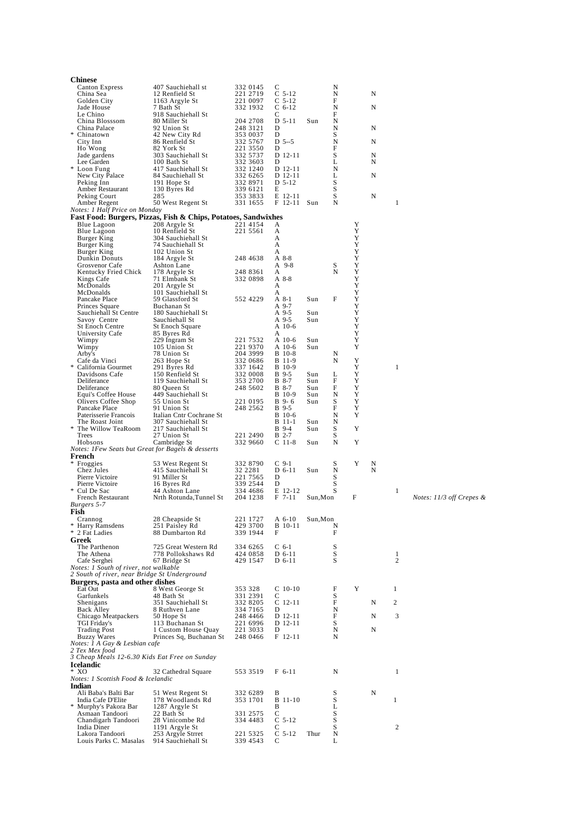| <b>Chinese</b><br><b>Canton Express</b>               | 407 Sauchiehall st                                             | 332 0145             | С                       |            | N      |        |        |                |                            |
|-------------------------------------------------------|----------------------------------------------------------------|----------------------|-------------------------|------------|--------|--------|--------|----------------|----------------------------|
| China Sea                                             | 12 Renfield St                                                 | 221 2719             | $C$ 5-12                |            | N      |        | N      |                |                            |
| Golden City                                           | 1163 Argyle St                                                 | 221 0097             | $C$ 5-12                |            | F      |        |        |                |                            |
| Jade House<br>Le Chino                                | 7 Bath St<br>918 Sauchiehall St                                | 332 1932             | $C_6-12$<br>С           |            | N<br>F |        | N      |                |                            |
| China Blosssom                                        | 80 Miller St                                                   | 204 2708             | $D$ 5-11                | Sun        | N      |        |        |                |                            |
| China Palace<br>*<br>Chinatown                        | 92 Union St<br>42 New City Rd                                  | 248 3121<br>353 0037 | D<br>D                  |            | N<br>S |        | N      |                |                            |
| City Inn                                              | 86 Renfield St                                                 | 332 5767             | $D$ 5--5                |            | N      |        | N      |                |                            |
| Ho Wong                                               | 82 York St                                                     | 221 3550             | D                       |            | F      |        |        |                |                            |
| Jade gardens<br>Lee Garden                            | 303 Sauchiehall St<br>100 Bath St                              | 332 5737<br>332 3603 | D 12-11<br>D            |            | S<br>L |        | N<br>N |                |                            |
| * Loon Fung                                           | 417 Sauchiehall St                                             | 332 1240             | D 12-11                 |            | N      |        |        |                |                            |
| New City Palace<br>Peking Inn                         | 84 Sauchiehall St<br>191 Hope St                               | 332 6265<br>332 8971 | D 12-11<br>D 5-12       |            | L<br>S |        | N      |                |                            |
| Amber Restaurant                                      | 130 Byres Rd                                                   | 339 6121             | E                       |            | S      |        |        |                |                            |
| Peking Court                                          | 285                                                            | 353 3833             | E 12-11                 |            | S      |        | N      |                |                            |
| Amber Regent<br>Notes: 1 Half Price on Monday         | 50 West Regent St                                              | 331 1655             | $F$ 12-11               | Sun        | N      |        |        | 1              |                            |
|                                                       | Fast Food: Burgers, Pizzas, Fish & Chips, Potatoes, Sandwixhes |                      |                         |            |        |        |        |                |                            |
| Blue Lagoon                                           | 208 Argyle St<br>10 Renfield St                                | 221 4154<br>221 5561 | A<br>A                  |            |        | Y<br>Y |        |                |                            |
| Blue Lagoon<br>Burger King                            | 304 Sauchiehall St                                             |                      | A                       |            |        | Y      |        |                |                            |
| Burger King                                           | 74 Sauchiehall St                                              |                      | A                       |            |        | Y      |        |                |                            |
| Burger King<br>Dunkin Donuts                          | 102 Union St<br>184 Argyle St                                  | 248 4638             | A<br>A 8-8              |            |        | Y<br>Y |        |                |                            |
| Grosvenor Cafe                                        | Ashton Lane                                                    |                      | A 9-8                   |            | S      | Y      |        |                |                            |
| Kentucky Fried Chick                                  | 178 Argyle St                                                  | 248 8361             | A                       |            | N      | Y      |        |                |                            |
| Kings Cafe<br>McDonalds                               | 71 Elmbank St<br>201 Argyle St                                 | 332 0898             | A 8-8<br>A              |            |        | Y<br>Y |        |                |                            |
| McDonalds                                             | 101 Sauchiehall St                                             |                      | A                       |            |        | Y      |        |                |                            |
| Pancake Place                                         | 59 Glassford St<br>Buchanan St                                 | 552 4229             | A 8-1<br>A 9-7          | Sun        | F      | Y<br>Y |        |                |                            |
| Princes Square<br>Sauchiehall St Centre               | 180 Sauchiehall St                                             |                      | $A$ 9-5                 | Sun        |        | Y      |        |                |                            |
| Savoy Centre                                          | Sauchiehall St                                                 |                      | A 9-5                   | Sun        |        | Y      |        |                |                            |
| <b>St Enoch Centre</b>                                | St Enoch Square                                                |                      | $A$ 10-6<br>A           |            |        | Y<br>Y |        |                |                            |
| University Cafe<br>Wimpy                              | 85 Byres Rd<br>229 Ingram St                                   | 221 7532             | A 10-6                  | Sun        |        | Y      |        |                |                            |
| Wimpy                                                 | 105 Union St                                                   | 221 9370             | A 10-6                  | Sun        |        | Y      |        |                |                            |
| Arby's<br>Cafe da Vinci                               | 78 Union St<br>263 Hope St                                     | 204 3999<br>332 0686 | <b>B</b> 10-8<br>B 11-9 |            | N<br>N | Y      |        |                |                            |
| *<br>California Gourmet                               | 291 Byres Rd                                                   | 337 1642             | B 10-9                  |            |        | Y      |        | 1              |                            |
| Davidsons Cafe                                        | 150 Renfield St                                                | 332 0008             | B 9-5                   | Sun        | L<br>F | Y      |        |                |                            |
| Deliferance<br>Deliferance                            | 119 Sauchiehall St<br>80 Queen St                              | 353 2700<br>248 5602 | B 8-7<br>B 8-7          | Sun<br>Sun | F      | Y<br>Y |        |                |                            |
| Equi's Coffee House                                   | 449 Sauchiehall St                                             |                      | B 10-9                  | Sun        | N      | Y      |        |                |                            |
| Olivers Coffee Shop<br>Pancake Place                  | 55 Union St<br>91 Union St                                     | 221 0195<br>248 2562 | $B$ 9-6<br>B 9-5        | Sun        | S<br>F | Y<br>Y |        |                |                            |
| Paterisserie Francois                                 | Italian Cntr Cochrane St                                       |                      | B 10-6                  |            | N      | Y      |        |                |                            |
| The Roast Joint                                       | 307 Sauchiehall St                                             |                      | B 11-1                  | Sun        | N      |        |        |                |                            |
| * The Willow TeaRoom<br>Trees                         | 217 Sauchiehall St<br>27 Union St                              | 221 2490             | B 9-4<br>B 2-7          | Sun        | S<br>S | Y      |        |                |                            |
| Hobsons                                               | Cambridge St                                                   | 332 9660             | $C$ 11-8                | Sun        | N      | Y      |        |                |                            |
| Notes: IFew Seats but Great for Bagels & desserts     |                                                                |                      |                         |            |        |        |        |                |                            |
| French<br>* Froggies                                  | 53 West Regent St                                              | 332 8790             | $C9-1$                  |            | S      | Y      | N      |                |                            |
| Chez Jules                                            | 415 Sauchiehall St                                             | 32 2281              | $D$ 6-11                | Sun        | N      |        | N      |                |                            |
| Pierre Victoire<br>Pierre Victoire                    | 91 Miller St                                                   | 221 7565<br>339 2544 | D<br>D                  |            | S      |        |        |                |                            |
| * Cul De Sac                                          | 16 Byres Rd<br>44 Ashton Lane                                  | 334 4686             | E 12-12                 |            | S<br>S |        |        | 1              |                            |
| French Restaurant                                     | Nrth Rotunda, Tunnel St                                        | 204 1238             | $F$ 7-11                | Sun,Mon    |        | F      |        |                | Notes: $11/3$ off Crepes & |
| Burgers 5-7<br>Fish                                   |                                                                |                      |                         |            |        |        |        |                |                            |
| Crannog                                               | 28 Cheapside St                                                | 221 1727             | A 6-10                  | Sun, Mon   |        |        |        |                |                            |
| *.<br>Harry Ramsdens                                  | 251 Paisley Rd                                                 | 429 3700             | <b>B</b> 10-11          |            | N      |        |        |                |                            |
| * 2 Fat Ladies<br>Greek                               | 88 Dumbarton Rd                                                | 339 1944             | F                       |            | F      |        |        |                |                            |
| The Parthenon                                         | 725 Great Western Rd                                           | 334 6265             | $C6-1$                  |            | S      |        |        |                |                            |
| The Athena                                            | 778 Pollokshaws Rd                                             | 424 0858             | D 6-11                  |            | S      |        |        | 1              |                            |
| Cafe Serghei<br>Notes: 1 South of river, not walkable | 67 Bridge St                                                   | 429 1547             | D 6-11                  |            | S      |        |        | $\overline{c}$ |                            |
| 2 South of river, near Bridge St Underground          |                                                                |                      |                         |            |        |        |        |                |                            |
| Burgers, pasta and other dishes                       |                                                                |                      |                         |            |        |        |        |                |                            |
| Eat Out<br>Garfunkels                                 |                                                                | 353 328              | $C$ 10-10               |            | F      | Y      |        | 1              |                            |
| Shenigans                                             | 8 West George St                                               |                      |                         |            |        |        |        |                |                            |
|                                                       | 48 Bath St<br>351 Sauchiehall St                               | 331 2391<br>332 8205 | C<br>$C$ 12-11          |            | S<br>F |        | N      | $\mathfrak{2}$ |                            |
| <b>Back Alley</b>                                     | 8 Ruthven Lane                                                 | 334 7165             | D                       |            | N      |        |        |                |                            |
| Chicago Meatpackers                                   | 50 Hope St                                                     | 248 4466             | D 12-11                 |            | F      |        | N      | 3              |                            |
| TGI Friday's<br><b>Trading Post</b>                   | 113 Buchanan St<br>1 Custom House Quay                         | 221 6996<br>221 3033 | D 12-11<br>D            |            | S<br>N |        | N      |                |                            |
| <b>Buzzy Wares</b>                                    | Princes Sq, Buchanan St                                        | 248 0466             | $F$ 12-11               |            | N      |        |        |                |                            |
| Notes: 1 A Gay & Lesbian cafe<br>2 Tex Mex food       |                                                                |                      |                         |            |        |        |        |                |                            |
| 3 Cheap Meals 12-6.30 Kids Eat Free on Sunday         |                                                                |                      |                         |            |        |        |        |                |                            |
| <b>Icelandic</b>                                      |                                                                |                      |                         |            |        |        |        |                |                            |
| $*$ XO<br>Notes: 1 Scottish Food & Icelandic          | 32 Cathedral Square                                            | 553 3519             | $F$ 6-11                |            | N      |        |        | 1              |                            |
| Indian                                                |                                                                |                      |                         |            |        |        |        |                |                            |
| Ali Baba's Balti Bar                                  | 51 West Regent St                                              | 332 6289             | B                       |            | S      |        | N      |                |                            |
| India Cafe D'Elite<br>*<br>Murphy's Pakora Bar        | 178 Woodlands Rd<br>1287 Argyle St                             | 353 1701             | <b>B</b> 11-10<br>B     |            | S<br>L |        |        | 1              |                            |
| Asmaan Tandoori                                       | 22 Bath St                                                     | 331 2575             | C                       |            | S      |        |        |                |                            |
| Chandigarh Tandoori<br>India Diner                    | 28 Vinicombe Rd<br>1191 Argyle St                              | 334 4483             | $C$ 5-12<br>С           |            | S<br>S |        |        | $\mathfrak{2}$ |                            |
| Lakora Tandoori<br>Louis Parks C. Masalas             | 253 Argyle Strret<br>914 Sauchiehall St                        | 221 5325<br>339 4543 | $C5-12$<br>C            | Thur       | N<br>L |        |        |                |                            |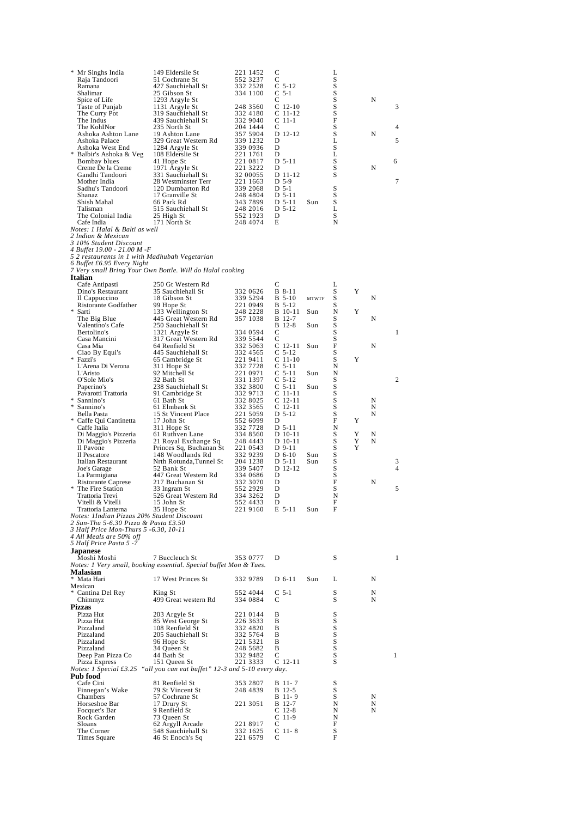| * Mr Singhs India<br>Raja Tandoori<br>Ramana<br>Shalimar<br>Spice of Life<br>Taste of Punjab<br>The Curry Pot<br>The Indus<br>The KohINor<br>Ashoka Ashton Lane<br>Ashoka Palace<br>Ashoka West End<br>* Balbir's Ashoka & Veg<br>Bombay blues<br>Creme De la Creme<br>Gandhi Tandoori<br>Mother India<br>Sadhu's Tandoori<br>Shanaz<br>Shish Mahal<br>Talisman<br>The Colonial India<br>Cafe India<br>Notes: 1 Halal & Balti as well<br>2 Indian & Mexican<br>3 10% Student Discount<br>4 Buffet 19.00 - 21.00 M - F<br>52 restaurants in 1 with Madhubah Vegetarian<br>6 Buffet £6.95 Every Night | 149 Elderslie St<br>51 Cochrane St<br>427 Sauchiehall St<br>25 Gibson St<br>1293 Argyle St<br>1131 Argyle St<br>319 Sauchiehall St<br>439 Sauchiehall St<br>235 North St<br>19 Ashton Lane<br>329 Great Western Rd<br>1284 Argyle St<br>108 Elderslie St<br>41 Hope St<br>1971 Argyle St<br>331 Sauchiehall St<br>28 Westminster Terr<br>120 Dumbarton Rd<br>17 Granville St<br>66 Park Rd<br>515 Sauchiehall St<br>25 High St<br>171 North St | 221 1452<br>552 3237<br>332 2528<br>334 1100<br>248 3560<br>332 4180<br>332 9040<br>204 1444<br>357 5904<br>339 1232<br>339 0936<br>221 1761<br>221 0817<br>221 3222<br>32 00055<br>221 1663<br>339 2068<br>248 4804<br>343 7899<br>248 2016<br>552 1923<br>248 4074 | C<br>С<br>$C$ 5-12<br>$C5-1$<br>С<br>$C$ 12-10<br>$C$ 11-12<br>C 11-1<br>C<br>D 12-12<br>D<br>D<br>D<br>D 5-11<br>D<br>D 11-12<br>D 5-9<br>D 5-1<br>D 5-11<br>D 5-11<br>D 5-12<br>D<br>E | Sun          | L<br>S<br>S<br>S<br>S<br>S<br>S<br>F<br>S<br>S<br>L<br>S<br>L<br>S<br>S<br>S<br>S<br>S<br>S<br>L<br>S<br>N |        | N<br>N<br>N | 3<br>4<br>5<br>6<br>$\overline{7}$ |
|-----------------------------------------------------------------------------------------------------------------------------------------------------------------------------------------------------------------------------------------------------------------------------------------------------------------------------------------------------------------------------------------------------------------------------------------------------------------------------------------------------------------------------------------------------------------------------------------------------|------------------------------------------------------------------------------------------------------------------------------------------------------------------------------------------------------------------------------------------------------------------------------------------------------------------------------------------------------------------------------------------------------------------------------------------------|----------------------------------------------------------------------------------------------------------------------------------------------------------------------------------------------------------------------------------------------------------------------|------------------------------------------------------------------------------------------------------------------------------------------------------------------------------------------|--------------|------------------------------------------------------------------------------------------------------------|--------|-------------|------------------------------------|
|                                                                                                                                                                                                                                                                                                                                                                                                                                                                                                                                                                                                     | 7 Very small Bring Your Own Bottle. Will do Halal cooking                                                                                                                                                                                                                                                                                                                                                                                      |                                                                                                                                                                                                                                                                      |                                                                                                                                                                                          |              |                                                                                                            |        |             |                                    |
| Italian<br>Cafe Antipasti                                                                                                                                                                                                                                                                                                                                                                                                                                                                                                                                                                           | 250 Gt Western Rd                                                                                                                                                                                                                                                                                                                                                                                                                              |                                                                                                                                                                                                                                                                      | С                                                                                                                                                                                        |              | L                                                                                                          |        |             |                                    |
| Dino's Restaurant<br>Il Cappuccino                                                                                                                                                                                                                                                                                                                                                                                                                                                                                                                                                                  | 35 Sauchiehall St<br>18 Gibson St                                                                                                                                                                                                                                                                                                                                                                                                              | 332 0626<br>339 5294                                                                                                                                                                                                                                                 | B 8-11<br>$B$ 5-10                                                                                                                                                                       | <b>MTWTF</b> | S<br>S                                                                                                     | Y      | N           |                                    |
| Ristorante Godfather<br>* Sarti                                                                                                                                                                                                                                                                                                                                                                                                                                                                                                                                                                     | 99 Hope St<br>133 Wellington St                                                                                                                                                                                                                                                                                                                                                                                                                | 221 0949<br>248 2228                                                                                                                                                                                                                                                 | <b>B</b> 5-12<br><b>B</b> 10-11                                                                                                                                                          | Sun          | S<br>N                                                                                                     | Y      |             |                                    |
| The Big Blue<br>Valentino's Cafe                                                                                                                                                                                                                                                                                                                                                                                                                                                                                                                                                                    | 445 Great Western Rd<br>250 Sauchiehall St                                                                                                                                                                                                                                                                                                                                                                                                     | 357 1038                                                                                                                                                                                                                                                             | <b>B</b> 12-7<br>B 12-8                                                                                                                                                                  | Sun          | S<br>S                                                                                                     |        | N           |                                    |
| Bertolino's                                                                                                                                                                                                                                                                                                                                                                                                                                                                                                                                                                                         | 1321 Argyle St                                                                                                                                                                                                                                                                                                                                                                                                                                 | 334 0594                                                                                                                                                                                                                                                             | С                                                                                                                                                                                        |              | S                                                                                                          |        |             | 1                                  |
| Casa Mancini<br>Casa Mia                                                                                                                                                                                                                                                                                                                                                                                                                                                                                                                                                                            | 317 Great Western Rd<br>64 Renfield St                                                                                                                                                                                                                                                                                                                                                                                                         | 339 5544<br>332 5063                                                                                                                                                                                                                                                 | С<br>$C$ 12-11                                                                                                                                                                           | Sun          | S<br>F                                                                                                     |        | N           |                                    |
| Ciao By Equi's<br>* Fazzi's                                                                                                                                                                                                                                                                                                                                                                                                                                                                                                                                                                         | 445 Sauchiehall St<br>65 Cambridge St                                                                                                                                                                                                                                                                                                                                                                                                          | 332 4565<br>221 9411                                                                                                                                                                                                                                                 | $C5-12$<br>$C$ 11-10                                                                                                                                                                     |              | S<br>S                                                                                                     | Y      |             |                                    |
| L'Arena Di Verona<br>L'Aristo                                                                                                                                                                                                                                                                                                                                                                                                                                                                                                                                                                       | 311 Hope St<br>92 Mitchell St                                                                                                                                                                                                                                                                                                                                                                                                                  | 332 7728<br>221 0971                                                                                                                                                                                                                                                 | $C5-11$<br>$C5-11$                                                                                                                                                                       | Sun          | N<br>N                                                                                                     |        |             |                                    |
| O'Sole Mio's<br>Paperino's                                                                                                                                                                                                                                                                                                                                                                                                                                                                                                                                                                          | 32 Bath St<br>238 Sauchiehall St                                                                                                                                                                                                                                                                                                                                                                                                               | 331 1397<br>332 3800                                                                                                                                                                                                                                                 | $C5-12$<br>$C$ 5-11                                                                                                                                                                      | Sun          | S<br>S                                                                                                     |        |             | 2                                  |
| Pavarotti Trattoria<br>*<br>Sannino's                                                                                                                                                                                                                                                                                                                                                                                                                                                                                                                                                               | 91 Cambridge St<br>61 Bath St                                                                                                                                                                                                                                                                                                                                                                                                                  | 332 9713<br>332 8025                                                                                                                                                                                                                                                 | $C_11-11$<br>$C_12-11$                                                                                                                                                                   |              | S<br>S                                                                                                     |        | N           |                                    |
| Sannino's<br>Bella Pasta                                                                                                                                                                                                                                                                                                                                                                                                                                                                                                                                                                            | 61 Elmbank St<br>15 St Vincent Place                                                                                                                                                                                                                                                                                                                                                                                                           | 332 3565<br>221 5059                                                                                                                                                                                                                                                 | $C$ 12-11<br>D 5-12                                                                                                                                                                      |              | S<br>S                                                                                                     |        | N<br>N      |                                    |
| * Caffe Qui Cantinetta                                                                                                                                                                                                                                                                                                                                                                                                                                                                                                                                                                              | 17 John St                                                                                                                                                                                                                                                                                                                                                                                                                                     | 552 6099                                                                                                                                                                                                                                                             | D                                                                                                                                                                                        |              | F                                                                                                          | Y      |             |                                    |
| Caffe Italia<br>Di Maggio's Pizzeria                                                                                                                                                                                                                                                                                                                                                                                                                                                                                                                                                                | 311 Hope St<br>61 Ruthven Lane                                                                                                                                                                                                                                                                                                                                                                                                                 | 332 7728<br>334 8560                                                                                                                                                                                                                                                 | $D$ 5-11<br>D 10-11                                                                                                                                                                      |              | N<br>S                                                                                                     | Y      | N           |                                    |
| Di Maggio's Pizzeria<br>Il Pavone                                                                                                                                                                                                                                                                                                                                                                                                                                                                                                                                                                   | 21 Royal Exchange Sq<br>Princes Sq, Buchanan St                                                                                                                                                                                                                                                                                                                                                                                                | 248 4443<br>221 0543                                                                                                                                                                                                                                                 | D 10-11<br>D 9-11                                                                                                                                                                        |              | S<br>S                                                                                                     | Y<br>Y | N           |                                    |
| Il Pescatore<br>Italian Restaurant                                                                                                                                                                                                                                                                                                                                                                                                                                                                                                                                                                  | 148 Woodlands Rd<br>Nrth Rotunda, Tunnel St                                                                                                                                                                                                                                                                                                                                                                                                    | 332 9239<br>204 1238                                                                                                                                                                                                                                                 | $D_6-10$<br>D 5-11                                                                                                                                                                       | Sun<br>Sun   | S<br>S                                                                                                     |        |             | 3                                  |
| Joe's Garage<br>La Parmigiana                                                                                                                                                                                                                                                                                                                                                                                                                                                                                                                                                                       | 52 Bank St<br>447 Great Western Rd                                                                                                                                                                                                                                                                                                                                                                                                             | 339 5407<br>334 0686                                                                                                                                                                                                                                                 | D 12-12<br>D                                                                                                                                                                             |              | S<br>S                                                                                                     |        |             | 4                                  |
| Ristorante Caprese<br>* The Fire Station                                                                                                                                                                                                                                                                                                                                                                                                                                                                                                                                                            | 217 Buchanan St<br>33 Ingram St                                                                                                                                                                                                                                                                                                                                                                                                                | 332 3070<br>552 2929                                                                                                                                                                                                                                                 | D<br>D                                                                                                                                                                                   |              | F<br>S                                                                                                     |        | N           | 5                                  |
| Trattoria Trevi                                                                                                                                                                                                                                                                                                                                                                                                                                                                                                                                                                                     | 526 Great Western Rd                                                                                                                                                                                                                                                                                                                                                                                                                           | 334 3262<br>552.4433                                                                                                                                                                                                                                                 | D                                                                                                                                                                                        |              | N                                                                                                          |        |             |                                    |
| Vitelli & Vitelli<br>Trattoria Lanterna                                                                                                                                                                                                                                                                                                                                                                                                                                                                                                                                                             | 15 John St<br>35 Hope St                                                                                                                                                                                                                                                                                                                                                                                                                       | 221 9160                                                                                                                                                                                                                                                             | D<br>E 5-11                                                                                                                                                                              | Sun          | F<br>F                                                                                                     |        |             |                                    |
| Notes: IIndian Pizzas 20% Student Discount<br>2 Sun-Thu 5-6.30 Pizza & Pasta £3.50                                                                                                                                                                                                                                                                                                                                                                                                                                                                                                                  |                                                                                                                                                                                                                                                                                                                                                                                                                                                |                                                                                                                                                                                                                                                                      |                                                                                                                                                                                          |              |                                                                                                            |        |             |                                    |
| 3 Half Price Mon-Thurs 5 -6.30, 10-11<br>4 All Meals are 50% off                                                                                                                                                                                                                                                                                                                                                                                                                                                                                                                                    |                                                                                                                                                                                                                                                                                                                                                                                                                                                |                                                                                                                                                                                                                                                                      |                                                                                                                                                                                          |              |                                                                                                            |        |             |                                    |
| 5 Half Price Pasta 5 -7<br><b>Japanese</b>                                                                                                                                                                                                                                                                                                                                                                                                                                                                                                                                                          |                                                                                                                                                                                                                                                                                                                                                                                                                                                |                                                                                                                                                                                                                                                                      |                                                                                                                                                                                          |              |                                                                                                            |        |             |                                    |
| Moshi Moshi                                                                                                                                                                                                                                                                                                                                                                                                                                                                                                                                                                                         | 7 Buccleuch St<br>Notes: 1 Very small, booking essential. Special buffet Mon & Tues.                                                                                                                                                                                                                                                                                                                                                           | 353 0777                                                                                                                                                                                                                                                             | D                                                                                                                                                                                        |              | S                                                                                                          |        |             | 1                                  |
| Malasian                                                                                                                                                                                                                                                                                                                                                                                                                                                                                                                                                                                            |                                                                                                                                                                                                                                                                                                                                                                                                                                                |                                                                                                                                                                                                                                                                      |                                                                                                                                                                                          |              |                                                                                                            |        |             |                                    |
| * Mata Hari<br>Mexican                                                                                                                                                                                                                                                                                                                                                                                                                                                                                                                                                                              | 17 West Princes St                                                                                                                                                                                                                                                                                                                                                                                                                             | 332 9789                                                                                                                                                                                                                                                             | D 6-11                                                                                                                                                                                   | Sun          | L                                                                                                          |        | N           |                                    |
| * Cantina Del Rey<br>Chimmyz                                                                                                                                                                                                                                                                                                                                                                                                                                                                                                                                                                        | King St<br>499 Great western Rd                                                                                                                                                                                                                                                                                                                                                                                                                | 552 4044<br>334 0884                                                                                                                                                                                                                                                 | $C5-1$<br>С                                                                                                                                                                              |              | S<br>S                                                                                                     |        | N<br>N      |                                    |
| Pizzas<br>Pizza Hut                                                                                                                                                                                                                                                                                                                                                                                                                                                                                                                                                                                 | 203 Argyle St                                                                                                                                                                                                                                                                                                                                                                                                                                  | 221 0144                                                                                                                                                                                                                                                             | B                                                                                                                                                                                        |              | S                                                                                                          |        |             |                                    |
| Pizza Hut<br>Pizzaland                                                                                                                                                                                                                                                                                                                                                                                                                                                                                                                                                                              | 85 West George St<br>108 Renfield St                                                                                                                                                                                                                                                                                                                                                                                                           | 226 3633<br>332 4820                                                                                                                                                                                                                                                 | B<br>B                                                                                                                                                                                   |              | S<br>S                                                                                                     |        |             |                                    |
| Pizzaland<br>Pizzaland                                                                                                                                                                                                                                                                                                                                                                                                                                                                                                                                                                              | 205 Sauchiehall St<br>96 Hope St                                                                                                                                                                                                                                                                                                                                                                                                               | 332 5764<br>221 5321                                                                                                                                                                                                                                                 | B<br>B                                                                                                                                                                                   |              | S<br>S                                                                                                     |        |             |                                    |
| Pizzaland                                                                                                                                                                                                                                                                                                                                                                                                                                                                                                                                                                                           | 34 Queen St                                                                                                                                                                                                                                                                                                                                                                                                                                    | 248 5682                                                                                                                                                                                                                                                             | B                                                                                                                                                                                        |              | S                                                                                                          |        |             |                                    |
| Deep Pan Pizza Co<br>Pizza Express                                                                                                                                                                                                                                                                                                                                                                                                                                                                                                                                                                  | 44 Bath St<br>151 Queen St                                                                                                                                                                                                                                                                                                                                                                                                                     | 332 9482<br>221 3333                                                                                                                                                                                                                                                 | C<br>$C$ 12-11                                                                                                                                                                           |              | S<br>S                                                                                                     |        |             | 1                                  |
| Pub food                                                                                                                                                                                                                                                                                                                                                                                                                                                                                                                                                                                            | Notes: 1 Special £3.25 "all you can eat buffet" 12-3 and 5-10 every day.                                                                                                                                                                                                                                                                                                                                                                       |                                                                                                                                                                                                                                                                      |                                                                                                                                                                                          |              |                                                                                                            |        |             |                                    |
| Cafe Cini<br>Finnegan's Wake                                                                                                                                                                                                                                                                                                                                                                                                                                                                                                                                                                        | 81 Renfield St<br>79 St Vincent St                                                                                                                                                                                                                                                                                                                                                                                                             | 353 2807<br>248 4839                                                                                                                                                                                                                                                 | B 11-7<br><b>B</b> 12-5                                                                                                                                                                  |              | S<br>S                                                                                                     |        |             |                                    |
| Chambers<br>Horseshoe Bar                                                                                                                                                                                                                                                                                                                                                                                                                                                                                                                                                                           | 57 Cochrane St<br>17 Drury St                                                                                                                                                                                                                                                                                                                                                                                                                  | 221 3051                                                                                                                                                                                                                                                             | B 11-9<br><b>B</b> 12-7                                                                                                                                                                  |              | S<br>N                                                                                                     |        | N<br>N      |                                    |
| Focquet's Bar<br>Rock Garden                                                                                                                                                                                                                                                                                                                                                                                                                                                                                                                                                                        | 9 Renfield St<br>73 Queen St                                                                                                                                                                                                                                                                                                                                                                                                                   |                                                                                                                                                                                                                                                                      | $C$ 12-8<br>$C$ 11-9                                                                                                                                                                     |              | N<br>N                                                                                                     |        | N           |                                    |
| Sloans                                                                                                                                                                                                                                                                                                                                                                                                                                                                                                                                                                                              | 62 Argyll Arcade                                                                                                                                                                                                                                                                                                                                                                                                                               | 221 8917                                                                                                                                                                                                                                                             | С                                                                                                                                                                                        |              | F                                                                                                          |        |             |                                    |
| The Corner<br>Times Square                                                                                                                                                                                                                                                                                                                                                                                                                                                                                                                                                                          | 548 Sauchiehall St<br>46 St Enoch's Sq                                                                                                                                                                                                                                                                                                                                                                                                         | 332 1625<br>221 6579                                                                                                                                                                                                                                                 | $C$ 11-8<br>С                                                                                                                                                                            |              | S<br>F                                                                                                     |        |             |                                    |